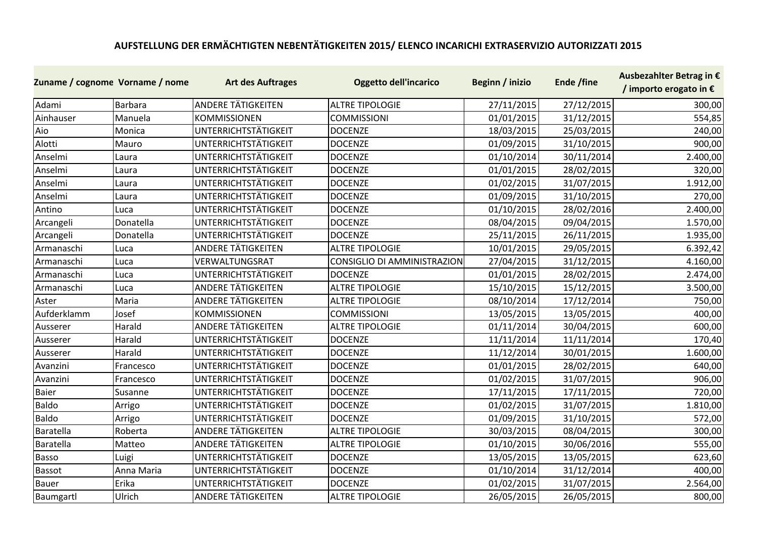## **AUFSTELLUNG DER ERMÄCHTIGTEN NEBENTÄTIGKEITEN 2015/ ELENCO INCARICHI EXTRASERVIZIO AUTORIZZATI 2015**

| Zuname / cognome Vorname / nome |            | <b>Art des Auftrages</b>    | <b>Oggetto dell'incarico</b> | Beginn / inizio | Ende /fine | Ausbezahlter Betrag in €<br>/ importo erogato in € |
|---------------------------------|------------|-----------------------------|------------------------------|-----------------|------------|----------------------------------------------------|
| Adami                           | Barbara    | <b>ANDERE TÄTIGKEITEN</b>   | <b>ALTRE TIPOLOGIE</b>       | 27/11/2015      | 27/12/2015 | 300,00                                             |
| Ainhauser                       | Manuela    | <b>KOMMISSIONEN</b>         | <b>COMMISSIONI</b>           | 01/01/2015      | 31/12/2015 | 554,85                                             |
| Aio                             | Monica     | <b>UNTERRICHTSTÄTIGKEIT</b> | <b>DOCENZE</b>               | 18/03/2015      | 25/03/2015 | 240,00                                             |
| Alotti                          | Mauro      | <b>UNTERRICHTSTÄTIGKEIT</b> | <b>DOCENZE</b>               | 01/09/2015      | 31/10/2015 | 900,00                                             |
| Anselmi                         | Laura      | <b>UNTERRICHTSTÄTIGKEIT</b> | <b>DOCENZE</b>               | 01/10/2014      | 30/11/2014 | 2.400,00                                           |
| Anselmi                         | Laura      | <b>UNTERRICHTSTÄTIGKEIT</b> | <b>DOCENZE</b>               | 01/01/2015      | 28/02/2015 | 320,00                                             |
| Anselmi                         | Laura      | <b>UNTERRICHTSTÄTIGKEIT</b> | <b>DOCENZE</b>               | 01/02/2015      | 31/07/2015 | 1.912,00                                           |
| Anselmi                         | Laura      | <b>UNTERRICHTSTÄTIGKEIT</b> | <b>DOCENZE</b>               | 01/09/2015      | 31/10/2015 | 270,00                                             |
| Antino                          | Luca       | <b>UNTERRICHTSTÄTIGKEIT</b> | <b>DOCENZE</b>               | 01/10/2015      | 28/02/2016 | 2.400,00                                           |
| Arcangeli                       | Donatella  | UNTERRICHTSTÄTIGKEIT        | <b>DOCENZE</b>               | 08/04/2015      | 09/04/2015 | 1.570,00                                           |
| Arcangeli                       | Donatella  | UNTERRICHTSTÄTIGKEIT        | <b>DOCENZE</b>               | 25/11/2015      | 26/11/2015 | 1.935,00                                           |
| Armanaschi                      | Luca       | <b>ANDERE TÄTIGKEITEN</b>   | <b>ALTRE TIPOLOGIE</b>       | 10/01/2015      | 29/05/2015 | 6.392,42                                           |
| Armanaschi                      | Luca       | VERWALTUNGSRAT              | CONSIGLIO DI AMMINISTRAZION  | 27/04/2015      | 31/12/2015 | 4.160,00                                           |
| Armanaschi                      | Luca       | UNTERRICHTSTÄTIGKEIT        | <b>DOCENZE</b>               | 01/01/2015      | 28/02/2015 | 2.474,00                                           |
| Armanaschi                      | Luca       | <b>ANDERE TÄTIGKEITEN</b>   | <b>ALTRE TIPOLOGIE</b>       | 15/10/2015      | 15/12/2015 | 3.500,00                                           |
| Aster                           | Maria      | <b>ANDERE TÄTIGKEITEN</b>   | <b>ALTRE TIPOLOGIE</b>       | 08/10/2014      | 17/12/2014 | 750,00                                             |
| Aufderklamm                     | Josef      | <b>KOMMISSIONEN</b>         | <b>COMMISSIONI</b>           | 13/05/2015      | 13/05/2015 | 400,00                                             |
| Ausserer                        | Harald     | <b>ANDERE TÄTIGKEITEN</b>   | <b>ALTRE TIPOLOGIE</b>       | 01/11/2014      | 30/04/2015 | 600,00                                             |
| Ausserer                        | Harald     | <b>UNTERRICHTSTÄTIGKEIT</b> | <b>DOCENZE</b>               | 11/11/2014      | 11/11/2014 | 170,40                                             |
| Ausserer                        | Harald     | <b>UNTERRICHTSTÄTIGKEIT</b> | <b>DOCENZE</b>               | 11/12/2014      | 30/01/2015 | 1.600,00                                           |
| Avanzini                        | Francesco  | UNTERRICHTSTÄTIGKEIT        | <b>DOCENZE</b>               | 01/01/2015      | 28/02/2015 | 640,00                                             |
| Avanzini                        | Francesco  | <b>UNTERRICHTSTÄTIGKEIT</b> | <b>DOCENZE</b>               | 01/02/2015      | 31/07/2015 | 906,00                                             |
| <b>Baier</b>                    | Susanne    | UNTERRICHTSTÄTIGKEIT        | <b>DOCENZE</b>               | 17/11/2015      | 17/11/2015 | 720,00                                             |
| <b>Baldo</b>                    | Arrigo     | UNTERRICHTSTÄTIGKEIT        | <b>DOCENZE</b>               | 01/02/2015      | 31/07/2015 | 1.810,00                                           |
| <b>Baldo</b>                    | Arrigo     | <b>UNTERRICHTSTÄTIGKEIT</b> | <b>DOCENZE</b>               | 01/09/2015      | 31/10/2015 | 572,00                                             |
| Baratella                       | Roberta    | ANDERE TÄTIGKEITEN          | <b>ALTRE TIPOLOGIE</b>       | 30/03/2015      | 08/04/2015 | 300,00                                             |
| Baratella                       | Matteo     | <b>ANDERE TÄTIGKEITEN</b>   | <b>ALTRE TIPOLOGIE</b>       | 01/10/2015      | 30/06/2016 | 555,00                                             |
| <b>Basso</b>                    | Luigi      | <b>UNTERRICHTSTÄTIGKEIT</b> | <b>DOCENZE</b>               | 13/05/2015      | 13/05/2015 | 623,60                                             |
| <b>Bassot</b>                   | Anna Maria | <b>UNTERRICHTSTÄTIGKEIT</b> | <b>DOCENZE</b>               | 01/10/2014      | 31/12/2014 | 400,00                                             |
| <b>Bauer</b>                    | Erika      | <b>UNTERRICHTSTÄTIGKEIT</b> | <b>DOCENZE</b>               | 01/02/2015      | 31/07/2015 | 2.564,00                                           |
| Baumgartl                       | Ulrich     | <b>ANDERE TÄTIGKEITEN</b>   | <b>ALTRE TIPOLOGIE</b>       | 26/05/2015      | 26/05/2015 | 800,00                                             |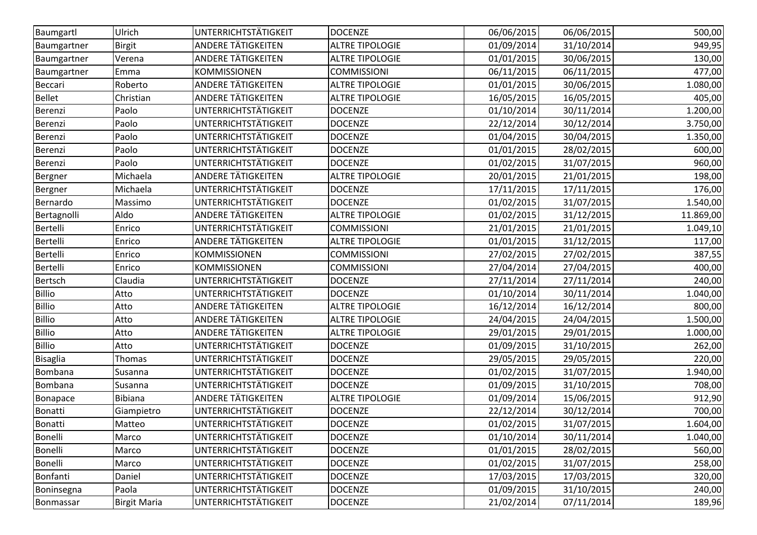| Baumgartl       | Ulrich              | UNTERRICHTSTÄTIGKEIT        | <b>DOCENZE</b>         | 06/06/2015 | 06/06/2015 | 500,00    |
|-----------------|---------------------|-----------------------------|------------------------|------------|------------|-----------|
| Baumgartner     | <b>Birgit</b>       | <b>ANDERE TÄTIGKEITEN</b>   | <b>ALTRE TIPOLOGIE</b> | 01/09/2014 | 31/10/2014 | 949,95    |
| Baumgartner     | Verena              | <b>ANDERE TÄTIGKEITEN</b>   | <b>ALTRE TIPOLOGIE</b> | 01/01/2015 | 30/06/2015 | 130,00    |
| Baumgartner     | Emma                | <b>KOMMISSIONEN</b>         | <b>COMMISSIONI</b>     | 06/11/2015 | 06/11/2015 | 477,00    |
| Beccari         | Roberto             | ANDERE TÄTIGKEITEN          | <b>ALTRE TIPOLOGIE</b> | 01/01/2015 | 30/06/2015 | 1.080,00  |
| <b>Bellet</b>   | Christian           | ANDERE TÄTIGKEITEN          | <b>ALTRE TIPOLOGIE</b> | 16/05/2015 | 16/05/2015 | 405,00    |
| Berenzi         | Paolo               | UNTERRICHTSTÄTIGKEIT        | <b>DOCENZE</b>         | 01/10/2014 | 30/11/2014 | 1.200,00  |
| Berenzi         | Paolo               | UNTERRICHTSTÄTIGKEIT        | <b>DOCENZE</b>         | 22/12/2014 | 30/12/2014 | 3.750,00  |
| Berenzi         | Paolo               | UNTERRICHTSTÄTIGKEIT        | <b>DOCENZE</b>         | 01/04/2015 | 30/04/2015 | 1.350,00  |
| Berenzi         | Paolo               | UNTERRICHTSTÄTIGKEIT        | <b>DOCENZE</b>         | 01/01/2015 | 28/02/2015 | 600,00    |
| Berenzi         | Paolo               | UNTERRICHTSTÄTIGKEIT        | <b>DOCENZE</b>         | 01/02/2015 | 31/07/2015 | 960,00    |
| Bergner         | Michaela            | <b>ANDERE TÄTIGKEITEN</b>   | <b>ALTRE TIPOLOGIE</b> | 20/01/2015 | 21/01/2015 | 198,00    |
| Bergner         | Michaela            | UNTERRICHTSTÄTIGKEIT        | <b>DOCENZE</b>         | 17/11/2015 | 17/11/2015 | 176,00    |
| Bernardo        | Massimo             | UNTERRICHTSTÄTIGKEIT        | <b>DOCENZE</b>         | 01/02/2015 | 31/07/2015 | 1.540,00  |
| Bertagnolli     | Aldo                | ANDERE TÄTIGKEITEN          | <b>ALTRE TIPOLOGIE</b> | 01/02/2015 | 31/12/2015 | 11.869,00 |
| <b>Bertelli</b> | Enrico              | <b>UNTERRICHTSTÄTIGKEIT</b> | <b>COMMISSIONI</b>     | 21/01/2015 | 21/01/2015 | 1.049, 10 |
| Bertelli        | Enrico              | <b>ANDERE TÄTIGKEITEN</b>   | <b>ALTRE TIPOLOGIE</b> | 01/01/2015 | 31/12/2015 | 117,00    |
| <b>Bertelli</b> | Enrico              | <b>KOMMISSIONEN</b>         | <b>COMMISSIONI</b>     | 27/02/2015 | 27/02/2015 | 387,55    |
| <b>Bertelli</b> | Enrico              | KOMMISSIONEN                | <b>COMMISSIONI</b>     | 27/04/2014 | 27/04/2015 | 400,00    |
| Bertsch         | Claudia             | UNTERRICHTSTÄTIGKEIT        | <b>DOCENZE</b>         | 27/11/2014 | 27/11/2014 | 240,00    |
| <b>Billio</b>   | Atto                | UNTERRICHTSTÄTIGKEIT        | <b>DOCENZE</b>         | 01/10/2014 | 30/11/2014 | 1.040,00  |
| <b>Billio</b>   | Atto                | <b>ANDERE TÄTIGKEITEN</b>   | <b>ALTRE TIPOLOGIE</b> | 16/12/2014 | 16/12/2014 | 800,00    |
| <b>Billio</b>   | Atto                | <b>ANDERE TÄTIGKEITEN</b>   | <b>ALTRE TIPOLOGIE</b> | 24/04/2015 | 24/04/2015 | 1.500,00  |
| <b>Billio</b>   | Atto                | ANDERE TÄTIGKEITEN          | <b>ALTRE TIPOLOGIE</b> | 29/01/2015 | 29/01/2015 | 1.000,00  |
| <b>Billio</b>   | Atto                | UNTERRICHTSTÄTIGKEIT        | <b>DOCENZE</b>         | 01/09/2015 | 31/10/2015 | 262,00    |
| <b>Bisaglia</b> | Thomas              | UNTERRICHTSTÄTIGKEIT        | <b>DOCENZE</b>         | 29/05/2015 | 29/05/2015 | 220,00    |
| Bombana         | Susanna             | UNTERRICHTSTÄTIGKEIT        | <b>DOCENZE</b>         | 01/02/2015 | 31/07/2015 | 1.940,00  |
| Bombana         | Susanna             | <b>UNTERRICHTSTÄTIGKEIT</b> | <b>DOCENZE</b>         | 01/09/2015 | 31/10/2015 | 708,00    |
| Bonapace        | Bibiana             | <b>ANDERE TÄTIGKEITEN</b>   | <b>ALTRE TIPOLOGIE</b> | 01/09/2014 | 15/06/2015 | 912,90    |
| <b>Bonatti</b>  | Giampietro          | UNTERRICHTSTÄTIGKEIT        | <b>DOCENZE</b>         | 22/12/2014 | 30/12/2014 | 700,00    |
| Bonatti         | Matteo              | UNTERRICHTSTÄTIGKEIT        | <b>DOCENZE</b>         | 01/02/2015 | 31/07/2015 | 1.604,00  |
| Bonelli         | Marco               | <b>UNTERRICHTSTÄTIGKEIT</b> | <b>DOCENZE</b>         | 01/10/2014 | 30/11/2014 | 1.040,00  |
| <b>Bonelli</b>  | Marco               | UNTERRICHTSTÄTIGKEIT        | <b>DOCENZE</b>         | 01/01/2015 | 28/02/2015 | 560,00    |
| Bonelli         | Marco               | <b>UNTERRICHTSTÄTIGKEIT</b> | <b>DOCENZE</b>         | 01/02/2015 | 31/07/2015 | 258,00    |
| Bonfanti        | Daniel              | <b>UNTERRICHTSTÄTIGKEIT</b> | <b>DOCENZE</b>         | 17/03/2015 | 17/03/2015 | 320,00    |
| Boninsegna      | Paola               | UNTERRICHTSTÄTIGKEIT        | <b>DOCENZE</b>         | 01/09/2015 | 31/10/2015 | 240,00    |
| Bonmassar       | <b>Birgit Maria</b> | <b>UNTERRICHTSTÄTIGKEIT</b> | <b>DOCENZE</b>         | 21/02/2014 | 07/11/2014 | 189,96    |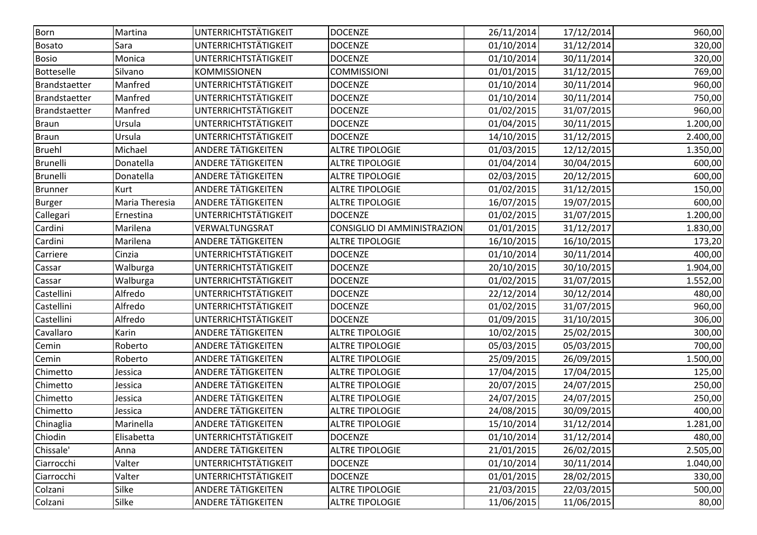| UNTERRICHTSTÄTIGKEIT<br>Born<br><b>DOCENZE</b><br>26/11/2014<br>17/12/2014<br>Martina<br>UNTERRICHTSTÄTIGKEIT<br>01/10/2014<br><b>DOCENZE</b><br>31/12/2014<br><b>Bosato</b><br>Sara<br>UNTERRICHTSTÄTIGKEIT<br><b>DOCENZE</b><br>01/10/2014<br>30/11/2014<br><b>Bosio</b><br>Monica<br><b>KOMMISSIONEN</b><br><b>COMMISSIONI</b><br>01/01/2015<br>31/12/2015<br><b>Botteselle</b><br>Silvano<br>Manfred<br>UNTERRICHTSTÄTIGKEIT<br>01/10/2014<br><b>DOCENZE</b><br>30/11/2014<br>Brandstaetter<br>UNTERRICHTSTÄTIGKEIT<br>Manfred<br><b>DOCENZE</b><br>01/10/2014<br>30/11/2014<br>Brandstaetter<br>UNTERRICHTSTÄTIGKEIT<br>Manfred<br>01/02/2015<br>31/07/2015<br>Brandstaetter<br><b>DOCENZE</b><br>UNTERRICHTSTÄTIGKEIT<br>01/04/2015<br>30/11/2015<br><b>Braun</b><br>Ursula<br><b>DOCENZE</b><br>UNTERRICHTSTÄTIGKEIT<br>Ursula<br><b>DOCENZE</b><br>14/10/2015<br>31/12/2015<br><b>Braun</b><br><b>ANDERE TÄTIGKEITEN</b><br><b>ALTRE TIPOLOGIE</b><br>01/03/2015<br>12/12/2015<br><b>Bruehl</b><br>Michael<br><b>ANDERE TÄTIGKEITEN</b><br><b>Brunelli</b><br>Donatella<br><b>ALTRE TIPOLOGIE</b><br>01/04/2014<br>30/04/2015<br>ANDERE TÄTIGKEITEN<br><b>Brunelli</b><br>Donatella<br><b>ALTRE TIPOLOGIE</b><br>02/03/2015<br>20/12/2015<br><b>ANDERE TÄTIGKEITEN</b><br>01/02/2015<br><b>ALTRE TIPOLOGIE</b><br>31/12/2015<br>Kurt<br><b>Brunner</b><br><b>ANDERE TÄTIGKEITEN</b><br>Maria Theresia<br><b>ALTRE TIPOLOGIE</b><br>16/07/2015<br>19/07/2015<br><b>Burger</b><br>UNTERRICHTSTÄTIGKEIT<br><b>DOCENZE</b><br>01/02/2015<br>31/07/2015<br>Callegari<br>Ernestina<br>VERWALTUNGSRAT<br><b>CONSIGLIO DI AMMINISTRAZION</b><br>Cardini<br>Marilena<br>01/01/2015<br>31/12/2017<br><b>ANDERE TÄTIGKEITEN</b><br>Cardini<br>Marilena<br><b>ALTRE TIPOLOGIE</b><br>16/10/2015<br>16/10/2015<br>UNTERRICHTSTÄTIGKEIT<br><b>DOCENZE</b><br>01/10/2014<br>Cinzia<br>30/11/2014<br>Carriere<br>UNTERRICHTSTÄTIGKEIT<br><b>DOCENZE</b><br>20/10/2015<br>30/10/2015<br>Walburga<br>Cassar<br>UNTERRICHTSTÄTIGKEIT<br>Walburga<br><b>DOCENZE</b><br>01/02/2015<br>31/07/2015<br>Cassar<br>Alfredo<br>UNTERRICHTSTÄTIGKEIT<br>Castellini<br><b>DOCENZE</b><br>22/12/2014<br>30/12/2014<br>UNTERRICHTSTÄTIGKEIT<br>Castellini<br>Alfredo<br>31/07/2015<br><b>DOCENZE</b><br>01/02/2015<br>UNTERRICHTSTÄTIGKEIT<br>Castellini<br>Alfredo<br><b>DOCENZE</b><br>01/09/2015<br>31/10/2015<br>ANDERE TÄTIGKEITEN<br><b>ALTRE TIPOLOGIE</b><br>10/02/2015<br>Cavallaro<br>25/02/2015<br>Karin<br>ANDERE TÄTIGKEITEN<br>Roberto<br><b>ALTRE TIPOLOGIE</b><br>05/03/2015<br>Cemin<br>05/03/2015<br><b>ANDERE TÄTIGKEITEN</b><br>25/09/2015<br>Roberto<br><b>ALTRE TIPOLOGIE</b><br>26/09/2015<br>Cemin<br><b>ANDERE TÄTIGKEITEN</b><br><b>ALTRE TIPOLOGIE</b><br>17/04/2015<br>17/04/2015<br>Chimetto<br>Jessica<br>ANDERE TÄTIGKEITEN<br><b>ALTRE TIPOLOGIE</b><br>20/07/2015<br>24/07/2015<br>Chimetto<br>Jessica<br><b>ANDERE TÄTIGKEITEN</b><br><b>ALTRE TIPOLOGIE</b><br>24/07/2015<br>24/07/2015<br>Chimetto<br>Jessica<br><b>ANDERE TÄTIGKEITEN</b><br>Chimetto<br><b>ALTRE TIPOLOGIE</b><br>24/08/2015<br>30/09/2015<br>Jessica<br><b>ANDERE TÄTIGKEITEN</b><br>15/10/2014<br>Chinaglia<br><b>ALTRE TIPOLOGIE</b><br>31/12/2014<br>Marinella<br>Chiodin<br>UNTERRICHTSTÄTIGKEIT<br>01/10/2014<br>31/12/2014<br>Elisabetta<br><b>DOCENZE</b><br>Chissale'<br><b>ANDERE TÄTIGKEITEN</b><br><b>ALTRE TIPOLOGIE</b><br>21/01/2015<br>26/02/2015<br>Anna<br>UNTERRICHTSTÄTIGKEIT<br>Valter<br><b>DOCENZE</b><br>01/10/2014<br>30/11/2014<br>Ciarrocchi<br>UNTERRICHTSTÄTIGKEIT<br>Valter<br><b>DOCENZE</b><br>01/01/2015<br>28/02/2015<br>Ciarrocchi<br>Silke<br>ANDERE TÄTIGKEITEN<br>21/03/2015<br>22/03/2015<br>Colzani<br><b>ALTRE TIPOLOGIE</b><br><b>ANDERE TÄTIGKEITEN</b><br>11/06/2015<br><b>ALTRE TIPOLOGIE</b> |         |       |  |            |          |
|---------------------------------------------------------------------------------------------------------------------------------------------------------------------------------------------------------------------------------------------------------------------------------------------------------------------------------------------------------------------------------------------------------------------------------------------------------------------------------------------------------------------------------------------------------------------------------------------------------------------------------------------------------------------------------------------------------------------------------------------------------------------------------------------------------------------------------------------------------------------------------------------------------------------------------------------------------------------------------------------------------------------------------------------------------------------------------------------------------------------------------------------------------------------------------------------------------------------------------------------------------------------------------------------------------------------------------------------------------------------------------------------------------------------------------------------------------------------------------------------------------------------------------------------------------------------------------------------------------------------------------------------------------------------------------------------------------------------------------------------------------------------------------------------------------------------------------------------------------------------------------------------------------------------------------------------------------------------------------------------------------------------------------------------------------------------------------------------------------------------------------------------------------------------------------------------------------------------------------------------------------------------------------------------------------------------------------------------------------------------------------------------------------------------------------------------------------------------------------------------------------------------------------------------------------------------------------------------------------------------------------------------------------------------------------------------------------------------------------------------------------------------------------------------------------------------------------------------------------------------------------------------------------------------------------------------------------------------------------------------------------------------------------------------------------------------------------------------------------------------------------------------------------------------------------------------------------------------------------------------------------------------------------------------------------------------------------------------------------------------------------------------------------------------------------------------------------------------------------------------------------------------------------------------------------------------------------------------------------------------------------------------------------------------------------------------------------------------------------------------------------------------------------------------------------------------------|---------|-------|--|------------|----------|
|                                                                                                                                                                                                                                                                                                                                                                                                                                                                                                                                                                                                                                                                                                                                                                                                                                                                                                                                                                                                                                                                                                                                                                                                                                                                                                                                                                                                                                                                                                                                                                                                                                                                                                                                                                                                                                                                                                                                                                                                                                                                                                                                                                                                                                                                                                                                                                                                                                                                                                                                                                                                                                                                                                                                                                                                                                                                                                                                                                                                                                                                                                                                                                                                                                                                                                                                                                                                                                                                                                                                                                                                                                                                                                                                                                                                                           |         |       |  |            | 960,00   |
|                                                                                                                                                                                                                                                                                                                                                                                                                                                                                                                                                                                                                                                                                                                                                                                                                                                                                                                                                                                                                                                                                                                                                                                                                                                                                                                                                                                                                                                                                                                                                                                                                                                                                                                                                                                                                                                                                                                                                                                                                                                                                                                                                                                                                                                                                                                                                                                                                                                                                                                                                                                                                                                                                                                                                                                                                                                                                                                                                                                                                                                                                                                                                                                                                                                                                                                                                                                                                                                                                                                                                                                                                                                                                                                                                                                                                           |         |       |  |            | 320,00   |
|                                                                                                                                                                                                                                                                                                                                                                                                                                                                                                                                                                                                                                                                                                                                                                                                                                                                                                                                                                                                                                                                                                                                                                                                                                                                                                                                                                                                                                                                                                                                                                                                                                                                                                                                                                                                                                                                                                                                                                                                                                                                                                                                                                                                                                                                                                                                                                                                                                                                                                                                                                                                                                                                                                                                                                                                                                                                                                                                                                                                                                                                                                                                                                                                                                                                                                                                                                                                                                                                                                                                                                                                                                                                                                                                                                                                                           |         |       |  |            | 320,00   |
|                                                                                                                                                                                                                                                                                                                                                                                                                                                                                                                                                                                                                                                                                                                                                                                                                                                                                                                                                                                                                                                                                                                                                                                                                                                                                                                                                                                                                                                                                                                                                                                                                                                                                                                                                                                                                                                                                                                                                                                                                                                                                                                                                                                                                                                                                                                                                                                                                                                                                                                                                                                                                                                                                                                                                                                                                                                                                                                                                                                                                                                                                                                                                                                                                                                                                                                                                                                                                                                                                                                                                                                                                                                                                                                                                                                                                           |         |       |  |            | 769,00   |
|                                                                                                                                                                                                                                                                                                                                                                                                                                                                                                                                                                                                                                                                                                                                                                                                                                                                                                                                                                                                                                                                                                                                                                                                                                                                                                                                                                                                                                                                                                                                                                                                                                                                                                                                                                                                                                                                                                                                                                                                                                                                                                                                                                                                                                                                                                                                                                                                                                                                                                                                                                                                                                                                                                                                                                                                                                                                                                                                                                                                                                                                                                                                                                                                                                                                                                                                                                                                                                                                                                                                                                                                                                                                                                                                                                                                                           |         |       |  |            | 960,00   |
|                                                                                                                                                                                                                                                                                                                                                                                                                                                                                                                                                                                                                                                                                                                                                                                                                                                                                                                                                                                                                                                                                                                                                                                                                                                                                                                                                                                                                                                                                                                                                                                                                                                                                                                                                                                                                                                                                                                                                                                                                                                                                                                                                                                                                                                                                                                                                                                                                                                                                                                                                                                                                                                                                                                                                                                                                                                                                                                                                                                                                                                                                                                                                                                                                                                                                                                                                                                                                                                                                                                                                                                                                                                                                                                                                                                                                           |         |       |  |            | 750,00   |
|                                                                                                                                                                                                                                                                                                                                                                                                                                                                                                                                                                                                                                                                                                                                                                                                                                                                                                                                                                                                                                                                                                                                                                                                                                                                                                                                                                                                                                                                                                                                                                                                                                                                                                                                                                                                                                                                                                                                                                                                                                                                                                                                                                                                                                                                                                                                                                                                                                                                                                                                                                                                                                                                                                                                                                                                                                                                                                                                                                                                                                                                                                                                                                                                                                                                                                                                                                                                                                                                                                                                                                                                                                                                                                                                                                                                                           |         |       |  |            | 960,00   |
|                                                                                                                                                                                                                                                                                                                                                                                                                                                                                                                                                                                                                                                                                                                                                                                                                                                                                                                                                                                                                                                                                                                                                                                                                                                                                                                                                                                                                                                                                                                                                                                                                                                                                                                                                                                                                                                                                                                                                                                                                                                                                                                                                                                                                                                                                                                                                                                                                                                                                                                                                                                                                                                                                                                                                                                                                                                                                                                                                                                                                                                                                                                                                                                                                                                                                                                                                                                                                                                                                                                                                                                                                                                                                                                                                                                                                           |         |       |  |            | 1.200,00 |
|                                                                                                                                                                                                                                                                                                                                                                                                                                                                                                                                                                                                                                                                                                                                                                                                                                                                                                                                                                                                                                                                                                                                                                                                                                                                                                                                                                                                                                                                                                                                                                                                                                                                                                                                                                                                                                                                                                                                                                                                                                                                                                                                                                                                                                                                                                                                                                                                                                                                                                                                                                                                                                                                                                                                                                                                                                                                                                                                                                                                                                                                                                                                                                                                                                                                                                                                                                                                                                                                                                                                                                                                                                                                                                                                                                                                                           |         |       |  |            | 2.400,00 |
|                                                                                                                                                                                                                                                                                                                                                                                                                                                                                                                                                                                                                                                                                                                                                                                                                                                                                                                                                                                                                                                                                                                                                                                                                                                                                                                                                                                                                                                                                                                                                                                                                                                                                                                                                                                                                                                                                                                                                                                                                                                                                                                                                                                                                                                                                                                                                                                                                                                                                                                                                                                                                                                                                                                                                                                                                                                                                                                                                                                                                                                                                                                                                                                                                                                                                                                                                                                                                                                                                                                                                                                                                                                                                                                                                                                                                           |         |       |  |            | 1.350,00 |
|                                                                                                                                                                                                                                                                                                                                                                                                                                                                                                                                                                                                                                                                                                                                                                                                                                                                                                                                                                                                                                                                                                                                                                                                                                                                                                                                                                                                                                                                                                                                                                                                                                                                                                                                                                                                                                                                                                                                                                                                                                                                                                                                                                                                                                                                                                                                                                                                                                                                                                                                                                                                                                                                                                                                                                                                                                                                                                                                                                                                                                                                                                                                                                                                                                                                                                                                                                                                                                                                                                                                                                                                                                                                                                                                                                                                                           |         |       |  |            | 600,00   |
|                                                                                                                                                                                                                                                                                                                                                                                                                                                                                                                                                                                                                                                                                                                                                                                                                                                                                                                                                                                                                                                                                                                                                                                                                                                                                                                                                                                                                                                                                                                                                                                                                                                                                                                                                                                                                                                                                                                                                                                                                                                                                                                                                                                                                                                                                                                                                                                                                                                                                                                                                                                                                                                                                                                                                                                                                                                                                                                                                                                                                                                                                                                                                                                                                                                                                                                                                                                                                                                                                                                                                                                                                                                                                                                                                                                                                           |         |       |  |            | 600,00   |
|                                                                                                                                                                                                                                                                                                                                                                                                                                                                                                                                                                                                                                                                                                                                                                                                                                                                                                                                                                                                                                                                                                                                                                                                                                                                                                                                                                                                                                                                                                                                                                                                                                                                                                                                                                                                                                                                                                                                                                                                                                                                                                                                                                                                                                                                                                                                                                                                                                                                                                                                                                                                                                                                                                                                                                                                                                                                                                                                                                                                                                                                                                                                                                                                                                                                                                                                                                                                                                                                                                                                                                                                                                                                                                                                                                                                                           |         |       |  |            | 150,00   |
|                                                                                                                                                                                                                                                                                                                                                                                                                                                                                                                                                                                                                                                                                                                                                                                                                                                                                                                                                                                                                                                                                                                                                                                                                                                                                                                                                                                                                                                                                                                                                                                                                                                                                                                                                                                                                                                                                                                                                                                                                                                                                                                                                                                                                                                                                                                                                                                                                                                                                                                                                                                                                                                                                                                                                                                                                                                                                                                                                                                                                                                                                                                                                                                                                                                                                                                                                                                                                                                                                                                                                                                                                                                                                                                                                                                                                           |         |       |  |            | 600,00   |
|                                                                                                                                                                                                                                                                                                                                                                                                                                                                                                                                                                                                                                                                                                                                                                                                                                                                                                                                                                                                                                                                                                                                                                                                                                                                                                                                                                                                                                                                                                                                                                                                                                                                                                                                                                                                                                                                                                                                                                                                                                                                                                                                                                                                                                                                                                                                                                                                                                                                                                                                                                                                                                                                                                                                                                                                                                                                                                                                                                                                                                                                                                                                                                                                                                                                                                                                                                                                                                                                                                                                                                                                                                                                                                                                                                                                                           |         |       |  |            | 1.200,00 |
|                                                                                                                                                                                                                                                                                                                                                                                                                                                                                                                                                                                                                                                                                                                                                                                                                                                                                                                                                                                                                                                                                                                                                                                                                                                                                                                                                                                                                                                                                                                                                                                                                                                                                                                                                                                                                                                                                                                                                                                                                                                                                                                                                                                                                                                                                                                                                                                                                                                                                                                                                                                                                                                                                                                                                                                                                                                                                                                                                                                                                                                                                                                                                                                                                                                                                                                                                                                                                                                                                                                                                                                                                                                                                                                                                                                                                           |         |       |  |            | 1.830,00 |
|                                                                                                                                                                                                                                                                                                                                                                                                                                                                                                                                                                                                                                                                                                                                                                                                                                                                                                                                                                                                                                                                                                                                                                                                                                                                                                                                                                                                                                                                                                                                                                                                                                                                                                                                                                                                                                                                                                                                                                                                                                                                                                                                                                                                                                                                                                                                                                                                                                                                                                                                                                                                                                                                                                                                                                                                                                                                                                                                                                                                                                                                                                                                                                                                                                                                                                                                                                                                                                                                                                                                                                                                                                                                                                                                                                                                                           |         |       |  |            | 173,20   |
|                                                                                                                                                                                                                                                                                                                                                                                                                                                                                                                                                                                                                                                                                                                                                                                                                                                                                                                                                                                                                                                                                                                                                                                                                                                                                                                                                                                                                                                                                                                                                                                                                                                                                                                                                                                                                                                                                                                                                                                                                                                                                                                                                                                                                                                                                                                                                                                                                                                                                                                                                                                                                                                                                                                                                                                                                                                                                                                                                                                                                                                                                                                                                                                                                                                                                                                                                                                                                                                                                                                                                                                                                                                                                                                                                                                                                           |         |       |  |            | 400,00   |
|                                                                                                                                                                                                                                                                                                                                                                                                                                                                                                                                                                                                                                                                                                                                                                                                                                                                                                                                                                                                                                                                                                                                                                                                                                                                                                                                                                                                                                                                                                                                                                                                                                                                                                                                                                                                                                                                                                                                                                                                                                                                                                                                                                                                                                                                                                                                                                                                                                                                                                                                                                                                                                                                                                                                                                                                                                                                                                                                                                                                                                                                                                                                                                                                                                                                                                                                                                                                                                                                                                                                                                                                                                                                                                                                                                                                                           |         |       |  |            | 1.904,00 |
|                                                                                                                                                                                                                                                                                                                                                                                                                                                                                                                                                                                                                                                                                                                                                                                                                                                                                                                                                                                                                                                                                                                                                                                                                                                                                                                                                                                                                                                                                                                                                                                                                                                                                                                                                                                                                                                                                                                                                                                                                                                                                                                                                                                                                                                                                                                                                                                                                                                                                                                                                                                                                                                                                                                                                                                                                                                                                                                                                                                                                                                                                                                                                                                                                                                                                                                                                                                                                                                                                                                                                                                                                                                                                                                                                                                                                           |         |       |  |            | 1.552,00 |
|                                                                                                                                                                                                                                                                                                                                                                                                                                                                                                                                                                                                                                                                                                                                                                                                                                                                                                                                                                                                                                                                                                                                                                                                                                                                                                                                                                                                                                                                                                                                                                                                                                                                                                                                                                                                                                                                                                                                                                                                                                                                                                                                                                                                                                                                                                                                                                                                                                                                                                                                                                                                                                                                                                                                                                                                                                                                                                                                                                                                                                                                                                                                                                                                                                                                                                                                                                                                                                                                                                                                                                                                                                                                                                                                                                                                                           |         |       |  |            | 480,00   |
|                                                                                                                                                                                                                                                                                                                                                                                                                                                                                                                                                                                                                                                                                                                                                                                                                                                                                                                                                                                                                                                                                                                                                                                                                                                                                                                                                                                                                                                                                                                                                                                                                                                                                                                                                                                                                                                                                                                                                                                                                                                                                                                                                                                                                                                                                                                                                                                                                                                                                                                                                                                                                                                                                                                                                                                                                                                                                                                                                                                                                                                                                                                                                                                                                                                                                                                                                                                                                                                                                                                                                                                                                                                                                                                                                                                                                           |         |       |  |            | 960,00   |
|                                                                                                                                                                                                                                                                                                                                                                                                                                                                                                                                                                                                                                                                                                                                                                                                                                                                                                                                                                                                                                                                                                                                                                                                                                                                                                                                                                                                                                                                                                                                                                                                                                                                                                                                                                                                                                                                                                                                                                                                                                                                                                                                                                                                                                                                                                                                                                                                                                                                                                                                                                                                                                                                                                                                                                                                                                                                                                                                                                                                                                                                                                                                                                                                                                                                                                                                                                                                                                                                                                                                                                                                                                                                                                                                                                                                                           |         |       |  |            | 306,00   |
|                                                                                                                                                                                                                                                                                                                                                                                                                                                                                                                                                                                                                                                                                                                                                                                                                                                                                                                                                                                                                                                                                                                                                                                                                                                                                                                                                                                                                                                                                                                                                                                                                                                                                                                                                                                                                                                                                                                                                                                                                                                                                                                                                                                                                                                                                                                                                                                                                                                                                                                                                                                                                                                                                                                                                                                                                                                                                                                                                                                                                                                                                                                                                                                                                                                                                                                                                                                                                                                                                                                                                                                                                                                                                                                                                                                                                           |         |       |  |            | 300,00   |
|                                                                                                                                                                                                                                                                                                                                                                                                                                                                                                                                                                                                                                                                                                                                                                                                                                                                                                                                                                                                                                                                                                                                                                                                                                                                                                                                                                                                                                                                                                                                                                                                                                                                                                                                                                                                                                                                                                                                                                                                                                                                                                                                                                                                                                                                                                                                                                                                                                                                                                                                                                                                                                                                                                                                                                                                                                                                                                                                                                                                                                                                                                                                                                                                                                                                                                                                                                                                                                                                                                                                                                                                                                                                                                                                                                                                                           |         |       |  |            | 700,00   |
|                                                                                                                                                                                                                                                                                                                                                                                                                                                                                                                                                                                                                                                                                                                                                                                                                                                                                                                                                                                                                                                                                                                                                                                                                                                                                                                                                                                                                                                                                                                                                                                                                                                                                                                                                                                                                                                                                                                                                                                                                                                                                                                                                                                                                                                                                                                                                                                                                                                                                                                                                                                                                                                                                                                                                                                                                                                                                                                                                                                                                                                                                                                                                                                                                                                                                                                                                                                                                                                                                                                                                                                                                                                                                                                                                                                                                           |         |       |  |            | 1.500,00 |
|                                                                                                                                                                                                                                                                                                                                                                                                                                                                                                                                                                                                                                                                                                                                                                                                                                                                                                                                                                                                                                                                                                                                                                                                                                                                                                                                                                                                                                                                                                                                                                                                                                                                                                                                                                                                                                                                                                                                                                                                                                                                                                                                                                                                                                                                                                                                                                                                                                                                                                                                                                                                                                                                                                                                                                                                                                                                                                                                                                                                                                                                                                                                                                                                                                                                                                                                                                                                                                                                                                                                                                                                                                                                                                                                                                                                                           |         |       |  |            | 125,00   |
|                                                                                                                                                                                                                                                                                                                                                                                                                                                                                                                                                                                                                                                                                                                                                                                                                                                                                                                                                                                                                                                                                                                                                                                                                                                                                                                                                                                                                                                                                                                                                                                                                                                                                                                                                                                                                                                                                                                                                                                                                                                                                                                                                                                                                                                                                                                                                                                                                                                                                                                                                                                                                                                                                                                                                                                                                                                                                                                                                                                                                                                                                                                                                                                                                                                                                                                                                                                                                                                                                                                                                                                                                                                                                                                                                                                                                           |         |       |  |            | 250,00   |
|                                                                                                                                                                                                                                                                                                                                                                                                                                                                                                                                                                                                                                                                                                                                                                                                                                                                                                                                                                                                                                                                                                                                                                                                                                                                                                                                                                                                                                                                                                                                                                                                                                                                                                                                                                                                                                                                                                                                                                                                                                                                                                                                                                                                                                                                                                                                                                                                                                                                                                                                                                                                                                                                                                                                                                                                                                                                                                                                                                                                                                                                                                                                                                                                                                                                                                                                                                                                                                                                                                                                                                                                                                                                                                                                                                                                                           |         |       |  |            | 250,00   |
|                                                                                                                                                                                                                                                                                                                                                                                                                                                                                                                                                                                                                                                                                                                                                                                                                                                                                                                                                                                                                                                                                                                                                                                                                                                                                                                                                                                                                                                                                                                                                                                                                                                                                                                                                                                                                                                                                                                                                                                                                                                                                                                                                                                                                                                                                                                                                                                                                                                                                                                                                                                                                                                                                                                                                                                                                                                                                                                                                                                                                                                                                                                                                                                                                                                                                                                                                                                                                                                                                                                                                                                                                                                                                                                                                                                                                           |         |       |  |            | 400,00   |
|                                                                                                                                                                                                                                                                                                                                                                                                                                                                                                                                                                                                                                                                                                                                                                                                                                                                                                                                                                                                                                                                                                                                                                                                                                                                                                                                                                                                                                                                                                                                                                                                                                                                                                                                                                                                                                                                                                                                                                                                                                                                                                                                                                                                                                                                                                                                                                                                                                                                                                                                                                                                                                                                                                                                                                                                                                                                                                                                                                                                                                                                                                                                                                                                                                                                                                                                                                                                                                                                                                                                                                                                                                                                                                                                                                                                                           |         |       |  |            | 1.281,00 |
|                                                                                                                                                                                                                                                                                                                                                                                                                                                                                                                                                                                                                                                                                                                                                                                                                                                                                                                                                                                                                                                                                                                                                                                                                                                                                                                                                                                                                                                                                                                                                                                                                                                                                                                                                                                                                                                                                                                                                                                                                                                                                                                                                                                                                                                                                                                                                                                                                                                                                                                                                                                                                                                                                                                                                                                                                                                                                                                                                                                                                                                                                                                                                                                                                                                                                                                                                                                                                                                                                                                                                                                                                                                                                                                                                                                                                           |         |       |  |            | 480,00   |
|                                                                                                                                                                                                                                                                                                                                                                                                                                                                                                                                                                                                                                                                                                                                                                                                                                                                                                                                                                                                                                                                                                                                                                                                                                                                                                                                                                                                                                                                                                                                                                                                                                                                                                                                                                                                                                                                                                                                                                                                                                                                                                                                                                                                                                                                                                                                                                                                                                                                                                                                                                                                                                                                                                                                                                                                                                                                                                                                                                                                                                                                                                                                                                                                                                                                                                                                                                                                                                                                                                                                                                                                                                                                                                                                                                                                                           |         |       |  |            | 2.505,00 |
|                                                                                                                                                                                                                                                                                                                                                                                                                                                                                                                                                                                                                                                                                                                                                                                                                                                                                                                                                                                                                                                                                                                                                                                                                                                                                                                                                                                                                                                                                                                                                                                                                                                                                                                                                                                                                                                                                                                                                                                                                                                                                                                                                                                                                                                                                                                                                                                                                                                                                                                                                                                                                                                                                                                                                                                                                                                                                                                                                                                                                                                                                                                                                                                                                                                                                                                                                                                                                                                                                                                                                                                                                                                                                                                                                                                                                           |         |       |  |            | 1.040,00 |
|                                                                                                                                                                                                                                                                                                                                                                                                                                                                                                                                                                                                                                                                                                                                                                                                                                                                                                                                                                                                                                                                                                                                                                                                                                                                                                                                                                                                                                                                                                                                                                                                                                                                                                                                                                                                                                                                                                                                                                                                                                                                                                                                                                                                                                                                                                                                                                                                                                                                                                                                                                                                                                                                                                                                                                                                                                                                                                                                                                                                                                                                                                                                                                                                                                                                                                                                                                                                                                                                                                                                                                                                                                                                                                                                                                                                                           |         |       |  |            | 330,00   |
|                                                                                                                                                                                                                                                                                                                                                                                                                                                                                                                                                                                                                                                                                                                                                                                                                                                                                                                                                                                                                                                                                                                                                                                                                                                                                                                                                                                                                                                                                                                                                                                                                                                                                                                                                                                                                                                                                                                                                                                                                                                                                                                                                                                                                                                                                                                                                                                                                                                                                                                                                                                                                                                                                                                                                                                                                                                                                                                                                                                                                                                                                                                                                                                                                                                                                                                                                                                                                                                                                                                                                                                                                                                                                                                                                                                                                           |         |       |  |            | 500,00   |
|                                                                                                                                                                                                                                                                                                                                                                                                                                                                                                                                                                                                                                                                                                                                                                                                                                                                                                                                                                                                                                                                                                                                                                                                                                                                                                                                                                                                                                                                                                                                                                                                                                                                                                                                                                                                                                                                                                                                                                                                                                                                                                                                                                                                                                                                                                                                                                                                                                                                                                                                                                                                                                                                                                                                                                                                                                                                                                                                                                                                                                                                                                                                                                                                                                                                                                                                                                                                                                                                                                                                                                                                                                                                                                                                                                                                                           | Colzani | Silke |  | 11/06/2015 | 80,00    |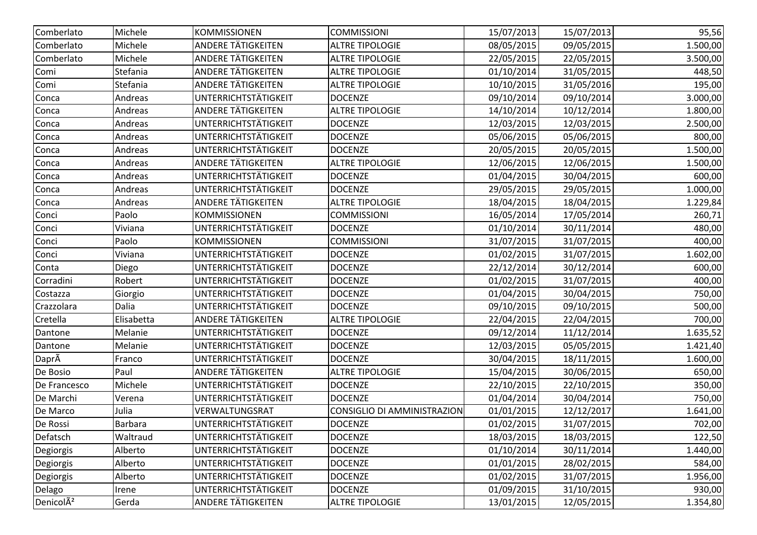| Comberlato            | Michele    | KOMMISSIONEN                | <b>COMMISSIONI</b>                 | 15/07/2013 | 15/07/2013 | 95,56    |
|-----------------------|------------|-----------------------------|------------------------------------|------------|------------|----------|
| Comberlato            | Michele    | <b>ANDERE TÄTIGKEITEN</b>   | <b>ALTRE TIPOLOGIE</b>             | 08/05/2015 | 09/05/2015 | 1.500,00 |
| Comberlato            | Michele    | <b>ANDERE TÄTIGKEITEN</b>   | <b>ALTRE TIPOLOGIE</b>             | 22/05/2015 | 22/05/2015 | 3.500,00 |
| Comi                  | Stefania   | <b>ANDERE TÄTIGKEITEN</b>   | <b>ALTRE TIPOLOGIE</b>             | 01/10/2014 | 31/05/2015 | 448,50   |
| Comi                  | Stefania   | <b>ANDERE TÄTIGKEITEN</b>   | <b>ALTRE TIPOLOGIE</b>             | 10/10/2015 | 31/05/2016 | 195,00   |
| Conca                 | Andreas    | <b>UNTERRICHTSTÄTIGKEIT</b> | <b>DOCENZE</b>                     | 09/10/2014 | 09/10/2014 | 3.000,00 |
| Conca                 | Andreas    | ANDERE TÄTIGKEITEN          | <b>ALTRE TIPOLOGIE</b>             | 14/10/2014 | 10/12/2014 | 1.800,00 |
| Conca                 | Andreas    | <b>UNTERRICHTSTÄTIGKEIT</b> | <b>DOCENZE</b>                     | 12/03/2015 | 12/03/2015 | 2.500,00 |
| Conca                 | Andreas    | <b>UNTERRICHTSTÄTIGKEIT</b> | <b>DOCENZE</b>                     | 05/06/2015 | 05/06/2015 | 800,00   |
| Conca                 | Andreas    | UNTERRICHTSTÄTIGKEIT        | <b>DOCENZE</b>                     | 20/05/2015 | 20/05/2015 | 1.500,00 |
| Conca                 | Andreas    | ANDERE TÄTIGKEITEN          | <b>ALTRE TIPOLOGIE</b>             | 12/06/2015 | 12/06/2015 | 1.500,00 |
| Conca                 | Andreas    | UNTERRICHTSTÄTIGKEIT        | <b>DOCENZE</b>                     | 01/04/2015 | 30/04/2015 | 600,00   |
| Conca                 | Andreas    | <b>UNTERRICHTSTÄTIGKEIT</b> | <b>DOCENZE</b>                     | 29/05/2015 | 29/05/2015 | 1.000,00 |
| Conca                 | Andreas    | <b>ANDERE TÄTIGKEITEN</b>   | <b>ALTRE TIPOLOGIE</b>             | 18/04/2015 | 18/04/2015 | 1.229,84 |
| Conci                 | Paolo      | <b>KOMMISSIONEN</b>         | <b>COMMISSIONI</b>                 | 16/05/2014 | 17/05/2014 | 260,71   |
| Conci                 | Viviana    | UNTERRICHTSTÄTIGKEIT        | <b>DOCENZE</b>                     | 01/10/2014 | 30/11/2014 | 480,00   |
| Conci                 | Paolo      | <b>KOMMISSIONEN</b>         | <b>COMMISSIONI</b>                 | 31/07/2015 | 31/07/2015 | 400,00   |
| Conci                 | Viviana    | <b>UNTERRICHTSTÄTIGKEIT</b> | <b>DOCENZE</b>                     | 01/02/2015 | 31/07/2015 | 1.602,00 |
| Conta                 | Diego      | UNTERRICHTSTÄTIGKEIT        | <b>DOCENZE</b>                     | 22/12/2014 | 30/12/2014 | 600,00   |
| Corradini             | Robert     | <b>UNTERRICHTSTÄTIGKEIT</b> | <b>DOCENZE</b>                     | 01/02/2015 | 31/07/2015 | 400,00   |
| Costazza              | Giorgio    | UNTERRICHTSTÄTIGKEIT        | <b>DOCENZE</b>                     | 01/04/2015 | 30/04/2015 | 750,00   |
| Crazzolara            | Dalia      | <b>UNTERRICHTSTÄTIGKEIT</b> | <b>DOCENZE</b>                     | 09/10/2015 | 09/10/2015 | 500,00   |
| Cretella              | Elisabetta | <b>ANDERE TÄTIGKEITEN</b>   | <b>ALTRE TIPOLOGIE</b>             | 22/04/2015 | 22/04/2015 | 700,00   |
| Dantone               | Melanie    | <b>UNTERRICHTSTÄTIGKEIT</b> | <b>DOCENZE</b>                     | 09/12/2014 | 11/12/2014 | 1.635,52 |
| Dantone               | Melanie    | UNTERRICHTSTÄTIGKEIT        | <b>DOCENZE</b>                     | 12/03/2015 | 05/05/2015 | 1.421,40 |
| DaprÃ                 | Franco     | UNTERRICHTSTÄTIGKEIT        | <b>DOCENZE</b>                     | 30/04/2015 | 18/11/2015 | 1.600,00 |
| De Bosio              | Paul       | <b>ANDERE TÄTIGKEITEN</b>   | <b>ALTRE TIPOLOGIE</b>             | 15/04/2015 | 30/06/2015 | 650,00   |
| De Francesco          | Michele    | <b>UNTERRICHTSTÄTIGKEIT</b> | <b>DOCENZE</b>                     | 22/10/2015 | 22/10/2015 | 350,00   |
| De Marchi             | Verena     | UNTERRICHTSTÄTIGKEIT        | <b>DOCENZE</b>                     | 01/04/2014 | 30/04/2014 | 750,00   |
| De Marco              | Julia      | VERWALTUNGSRAT              | <b>CONSIGLIO DI AMMINISTRAZION</b> | 01/01/2015 | 12/12/2017 | 1.641,00 |
| De Rossi              | Barbara    | <b>UNTERRICHTSTÄTIGKEIT</b> | <b>DOCENZE</b>                     | 01/02/2015 | 31/07/2015 | 702,00   |
| Defatsch              | Waltraud   | <b>UNTERRICHTSTÄTIGKEIT</b> | <b>DOCENZE</b>                     | 18/03/2015 | 18/03/2015 | 122,50   |
| Degiorgis             | Alberto    | UNTERRICHTSTÄTIGKEIT        | <b>DOCENZE</b>                     | 01/10/2014 | 30/11/2014 | 1.440,00 |
| Degiorgis             | Alberto    | <b>UNTERRICHTSTÄTIGKEIT</b> | <b>DOCENZE</b>                     | 01/01/2015 | 28/02/2015 | 584,00   |
| Degiorgis             | Alberto    | <b>UNTERRICHTSTÄTIGKEIT</b> | <b>DOCENZE</b>                     | 01/02/2015 | 31/07/2015 | 1.956,00 |
| Delago                | Irene      | <b>UNTERRICHTSTÄTIGKEIT</b> | <b>DOCENZE</b>                     | 01/09/2015 | 31/10/2015 | 930,00   |
| Denicol <sub>A2</sub> | Gerda      | ANDERE TÄTIGKEITEN          | <b>ALTRE TIPOLOGIE</b>             | 13/01/2015 | 12/05/2015 | 1.354,80 |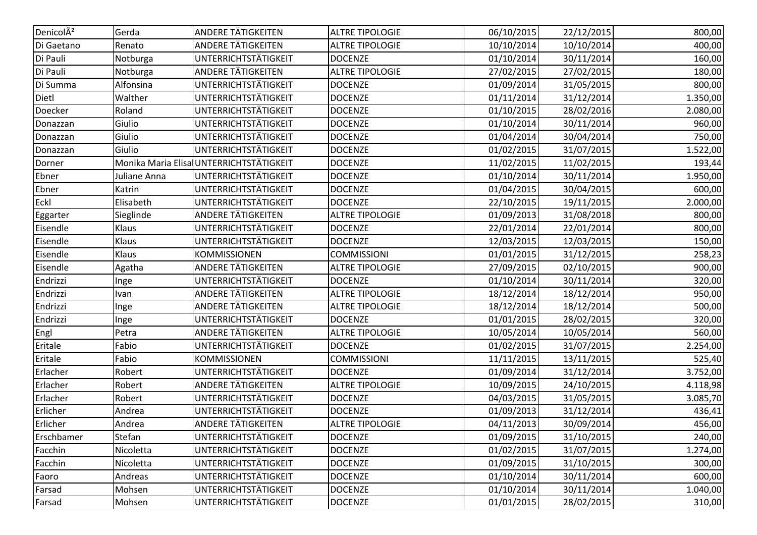| DenicolA <sup>2</sup> | Gerda        | <b>ANDERE TÄTIGKEITEN</b>               | <b>ALTRE TIPOLOGIE</b> | 06/10/2015 | 22/12/2015 | 800,00   |
|-----------------------|--------------|-----------------------------------------|------------------------|------------|------------|----------|
| Di Gaetano            | Renato       | <b>ANDERE TÄTIGKEITEN</b>               | <b>ALTRE TIPOLOGIE</b> | 10/10/2014 | 10/10/2014 | 400,00   |
| Di Pauli              | Notburga     | UNTERRICHTSTÄTIGKEIT                    | <b>DOCENZE</b>         | 01/10/2014 | 30/11/2014 | 160,00   |
| Di Pauli              | Notburga     | ANDERE TÄTIGKEITEN                      | <b>ALTRE TIPOLOGIE</b> | 27/02/2015 | 27/02/2015 | 180,00   |
| Di Summa              | Alfonsina    | UNTERRICHTSTÄTIGKEIT                    | <b>DOCENZE</b>         | 01/09/2014 | 31/05/2015 | 800,00   |
| Dietl                 | Walther      | UNTERRICHTSTÄTIGKEIT                    | <b>DOCENZE</b>         | 01/11/2014 | 31/12/2014 | 1.350,00 |
| Doecker               | Roland       | UNTERRICHTSTÄTIGKEIT                    | <b>DOCENZE</b>         | 01/10/2015 | 28/02/2016 | 2.080,00 |
| Donazzan              | Giulio       | UNTERRICHTSTÄTIGKEIT                    | <b>DOCENZE</b>         | 01/10/2014 | 30/11/2014 | 960,00   |
| Donazzan              | Giulio       | <b>UNTERRICHTSTÄTIGKEIT</b>             | <b>DOCENZE</b>         | 01/04/2014 | 30/04/2014 | 750,00   |
| Donazzan              | Giulio       | UNTERRICHTSTÄTIGKEIT                    | <b>DOCENZE</b>         | 01/02/2015 | 31/07/2015 | 1.522,00 |
| Dorner                |              | Monika Maria Elisa UNTERRICHTSTÄTIGKEIT | <b>DOCENZE</b>         | 11/02/2015 | 11/02/2015 | 193,44   |
| Ebner                 | Juliane Anna | UNTERRICHTSTÄTIGKEIT                    | <b>DOCENZE</b>         | 01/10/2014 | 30/11/2014 | 1.950,00 |
| Ebner                 | Katrin       | UNTERRICHTSTÄTIGKEIT                    | <b>DOCENZE</b>         | 01/04/2015 | 30/04/2015 | 600,00   |
| Eckl                  | Elisabeth    | UNTERRICHTSTÄTIGKEIT                    | <b>DOCENZE</b>         | 22/10/2015 | 19/11/2015 | 2.000,00 |
| Eggarter              | Sieglinde    | ANDERE TÄTIGKEITEN                      | <b>ALTRE TIPOLOGIE</b> | 01/09/2013 | 31/08/2018 | 800,00   |
| Eisendle              | Klaus        | UNTERRICHTSTÄTIGKEIT                    | <b>DOCENZE</b>         | 22/01/2014 | 22/01/2014 | 800,00   |
| Eisendle              | Klaus        | UNTERRICHTSTÄTIGKEIT                    | <b>DOCENZE</b>         | 12/03/2015 | 12/03/2015 | 150,00   |
| Eisendle              | Klaus        | <b>KOMMISSIONEN</b>                     | <b>COMMISSIONI</b>     | 01/01/2015 | 31/12/2015 | 258,23   |
| Eisendle              | Agatha       | ANDERE TÄTIGKEITEN                      | <b>ALTRE TIPOLOGIE</b> | 27/09/2015 | 02/10/2015 | 900,00   |
| Endrizzi              | Inge         | UNTERRICHTSTÄTIGKEIT                    | <b>DOCENZE</b>         | 01/10/2014 | 30/11/2014 | 320,00   |
| Endrizzi              | Ivan         | <b>ANDERE TÄTIGKEITEN</b>               | <b>ALTRE TIPOLOGIE</b> | 18/12/2014 | 18/12/2014 | 950,00   |
| Endrizzi              | Inge         | ANDERE TÄTIGKEITEN                      | <b>ALTRE TIPOLOGIE</b> | 18/12/2014 | 18/12/2014 | 500,00   |
| Endrizzi              | Inge         | UNTERRICHTSTÄTIGKEIT                    | <b>DOCENZE</b>         | 01/01/2015 | 28/02/2015 | 320,00   |
| Engl                  | Petra        | ANDERE TÄTIGKEITEN                      | <b>ALTRE TIPOLOGIE</b> | 10/05/2014 | 10/05/2014 | 560,00   |
| Eritale               | Fabio        | UNTERRICHTSTÄTIGKEIT                    | <b>DOCENZE</b>         | 01/02/2015 | 31/07/2015 | 2.254,00 |
| Eritale               | Fabio        | <b>KOMMISSIONEN</b>                     | <b>COMMISSIONI</b>     | 11/11/2015 | 13/11/2015 | 525,40   |
| Erlacher              | Robert       | UNTERRICHTSTÄTIGKEIT                    | <b>DOCENZE</b>         | 01/09/2014 | 31/12/2014 | 3.752,00 |
| Erlacher              | Robert       | ANDERE TÄTIGKEITEN                      | <b>ALTRE TIPOLOGIE</b> | 10/09/2015 | 24/10/2015 | 4.118,98 |
| Erlacher              | Robert       | UNTERRICHTSTÄTIGKEIT                    | <b>DOCENZE</b>         | 04/03/2015 | 31/05/2015 | 3.085,70 |
| Erlicher              | Andrea       | UNTERRICHTSTÄTIGKEIT                    | <b>DOCENZE</b>         | 01/09/2013 | 31/12/2014 | 436,41   |
| Erlicher              | Andrea       | <b>ANDERE TÄTIGKEITEN</b>               | <b>ALTRE TIPOLOGIE</b> | 04/11/2013 | 30/09/2014 | 456,00   |
| Erschbamer            | Stefan       | <b>UNTERRICHTSTÄTIGKEIT</b>             | <b>DOCENZE</b>         | 01/09/2015 | 31/10/2015 | 240,00   |
| Facchin               | Nicoletta    | <b>UNTERRICHTSTÄTIGKEIT</b>             | <b>DOCENZE</b>         | 01/02/2015 | 31/07/2015 | 1.274,00 |
| Facchin               | Nicoletta    | UNTERRICHTSTÄTIGKEIT                    | <b>DOCENZE</b>         | 01/09/2015 | 31/10/2015 | 300,00   |
| Faoro                 | Andreas      | UNTERRICHTSTÄTIGKEIT                    | <b>DOCENZE</b>         | 01/10/2014 | 30/11/2014 | 600,00   |
| Farsad                | Mohsen       | UNTERRICHTSTÄTIGKEIT                    | <b>DOCENZE</b>         | 01/10/2014 | 30/11/2014 | 1.040,00 |
| Farsad                | Mohsen       | <b>UNTERRICHTSTÄTIGKEIT</b>             | <b>DOCENZE</b>         | 01/01/2015 | 28/02/2015 | 310,00   |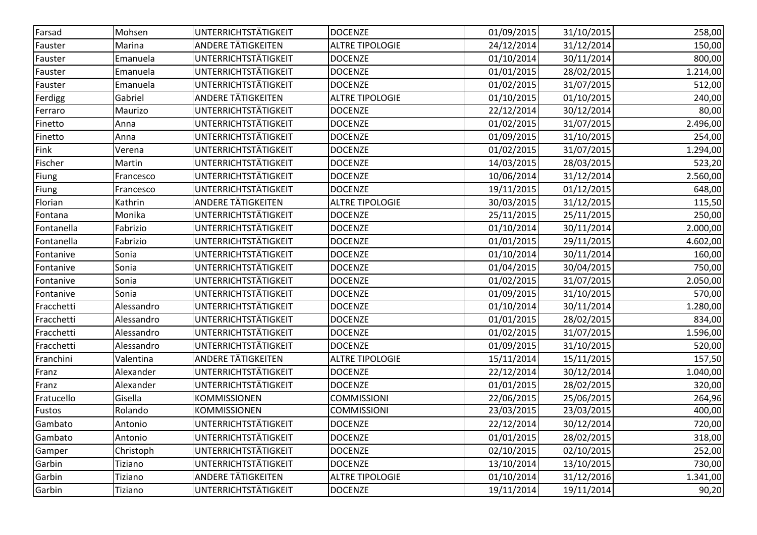| Farsad     | Mohsen     | UNTERRICHTSTÄTIGKEIT        | <b>DOCENZE</b>         | 01/09/2015 | 31/10/2015 | 258,00   |
|------------|------------|-----------------------------|------------------------|------------|------------|----------|
| Fauster    | Marina     | <b>ANDERE TÄTIGKEITEN</b>   | <b>ALTRE TIPOLOGIE</b> | 24/12/2014 | 31/12/2014 | 150,00   |
| Fauster    | Emanuela   | UNTERRICHTSTÄTIGKEIT        | <b>DOCENZE</b>         | 01/10/2014 | 30/11/2014 | 800,00   |
| Fauster    | Emanuela   | UNTERRICHTSTÄTIGKEIT        | <b>DOCENZE</b>         | 01/01/2015 | 28/02/2015 | 1.214,00 |
| Fauster    | Emanuela   | UNTERRICHTSTÄTIGKEIT        | <b>DOCENZE</b>         | 01/02/2015 | 31/07/2015 | 512,00   |
| Ferdigg    | Gabriel    | ANDERE TÄTIGKEITEN          | <b>ALTRE TIPOLOGIE</b> | 01/10/2015 | 01/10/2015 | 240,00   |
| Ferraro    | Maurizo    | UNTERRICHTSTÄTIGKEIT        | <b>DOCENZE</b>         | 22/12/2014 | 30/12/2014 | 80,00    |
| Finetto    | Anna       | UNTERRICHTSTÄTIGKEIT        | <b>DOCENZE</b>         | 01/02/2015 | 31/07/2015 | 2.496,00 |
| Finetto    | Anna       | <b>UNTERRICHTSTÄTIGKEIT</b> | <b>DOCENZE</b>         | 01/09/2015 | 31/10/2015 | 254,00   |
| Fink       | Verena     | UNTERRICHTSTÄTIGKEIT        | <b>DOCENZE</b>         | 01/02/2015 | 31/07/2015 | 1.294,00 |
| Fischer    | Martin     | <b>UNTERRICHTSTÄTIGKEIT</b> | <b>DOCENZE</b>         | 14/03/2015 | 28/03/2015 | 523,20   |
| Fiung      | Francesco  | UNTERRICHTSTÄTIGKEIT        | <b>DOCENZE</b>         | 10/06/2014 | 31/12/2014 | 2.560,00 |
| Fiung      | Francesco  | UNTERRICHTSTÄTIGKEIT        | <b>DOCENZE</b>         | 19/11/2015 | 01/12/2015 | 648,00   |
| Florian    | Kathrin    | ANDERE TÄTIGKEITEN          | <b>ALTRE TIPOLOGIE</b> | 30/03/2015 | 31/12/2015 | 115,50   |
| Fontana    | Monika     | UNTERRICHTSTÄTIGKEIT        | <b>DOCENZE</b>         | 25/11/2015 | 25/11/2015 | 250,00   |
| Fontanella | Fabrizio   | UNTERRICHTSTÄTIGKEIT        | <b>DOCENZE</b>         | 01/10/2014 | 30/11/2014 | 2.000,00 |
| Fontanella | Fabrizio   | UNTERRICHTSTÄTIGKEIT        | <b>DOCENZE</b>         | 01/01/2015 | 29/11/2015 | 4.602,00 |
| Fontanive  | Sonia      | UNTERRICHTSTÄTIGKEIT        | <b>DOCENZE</b>         | 01/10/2014 | 30/11/2014 | 160,00   |
| Fontanive  | Sonia      | <b>UNTERRICHTSTÄTIGKEIT</b> | <b>DOCENZE</b>         | 01/04/2015 | 30/04/2015 | 750,00   |
| Fontanive  | Sonia      | UNTERRICHTSTÄTIGKEIT        | <b>DOCENZE</b>         | 01/02/2015 | 31/07/2015 | 2.050,00 |
| Fontanive  | Sonia      | UNTERRICHTSTÄTIGKEIT        | <b>DOCENZE</b>         | 01/09/2015 | 31/10/2015 | 570,00   |
| Fracchetti | Alessandro | UNTERRICHTSTÄTIGKEIT        | <b>DOCENZE</b>         | 01/10/2014 | 30/11/2014 | 1.280,00 |
| Fracchetti | Alessandro | UNTERRICHTSTÄTIGKEIT        | <b>DOCENZE</b>         | 01/01/2015 | 28/02/2015 | 834,00   |
| Fracchetti | Alessandro | UNTERRICHTSTÄTIGKEIT        | <b>DOCENZE</b>         | 01/02/2015 | 31/07/2015 | 1.596,00 |
| Fracchetti | Alessandro | UNTERRICHTSTÄTIGKEIT        | <b>DOCENZE</b>         | 01/09/2015 | 31/10/2015 | 520,00   |
| Franchini  | Valentina  | ANDERE TÄTIGKEITEN          | <b>ALTRE TIPOLOGIE</b> | 15/11/2014 | 15/11/2015 | 157,50   |
| Franz      | Alexander  | UNTERRICHTSTÄTIGKEIT        | <b>DOCENZE</b>         | 22/12/2014 | 30/12/2014 | 1.040,00 |
| Franz      | Alexander  | UNTERRICHTSTÄTIGKEIT        | <b>DOCENZE</b>         | 01/01/2015 | 28/02/2015 | 320,00   |
| Fratucello | Gisella    | <b>KOMMISSIONEN</b>         | <b>COMMISSIONI</b>     | 22/06/2015 | 25/06/2015 | 264,96   |
| Fustos     | Rolando    | <b>KOMMISSIONEN</b>         | <b>COMMISSIONI</b>     | 23/03/2015 | 23/03/2015 | 400,00   |
| Gambato    | Antonio    | UNTERRICHTSTÄTIGKEIT        | <b>DOCENZE</b>         | 22/12/2014 | 30/12/2014 | 720,00   |
| Gambato    | Antonio    | UNTERRICHTSTÄTIGKEIT        | <b>DOCENZE</b>         | 01/01/2015 | 28/02/2015 | 318,00   |
| Gamper     | Christoph  | UNTERRICHTSTÄTIGKEIT        | <b>DOCENZE</b>         | 02/10/2015 | 02/10/2015 | 252,00   |
| Garbin     | Tiziano    | <b>UNTERRICHTSTÄTIGKEIT</b> | <b>DOCENZE</b>         | 13/10/2014 | 13/10/2015 | 730,00   |
| Garbin     | Tiziano    | <b>ANDERE TÄTIGKEITEN</b>   | <b>ALTRE TIPOLOGIE</b> | 01/10/2014 | 31/12/2016 | 1.341,00 |
| Garbin     | Tiziano    | <b>UNTERRICHTSTÄTIGKEIT</b> | <b>DOCENZE</b>         | 19/11/2014 | 19/11/2014 | 90,20    |
|            |            |                             |                        |            |            |          |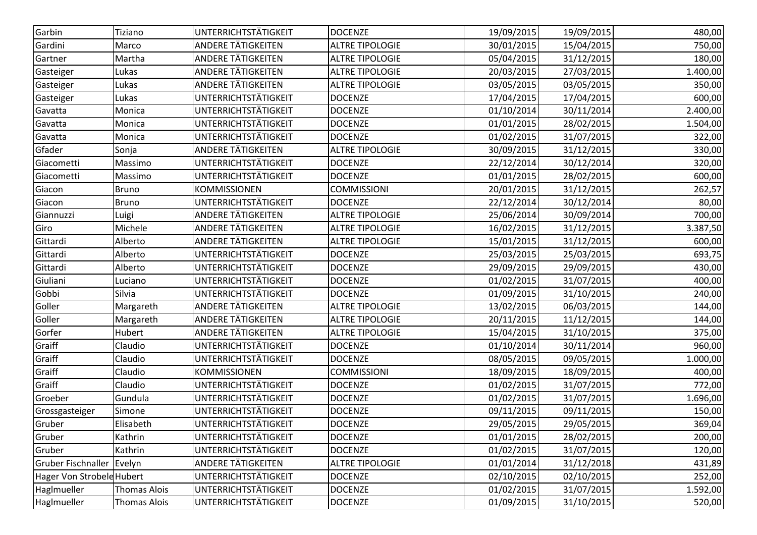| Garbin                    | Tiziano             | UNTERRICHTSTÄTIGKEIT        | <b>DOCENZE</b>         | 19/09/2015 | 19/09/2015 | 480,00   |
|---------------------------|---------------------|-----------------------------|------------------------|------------|------------|----------|
| Gardini                   | Marco               | <b>ANDERE TÄTIGKEITEN</b>   | <b>ALTRE TIPOLOGIE</b> | 30/01/2015 | 15/04/2015 | 750,00   |
| Gartner                   | Martha              | <b>ANDERE TÄTIGKEITEN</b>   | <b>ALTRE TIPOLOGIE</b> | 05/04/2015 | 31/12/2015 | 180,00   |
| Gasteiger                 | Lukas               | <b>ANDERE TÄTIGKEITEN</b>   | <b>ALTRE TIPOLOGIE</b> | 20/03/2015 | 27/03/2015 | 1.400,00 |
| Gasteiger                 | Lukas               | <b>ANDERE TÄTIGKEITEN</b>   | <b>ALTRE TIPOLOGIE</b> | 03/05/2015 | 03/05/2015 | 350,00   |
| Gasteiger                 | Lukas               | UNTERRICHTSTÄTIGKEIT        | <b>DOCENZE</b>         | 17/04/2015 | 17/04/2015 | 600,00   |
| Gavatta                   | Monica              | UNTERRICHTSTÄTIGKEIT        | <b>DOCENZE</b>         | 01/10/2014 | 30/11/2014 | 2.400,00 |
| Gavatta                   | Monica              | UNTERRICHTSTÄTIGKEIT        | <b>DOCENZE</b>         | 01/01/2015 | 28/02/2015 | 1.504,00 |
| Gavatta                   | Monica              | UNTERRICHTSTÄTIGKEIT        | <b>DOCENZE</b>         | 01/02/2015 | 31/07/2015 | 322,00   |
| Gfader                    | Sonja               | ANDERE TÄTIGKEITEN          | <b>ALTRE TIPOLOGIE</b> | 30/09/2015 | 31/12/2015 | 330,00   |
| Giacometti                | Massimo             | UNTERRICHTSTÄTIGKEIT        | <b>DOCENZE</b>         | 22/12/2014 | 30/12/2014 | 320,00   |
| Giacometti                | Massimo             | UNTERRICHTSTÄTIGKEIT        | <b>DOCENZE</b>         | 01/01/2015 | 28/02/2015 | 600,00   |
| Giacon                    | <b>Bruno</b>        | <b>KOMMISSIONEN</b>         | <b>COMMISSIONI</b>     | 20/01/2015 | 31/12/2015 | 262,57   |
| Giacon                    | <b>Bruno</b>        | UNTERRICHTSTÄTIGKEIT        | <b>DOCENZE</b>         | 22/12/2014 | 30/12/2014 | 80,00    |
| Giannuzzi                 | Luigi               | <b>ANDERE TÄTIGKEITEN</b>   | <b>ALTRE TIPOLOGIE</b> | 25/06/2014 | 30/09/2014 | 700,00   |
| Giro                      | Michele             | <b>ANDERE TÄTIGKEITEN</b>   | <b>ALTRE TIPOLOGIE</b> | 16/02/2015 | 31/12/2015 | 3.387,50 |
| Gittardi                  | Alberto             | <b>ANDERE TÄTIGKEITEN</b>   | <b>ALTRE TIPOLOGIE</b> | 15/01/2015 | 31/12/2015 | 600,00   |
| Gittardi                  | Alberto             | UNTERRICHTSTÄTIGKEIT        | <b>DOCENZE</b>         | 25/03/2015 | 25/03/2015 | 693,75   |
| Gittardi                  | Alberto             | UNTERRICHTSTÄTIGKEIT        | <b>DOCENZE</b>         | 29/09/2015 | 29/09/2015 | 430,00   |
| Giuliani                  | Luciano             | UNTERRICHTSTÄTIGKEIT        | <b>DOCENZE</b>         | 01/02/2015 | 31/07/2015 | 400,00   |
| Gobbi                     | Silvia              | UNTERRICHTSTÄTIGKEIT        | <b>DOCENZE</b>         | 01/09/2015 | 31/10/2015 | 240,00   |
| Goller                    | Margareth           | ANDERE TÄTIGKEITEN          | <b>ALTRE TIPOLOGIE</b> | 13/02/2015 | 06/03/2015 | 144,00   |
| Goller                    | Margareth           | <b>ANDERE TÄTIGKEITEN</b>   | <b>ALTRE TIPOLOGIE</b> | 20/11/2015 | 11/12/2015 | 144,00   |
| Gorfer                    | Hubert              | <b>ANDERE TÄTIGKEITEN</b>   | <b>ALTRE TIPOLOGIE</b> | 15/04/2015 | 31/10/2015 | 375,00   |
| Graiff                    | Claudio             | UNTERRICHTSTÄTIGKEIT        | <b>DOCENZE</b>         | 01/10/2014 | 30/11/2014 | 960,00   |
| Graiff                    | Claudio             | UNTERRICHTSTÄTIGKEIT        | <b>DOCENZE</b>         | 08/05/2015 | 09/05/2015 | 1.000,00 |
| Graiff                    | Claudio             | <b>KOMMISSIONEN</b>         | <b>COMMISSIONI</b>     | 18/09/2015 | 18/09/2015 | 400,00   |
| Graiff                    | Claudio             | UNTERRICHTSTÄTIGKEIT        | <b>DOCENZE</b>         | 01/02/2015 | 31/07/2015 | 772,00   |
| Groeber                   | Gundula             | UNTERRICHTSTÄTIGKEIT        | <b>DOCENZE</b>         | 01/02/2015 | 31/07/2015 | 1.696,00 |
| Grossgasteiger            | Simone              | UNTERRICHTSTÄTIGKEIT        | <b>DOCENZE</b>         | 09/11/2015 | 09/11/2015 | 150,00   |
| Gruber                    | Elisabeth           | UNTERRICHTSTÄTIGKEIT        | <b>DOCENZE</b>         | 29/05/2015 | 29/05/2015 | 369,04   |
| Gruber                    | Kathrin             | UNTERRICHTSTÄTIGKEIT        | <b>DOCENZE</b>         | 01/01/2015 | 28/02/2015 | 200,00   |
| Gruber                    | Kathrin             | UNTERRICHTSTÄTIGKEIT        | <b>DOCENZE</b>         | 01/02/2015 | 31/07/2015 | 120,00   |
| Gruber Fischnaller        | Evelyn              | <b>ANDERE TÄTIGKEITEN</b>   | <b>ALTRE TIPOLOGIE</b> | 01/01/2014 | 31/12/2018 | 431,89   |
| Hager Von Strobele Hubert |                     | UNTERRICHTSTÄTIGKEIT        | <b>DOCENZE</b>         | 02/10/2015 | 02/10/2015 | 252,00   |
| Haglmueller               | <b>Thomas Alois</b> | UNTERRICHTSTÄTIGKEIT        | <b>DOCENZE</b>         | 01/02/2015 | 31/07/2015 | 1.592,00 |
| Haglmueller               | <b>Thomas Alois</b> | <b>UNTERRICHTSTÄTIGKEIT</b> | <b>DOCENZE</b>         | 01/09/2015 | 31/10/2015 | 520,00   |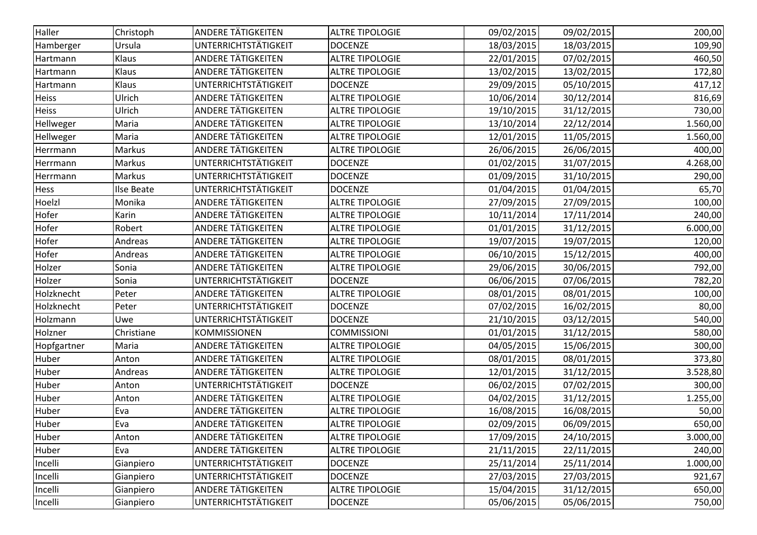| UNTERRICHTSTÄTIGKEIT<br><b>DOCENZE</b><br>18/03/2015<br>18/03/2015<br>109,90<br>Hamberger<br>Ursula<br>ANDERE TÄTIGKEITEN<br><b>ALTRE TIPOLOGIE</b><br>Klaus<br>22/01/2015<br>07/02/2015<br>460,50<br>Hartmann<br><b>ANDERE TÄTIGKEITEN</b><br>Klaus<br><b>ALTRE TIPOLOGIE</b><br>13/02/2015<br>13/02/2015<br>172,80<br>Hartmann<br>UNTERRICHTSTÄTIGKEIT<br>29/09/2015<br>05/10/2015<br>Klaus<br><b>DOCENZE</b><br>417,12<br>Hartmann<br>Ulrich<br><b>ANDERE TÄTIGKEITEN</b><br><b>ALTRE TIPOLOGIE</b><br>10/06/2014<br>30/12/2014<br>816,69<br><b>Heiss</b><br><b>ANDERE TÄTIGKEITEN</b><br>Ulrich<br><b>Heiss</b><br><b>ALTRE TIPOLOGIE</b><br>19/10/2015<br>31/12/2015<br>730,00<br><b>ANDERE TÄTIGKEITEN</b><br><b>ALTRE TIPOLOGIE</b><br>13/10/2014<br>22/12/2014<br>1.560,00<br>Hellweger<br>Maria<br><b>ANDERE TÄTIGKEITEN</b><br><b>ALTRE TIPOLOGIE</b><br>Hellweger<br>Maria<br>12/01/2015<br>11/05/2015<br>1.560,00<br>ANDERE TÄTIGKEITEN<br><b>ALTRE TIPOLOGIE</b><br>Markus<br>26/06/2015<br>26/06/2015<br>400,00<br>Herrmann<br>UNTERRICHTSTÄTIGKEIT<br>Markus<br><b>DOCENZE</b><br>01/02/2015<br>31/07/2015<br>4.268,00<br>Herrmann<br>UNTERRICHTSTÄTIGKEIT<br>01/09/2015<br>Markus<br><b>DOCENZE</b><br>31/10/2015<br>290,00<br>Herrmann<br>UNTERRICHTSTÄTIGKEIT<br><b>DOCENZE</b><br>01/04/2015<br>65,70<br>Ilse Beate<br>01/04/2015<br><b>ANDERE TÄTIGKEITEN</b><br>27/09/2015<br>27/09/2015<br>Hoelzl<br>Monika<br><b>ALTRE TIPOLOGIE</b><br>100,00<br>ANDERE TÄTIGKEITEN<br>Hofer<br>Karin<br><b>ALTRE TIPOLOGIE</b><br>10/11/2014<br>17/11/2014<br>240,00<br><b>ANDERE TÄTIGKEITEN</b><br><b>ALTRE TIPOLOGIE</b><br>6.000,00<br>Robert<br>01/01/2015<br>31/12/2015<br>ANDERE TÄTIGKEITEN<br><b>ALTRE TIPOLOGIE</b><br>19/07/2015<br>19/07/2015<br>120,00<br>Andreas<br><b>ANDERE TÄTIGKEITEN</b><br><b>ALTRE TIPOLOGIE</b><br>06/10/2015<br>400,00<br>Andreas<br>15/12/2015<br><b>ANDERE TÄTIGKEITEN</b><br>30/06/2015<br><b>ALTRE TIPOLOGIE</b><br>29/06/2015<br>792,00<br>Sonia<br>UNTERRICHTSTÄTIGKEIT<br>06/06/2015<br>07/06/2015<br>Sonia<br><b>DOCENZE</b><br>782,20<br>ANDERE TÄTIGKEITEN<br>Peter<br><b>ALTRE TIPOLOGIE</b><br>08/01/2015<br>08/01/2015<br>100,00<br>UNTERRICHTSTÄTIGKEIT<br>Holzknecht<br><b>DOCENZE</b><br>80,00<br>Peter<br>07/02/2015<br>16/02/2015<br>UNTERRICHTSTÄTIGKEIT<br><b>DOCENZE</b><br>21/10/2015<br>03/12/2015<br>540,00<br>Uwe<br><b>COMMISSIONI</b><br>01/01/2015<br>31/12/2015<br>580,00<br><b>KOMMISSIONEN</b><br>Christiane<br>ANDERE TÄTIGKEITEN<br><b>ALTRE TIPOLOGIE</b><br>04/05/2015<br>15/06/2015<br>300,00<br>Maria<br><b>ANDERE TÄTIGKEITEN</b><br><b>ALTRE TIPOLOGIE</b><br>08/01/2015<br>08/01/2015<br>373,80<br>Anton<br>ANDERE TÄTIGKEITEN<br><b>ALTRE TIPOLOGIE</b><br>12/01/2015<br>31/12/2015<br>3.528,80<br>Andreas<br>UNTERRICHTSTÄTIGKEIT<br><b>DOCENZE</b><br>07/02/2015<br>06/02/2015<br>300,00<br>Anton<br>ANDERE TÄTIGKEITEN<br><b>ALTRE TIPOLOGIE</b><br>04/02/2015<br>31/12/2015<br>Anton<br>1.255,00<br>ANDERE TÄTIGKEITEN<br>Eva<br><b>ALTRE TIPOLOGIE</b><br>16/08/2015<br>16/08/2015<br>50,00<br>Eva<br><b>ANDERE TÄTIGKEITEN</b><br>02/09/2015<br>06/09/2015<br>650,00<br><b>ALTRE TIPOLOGIE</b><br>ANDERE TÄTIGKEITEN<br>3.000,00<br>Huber<br>17/09/2015<br>24/10/2015<br>Anton<br><b>ALTRE TIPOLOGIE</b><br>Huber<br><b>ANDERE TÄTIGKEITEN</b><br>21/11/2015<br>22/11/2015<br>Eva<br><b>ALTRE TIPOLOGIE</b><br>240,00<br><b>UNTERRICHTSTÄTIGKEIT</b><br>Incelli<br>Gianpiero<br><b>DOCENZE</b><br>25/11/2014<br>25/11/2014<br>1.000,00<br><b>UNTERRICHTSTÄTIGKEIT</b><br>27/03/2015<br>Incelli<br><b>DOCENZE</b><br>27/03/2015<br>921,67<br>Gianpiero<br>ANDERE TÄTIGKEITEN<br>15/04/2015<br>31/12/2015<br><b>ALTRE TIPOLOGIE</b><br>650,00<br>Gianpiero<br><b>UNTERRICHTSTÄTIGKEIT</b><br>05/06/2015<br><b>DOCENZE</b><br>05/06/2015<br>Incelli<br>750,00<br>Gianpiero | Haller      | Christoph | <b>ANDERE TÄTIGKEITEN</b> | <b>ALTRE TIPOLOGIE</b> | 09/02/2015 | 09/02/2015 | 200,00 |
|------------------------------------------------------------------------------------------------------------------------------------------------------------------------------------------------------------------------------------------------------------------------------------------------------------------------------------------------------------------------------------------------------------------------------------------------------------------------------------------------------------------------------------------------------------------------------------------------------------------------------------------------------------------------------------------------------------------------------------------------------------------------------------------------------------------------------------------------------------------------------------------------------------------------------------------------------------------------------------------------------------------------------------------------------------------------------------------------------------------------------------------------------------------------------------------------------------------------------------------------------------------------------------------------------------------------------------------------------------------------------------------------------------------------------------------------------------------------------------------------------------------------------------------------------------------------------------------------------------------------------------------------------------------------------------------------------------------------------------------------------------------------------------------------------------------------------------------------------------------------------------------------------------------------------------------------------------------------------------------------------------------------------------------------------------------------------------------------------------------------------------------------------------------------------------------------------------------------------------------------------------------------------------------------------------------------------------------------------------------------------------------------------------------------------------------------------------------------------------------------------------------------------------------------------------------------------------------------------------------------------------------------------------------------------------------------------------------------------------------------------------------------------------------------------------------------------------------------------------------------------------------------------------------------------------------------------------------------------------------------------------------------------------------------------------------------------------------------------------------------------------------------------------------------------------------------------------------------------------------------------------------------------------------------------------------------------------------------------------------------------------------------------------------------------------------------------------------------------------------------------------------------------------------------------------------------------------------------------------------------------------------------------------------------------------------------------------------------------------------------------------------------------------------------------------------------------------------------------------------------|-------------|-----------|---------------------------|------------------------|------------|------------|--------|
|                                                                                                                                                                                                                                                                                                                                                                                                                                                                                                                                                                                                                                                                                                                                                                                                                                                                                                                                                                                                                                                                                                                                                                                                                                                                                                                                                                                                                                                                                                                                                                                                                                                                                                                                                                                                                                                                                                                                                                                                                                                                                                                                                                                                                                                                                                                                                                                                                                                                                                                                                                                                                                                                                                                                                                                                                                                                                                                                                                                                                                                                                                                                                                                                                                                                                                                                                                                                                                                                                                                                                                                                                                                                                                                                                                                                                                                                        |             |           |                           |                        |            |            |        |
|                                                                                                                                                                                                                                                                                                                                                                                                                                                                                                                                                                                                                                                                                                                                                                                                                                                                                                                                                                                                                                                                                                                                                                                                                                                                                                                                                                                                                                                                                                                                                                                                                                                                                                                                                                                                                                                                                                                                                                                                                                                                                                                                                                                                                                                                                                                                                                                                                                                                                                                                                                                                                                                                                                                                                                                                                                                                                                                                                                                                                                                                                                                                                                                                                                                                                                                                                                                                                                                                                                                                                                                                                                                                                                                                                                                                                                                                        |             |           |                           |                        |            |            |        |
|                                                                                                                                                                                                                                                                                                                                                                                                                                                                                                                                                                                                                                                                                                                                                                                                                                                                                                                                                                                                                                                                                                                                                                                                                                                                                                                                                                                                                                                                                                                                                                                                                                                                                                                                                                                                                                                                                                                                                                                                                                                                                                                                                                                                                                                                                                                                                                                                                                                                                                                                                                                                                                                                                                                                                                                                                                                                                                                                                                                                                                                                                                                                                                                                                                                                                                                                                                                                                                                                                                                                                                                                                                                                                                                                                                                                                                                                        |             |           |                           |                        |            |            |        |
|                                                                                                                                                                                                                                                                                                                                                                                                                                                                                                                                                                                                                                                                                                                                                                                                                                                                                                                                                                                                                                                                                                                                                                                                                                                                                                                                                                                                                                                                                                                                                                                                                                                                                                                                                                                                                                                                                                                                                                                                                                                                                                                                                                                                                                                                                                                                                                                                                                                                                                                                                                                                                                                                                                                                                                                                                                                                                                                                                                                                                                                                                                                                                                                                                                                                                                                                                                                                                                                                                                                                                                                                                                                                                                                                                                                                                                                                        |             |           |                           |                        |            |            |        |
|                                                                                                                                                                                                                                                                                                                                                                                                                                                                                                                                                                                                                                                                                                                                                                                                                                                                                                                                                                                                                                                                                                                                                                                                                                                                                                                                                                                                                                                                                                                                                                                                                                                                                                                                                                                                                                                                                                                                                                                                                                                                                                                                                                                                                                                                                                                                                                                                                                                                                                                                                                                                                                                                                                                                                                                                                                                                                                                                                                                                                                                                                                                                                                                                                                                                                                                                                                                                                                                                                                                                                                                                                                                                                                                                                                                                                                                                        |             |           |                           |                        |            |            |        |
|                                                                                                                                                                                                                                                                                                                                                                                                                                                                                                                                                                                                                                                                                                                                                                                                                                                                                                                                                                                                                                                                                                                                                                                                                                                                                                                                                                                                                                                                                                                                                                                                                                                                                                                                                                                                                                                                                                                                                                                                                                                                                                                                                                                                                                                                                                                                                                                                                                                                                                                                                                                                                                                                                                                                                                                                                                                                                                                                                                                                                                                                                                                                                                                                                                                                                                                                                                                                                                                                                                                                                                                                                                                                                                                                                                                                                                                                        |             |           |                           |                        |            |            |        |
|                                                                                                                                                                                                                                                                                                                                                                                                                                                                                                                                                                                                                                                                                                                                                                                                                                                                                                                                                                                                                                                                                                                                                                                                                                                                                                                                                                                                                                                                                                                                                                                                                                                                                                                                                                                                                                                                                                                                                                                                                                                                                                                                                                                                                                                                                                                                                                                                                                                                                                                                                                                                                                                                                                                                                                                                                                                                                                                                                                                                                                                                                                                                                                                                                                                                                                                                                                                                                                                                                                                                                                                                                                                                                                                                                                                                                                                                        |             |           |                           |                        |            |            |        |
|                                                                                                                                                                                                                                                                                                                                                                                                                                                                                                                                                                                                                                                                                                                                                                                                                                                                                                                                                                                                                                                                                                                                                                                                                                                                                                                                                                                                                                                                                                                                                                                                                                                                                                                                                                                                                                                                                                                                                                                                                                                                                                                                                                                                                                                                                                                                                                                                                                                                                                                                                                                                                                                                                                                                                                                                                                                                                                                                                                                                                                                                                                                                                                                                                                                                                                                                                                                                                                                                                                                                                                                                                                                                                                                                                                                                                                                                        |             |           |                           |                        |            |            |        |
|                                                                                                                                                                                                                                                                                                                                                                                                                                                                                                                                                                                                                                                                                                                                                                                                                                                                                                                                                                                                                                                                                                                                                                                                                                                                                                                                                                                                                                                                                                                                                                                                                                                                                                                                                                                                                                                                                                                                                                                                                                                                                                                                                                                                                                                                                                                                                                                                                                                                                                                                                                                                                                                                                                                                                                                                                                                                                                                                                                                                                                                                                                                                                                                                                                                                                                                                                                                                                                                                                                                                                                                                                                                                                                                                                                                                                                                                        |             |           |                           |                        |            |            |        |
|                                                                                                                                                                                                                                                                                                                                                                                                                                                                                                                                                                                                                                                                                                                                                                                                                                                                                                                                                                                                                                                                                                                                                                                                                                                                                                                                                                                                                                                                                                                                                                                                                                                                                                                                                                                                                                                                                                                                                                                                                                                                                                                                                                                                                                                                                                                                                                                                                                                                                                                                                                                                                                                                                                                                                                                                                                                                                                                                                                                                                                                                                                                                                                                                                                                                                                                                                                                                                                                                                                                                                                                                                                                                                                                                                                                                                                                                        |             |           |                           |                        |            |            |        |
|                                                                                                                                                                                                                                                                                                                                                                                                                                                                                                                                                                                                                                                                                                                                                                                                                                                                                                                                                                                                                                                                                                                                                                                                                                                                                                                                                                                                                                                                                                                                                                                                                                                                                                                                                                                                                                                                                                                                                                                                                                                                                                                                                                                                                                                                                                                                                                                                                                                                                                                                                                                                                                                                                                                                                                                                                                                                                                                                                                                                                                                                                                                                                                                                                                                                                                                                                                                                                                                                                                                                                                                                                                                                                                                                                                                                                                                                        |             |           |                           |                        |            |            |        |
|                                                                                                                                                                                                                                                                                                                                                                                                                                                                                                                                                                                                                                                                                                                                                                                                                                                                                                                                                                                                                                                                                                                                                                                                                                                                                                                                                                                                                                                                                                                                                                                                                                                                                                                                                                                                                                                                                                                                                                                                                                                                                                                                                                                                                                                                                                                                                                                                                                                                                                                                                                                                                                                                                                                                                                                                                                                                                                                                                                                                                                                                                                                                                                                                                                                                                                                                                                                                                                                                                                                                                                                                                                                                                                                                                                                                                                                                        |             |           |                           |                        |            |            |        |
|                                                                                                                                                                                                                                                                                                                                                                                                                                                                                                                                                                                                                                                                                                                                                                                                                                                                                                                                                                                                                                                                                                                                                                                                                                                                                                                                                                                                                                                                                                                                                                                                                                                                                                                                                                                                                                                                                                                                                                                                                                                                                                                                                                                                                                                                                                                                                                                                                                                                                                                                                                                                                                                                                                                                                                                                                                                                                                                                                                                                                                                                                                                                                                                                                                                                                                                                                                                                                                                                                                                                                                                                                                                                                                                                                                                                                                                                        | Hess        |           |                           |                        |            |            |        |
|                                                                                                                                                                                                                                                                                                                                                                                                                                                                                                                                                                                                                                                                                                                                                                                                                                                                                                                                                                                                                                                                                                                                                                                                                                                                                                                                                                                                                                                                                                                                                                                                                                                                                                                                                                                                                                                                                                                                                                                                                                                                                                                                                                                                                                                                                                                                                                                                                                                                                                                                                                                                                                                                                                                                                                                                                                                                                                                                                                                                                                                                                                                                                                                                                                                                                                                                                                                                                                                                                                                                                                                                                                                                                                                                                                                                                                                                        |             |           |                           |                        |            |            |        |
|                                                                                                                                                                                                                                                                                                                                                                                                                                                                                                                                                                                                                                                                                                                                                                                                                                                                                                                                                                                                                                                                                                                                                                                                                                                                                                                                                                                                                                                                                                                                                                                                                                                                                                                                                                                                                                                                                                                                                                                                                                                                                                                                                                                                                                                                                                                                                                                                                                                                                                                                                                                                                                                                                                                                                                                                                                                                                                                                                                                                                                                                                                                                                                                                                                                                                                                                                                                                                                                                                                                                                                                                                                                                                                                                                                                                                                                                        |             |           |                           |                        |            |            |        |
|                                                                                                                                                                                                                                                                                                                                                                                                                                                                                                                                                                                                                                                                                                                                                                                                                                                                                                                                                                                                                                                                                                                                                                                                                                                                                                                                                                                                                                                                                                                                                                                                                                                                                                                                                                                                                                                                                                                                                                                                                                                                                                                                                                                                                                                                                                                                                                                                                                                                                                                                                                                                                                                                                                                                                                                                                                                                                                                                                                                                                                                                                                                                                                                                                                                                                                                                                                                                                                                                                                                                                                                                                                                                                                                                                                                                                                                                        | Hofer       |           |                           |                        |            |            |        |
|                                                                                                                                                                                                                                                                                                                                                                                                                                                                                                                                                                                                                                                                                                                                                                                                                                                                                                                                                                                                                                                                                                                                                                                                                                                                                                                                                                                                                                                                                                                                                                                                                                                                                                                                                                                                                                                                                                                                                                                                                                                                                                                                                                                                                                                                                                                                                                                                                                                                                                                                                                                                                                                                                                                                                                                                                                                                                                                                                                                                                                                                                                                                                                                                                                                                                                                                                                                                                                                                                                                                                                                                                                                                                                                                                                                                                                                                        | Hofer       |           |                           |                        |            |            |        |
|                                                                                                                                                                                                                                                                                                                                                                                                                                                                                                                                                                                                                                                                                                                                                                                                                                                                                                                                                                                                                                                                                                                                                                                                                                                                                                                                                                                                                                                                                                                                                                                                                                                                                                                                                                                                                                                                                                                                                                                                                                                                                                                                                                                                                                                                                                                                                                                                                                                                                                                                                                                                                                                                                                                                                                                                                                                                                                                                                                                                                                                                                                                                                                                                                                                                                                                                                                                                                                                                                                                                                                                                                                                                                                                                                                                                                                                                        | Hofer       |           |                           |                        |            |            |        |
|                                                                                                                                                                                                                                                                                                                                                                                                                                                                                                                                                                                                                                                                                                                                                                                                                                                                                                                                                                                                                                                                                                                                                                                                                                                                                                                                                                                                                                                                                                                                                                                                                                                                                                                                                                                                                                                                                                                                                                                                                                                                                                                                                                                                                                                                                                                                                                                                                                                                                                                                                                                                                                                                                                                                                                                                                                                                                                                                                                                                                                                                                                                                                                                                                                                                                                                                                                                                                                                                                                                                                                                                                                                                                                                                                                                                                                                                        | Holzer      |           |                           |                        |            |            |        |
|                                                                                                                                                                                                                                                                                                                                                                                                                                                                                                                                                                                                                                                                                                                                                                                                                                                                                                                                                                                                                                                                                                                                                                                                                                                                                                                                                                                                                                                                                                                                                                                                                                                                                                                                                                                                                                                                                                                                                                                                                                                                                                                                                                                                                                                                                                                                                                                                                                                                                                                                                                                                                                                                                                                                                                                                                                                                                                                                                                                                                                                                                                                                                                                                                                                                                                                                                                                                                                                                                                                                                                                                                                                                                                                                                                                                                                                                        | Holzer      |           |                           |                        |            |            |        |
|                                                                                                                                                                                                                                                                                                                                                                                                                                                                                                                                                                                                                                                                                                                                                                                                                                                                                                                                                                                                                                                                                                                                                                                                                                                                                                                                                                                                                                                                                                                                                                                                                                                                                                                                                                                                                                                                                                                                                                                                                                                                                                                                                                                                                                                                                                                                                                                                                                                                                                                                                                                                                                                                                                                                                                                                                                                                                                                                                                                                                                                                                                                                                                                                                                                                                                                                                                                                                                                                                                                                                                                                                                                                                                                                                                                                                                                                        | Holzknecht  |           |                           |                        |            |            |        |
|                                                                                                                                                                                                                                                                                                                                                                                                                                                                                                                                                                                                                                                                                                                                                                                                                                                                                                                                                                                                                                                                                                                                                                                                                                                                                                                                                                                                                                                                                                                                                                                                                                                                                                                                                                                                                                                                                                                                                                                                                                                                                                                                                                                                                                                                                                                                                                                                                                                                                                                                                                                                                                                                                                                                                                                                                                                                                                                                                                                                                                                                                                                                                                                                                                                                                                                                                                                                                                                                                                                                                                                                                                                                                                                                                                                                                                                                        |             |           |                           |                        |            |            |        |
|                                                                                                                                                                                                                                                                                                                                                                                                                                                                                                                                                                                                                                                                                                                                                                                                                                                                                                                                                                                                                                                                                                                                                                                                                                                                                                                                                                                                                                                                                                                                                                                                                                                                                                                                                                                                                                                                                                                                                                                                                                                                                                                                                                                                                                                                                                                                                                                                                                                                                                                                                                                                                                                                                                                                                                                                                                                                                                                                                                                                                                                                                                                                                                                                                                                                                                                                                                                                                                                                                                                                                                                                                                                                                                                                                                                                                                                                        | Holzmann    |           |                           |                        |            |            |        |
|                                                                                                                                                                                                                                                                                                                                                                                                                                                                                                                                                                                                                                                                                                                                                                                                                                                                                                                                                                                                                                                                                                                                                                                                                                                                                                                                                                                                                                                                                                                                                                                                                                                                                                                                                                                                                                                                                                                                                                                                                                                                                                                                                                                                                                                                                                                                                                                                                                                                                                                                                                                                                                                                                                                                                                                                                                                                                                                                                                                                                                                                                                                                                                                                                                                                                                                                                                                                                                                                                                                                                                                                                                                                                                                                                                                                                                                                        | Holzner     |           |                           |                        |            |            |        |
|                                                                                                                                                                                                                                                                                                                                                                                                                                                                                                                                                                                                                                                                                                                                                                                                                                                                                                                                                                                                                                                                                                                                                                                                                                                                                                                                                                                                                                                                                                                                                                                                                                                                                                                                                                                                                                                                                                                                                                                                                                                                                                                                                                                                                                                                                                                                                                                                                                                                                                                                                                                                                                                                                                                                                                                                                                                                                                                                                                                                                                                                                                                                                                                                                                                                                                                                                                                                                                                                                                                                                                                                                                                                                                                                                                                                                                                                        | Hopfgartner |           |                           |                        |            |            |        |
|                                                                                                                                                                                                                                                                                                                                                                                                                                                                                                                                                                                                                                                                                                                                                                                                                                                                                                                                                                                                                                                                                                                                                                                                                                                                                                                                                                                                                                                                                                                                                                                                                                                                                                                                                                                                                                                                                                                                                                                                                                                                                                                                                                                                                                                                                                                                                                                                                                                                                                                                                                                                                                                                                                                                                                                                                                                                                                                                                                                                                                                                                                                                                                                                                                                                                                                                                                                                                                                                                                                                                                                                                                                                                                                                                                                                                                                                        | Huber       |           |                           |                        |            |            |        |
|                                                                                                                                                                                                                                                                                                                                                                                                                                                                                                                                                                                                                                                                                                                                                                                                                                                                                                                                                                                                                                                                                                                                                                                                                                                                                                                                                                                                                                                                                                                                                                                                                                                                                                                                                                                                                                                                                                                                                                                                                                                                                                                                                                                                                                                                                                                                                                                                                                                                                                                                                                                                                                                                                                                                                                                                                                                                                                                                                                                                                                                                                                                                                                                                                                                                                                                                                                                                                                                                                                                                                                                                                                                                                                                                                                                                                                                                        | Huber       |           |                           |                        |            |            |        |
|                                                                                                                                                                                                                                                                                                                                                                                                                                                                                                                                                                                                                                                                                                                                                                                                                                                                                                                                                                                                                                                                                                                                                                                                                                                                                                                                                                                                                                                                                                                                                                                                                                                                                                                                                                                                                                                                                                                                                                                                                                                                                                                                                                                                                                                                                                                                                                                                                                                                                                                                                                                                                                                                                                                                                                                                                                                                                                                                                                                                                                                                                                                                                                                                                                                                                                                                                                                                                                                                                                                                                                                                                                                                                                                                                                                                                                                                        | Huber       |           |                           |                        |            |            |        |
|                                                                                                                                                                                                                                                                                                                                                                                                                                                                                                                                                                                                                                                                                                                                                                                                                                                                                                                                                                                                                                                                                                                                                                                                                                                                                                                                                                                                                                                                                                                                                                                                                                                                                                                                                                                                                                                                                                                                                                                                                                                                                                                                                                                                                                                                                                                                                                                                                                                                                                                                                                                                                                                                                                                                                                                                                                                                                                                                                                                                                                                                                                                                                                                                                                                                                                                                                                                                                                                                                                                                                                                                                                                                                                                                                                                                                                                                        | Huber       |           |                           |                        |            |            |        |
|                                                                                                                                                                                                                                                                                                                                                                                                                                                                                                                                                                                                                                                                                                                                                                                                                                                                                                                                                                                                                                                                                                                                                                                                                                                                                                                                                                                                                                                                                                                                                                                                                                                                                                                                                                                                                                                                                                                                                                                                                                                                                                                                                                                                                                                                                                                                                                                                                                                                                                                                                                                                                                                                                                                                                                                                                                                                                                                                                                                                                                                                                                                                                                                                                                                                                                                                                                                                                                                                                                                                                                                                                                                                                                                                                                                                                                                                        | Huber       |           |                           |                        |            |            |        |
|                                                                                                                                                                                                                                                                                                                                                                                                                                                                                                                                                                                                                                                                                                                                                                                                                                                                                                                                                                                                                                                                                                                                                                                                                                                                                                                                                                                                                                                                                                                                                                                                                                                                                                                                                                                                                                                                                                                                                                                                                                                                                                                                                                                                                                                                                                                                                                                                                                                                                                                                                                                                                                                                                                                                                                                                                                                                                                                                                                                                                                                                                                                                                                                                                                                                                                                                                                                                                                                                                                                                                                                                                                                                                                                                                                                                                                                                        | Huber       |           |                           |                        |            |            |        |
|                                                                                                                                                                                                                                                                                                                                                                                                                                                                                                                                                                                                                                                                                                                                                                                                                                                                                                                                                                                                                                                                                                                                                                                                                                                                                                                                                                                                                                                                                                                                                                                                                                                                                                                                                                                                                                                                                                                                                                                                                                                                                                                                                                                                                                                                                                                                                                                                                                                                                                                                                                                                                                                                                                                                                                                                                                                                                                                                                                                                                                                                                                                                                                                                                                                                                                                                                                                                                                                                                                                                                                                                                                                                                                                                                                                                                                                                        |             |           |                           |                        |            |            |        |
|                                                                                                                                                                                                                                                                                                                                                                                                                                                                                                                                                                                                                                                                                                                                                                                                                                                                                                                                                                                                                                                                                                                                                                                                                                                                                                                                                                                                                                                                                                                                                                                                                                                                                                                                                                                                                                                                                                                                                                                                                                                                                                                                                                                                                                                                                                                                                                                                                                                                                                                                                                                                                                                                                                                                                                                                                                                                                                                                                                                                                                                                                                                                                                                                                                                                                                                                                                                                                                                                                                                                                                                                                                                                                                                                                                                                                                                                        |             |           |                           |                        |            |            |        |
|                                                                                                                                                                                                                                                                                                                                                                                                                                                                                                                                                                                                                                                                                                                                                                                                                                                                                                                                                                                                                                                                                                                                                                                                                                                                                                                                                                                                                                                                                                                                                                                                                                                                                                                                                                                                                                                                                                                                                                                                                                                                                                                                                                                                                                                                                                                                                                                                                                                                                                                                                                                                                                                                                                                                                                                                                                                                                                                                                                                                                                                                                                                                                                                                                                                                                                                                                                                                                                                                                                                                                                                                                                                                                                                                                                                                                                                                        |             |           |                           |                        |            |            |        |
|                                                                                                                                                                                                                                                                                                                                                                                                                                                                                                                                                                                                                                                                                                                                                                                                                                                                                                                                                                                                                                                                                                                                                                                                                                                                                                                                                                                                                                                                                                                                                                                                                                                                                                                                                                                                                                                                                                                                                                                                                                                                                                                                                                                                                                                                                                                                                                                                                                                                                                                                                                                                                                                                                                                                                                                                                                                                                                                                                                                                                                                                                                                                                                                                                                                                                                                                                                                                                                                                                                                                                                                                                                                                                                                                                                                                                                                                        |             |           |                           |                        |            |            |        |
|                                                                                                                                                                                                                                                                                                                                                                                                                                                                                                                                                                                                                                                                                                                                                                                                                                                                                                                                                                                                                                                                                                                                                                                                                                                                                                                                                                                                                                                                                                                                                                                                                                                                                                                                                                                                                                                                                                                                                                                                                                                                                                                                                                                                                                                                                                                                                                                                                                                                                                                                                                                                                                                                                                                                                                                                                                                                                                                                                                                                                                                                                                                                                                                                                                                                                                                                                                                                                                                                                                                                                                                                                                                                                                                                                                                                                                                                        | Incelli     |           |                           |                        |            |            |        |
|                                                                                                                                                                                                                                                                                                                                                                                                                                                                                                                                                                                                                                                                                                                                                                                                                                                                                                                                                                                                                                                                                                                                                                                                                                                                                                                                                                                                                                                                                                                                                                                                                                                                                                                                                                                                                                                                                                                                                                                                                                                                                                                                                                                                                                                                                                                                                                                                                                                                                                                                                                                                                                                                                                                                                                                                                                                                                                                                                                                                                                                                                                                                                                                                                                                                                                                                                                                                                                                                                                                                                                                                                                                                                                                                                                                                                                                                        |             |           |                           |                        |            |            |        |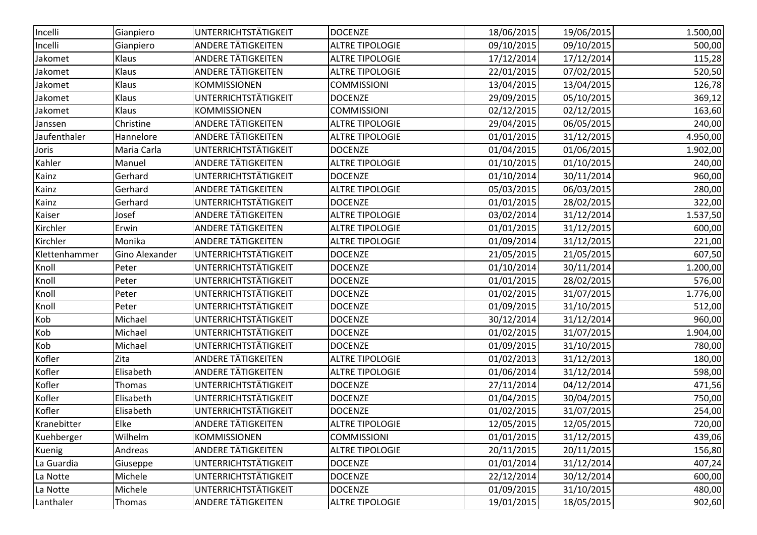| Incelli       | Gianpiero             | <b>UNTERRICHTSTÄTIGKEIT</b> | <b>DOCENZE</b>         | 18/06/2015 | 19/06/2015 | 1.500,00 |
|---------------|-----------------------|-----------------------------|------------------------|------------|------------|----------|
| Incelli       | Gianpiero             | <b>ANDERE TÄTIGKEITEN</b>   | <b>ALTRE TIPOLOGIE</b> | 09/10/2015 | 09/10/2015 | 500,00   |
| Jakomet       | Klaus                 | <b>ANDERE TÄTIGKEITEN</b>   | <b>ALTRE TIPOLOGIE</b> | 17/12/2014 | 17/12/2014 | 115,28   |
| Jakomet       | Klaus                 | ANDERE TÄTIGKEITEN          | <b>ALTRE TIPOLOGIE</b> | 22/01/2015 | 07/02/2015 | 520,50   |
| Jakomet       | Klaus                 | <b>KOMMISSIONEN</b>         | <b>COMMISSIONI</b>     | 13/04/2015 | 13/04/2015 | 126,78   |
| Jakomet       | Klaus                 | UNTERRICHTSTÄTIGKEIT        | <b>DOCENZE</b>         | 29/09/2015 | 05/10/2015 | 369,12   |
| Jakomet       | Klaus                 | KOMMISSIONEN                | <b>COMMISSIONI</b>     | 02/12/2015 | 02/12/2015 | 163,60   |
| Janssen       | Christine             | <b>ANDERE TÄTIGKEITEN</b>   | <b>ALTRE TIPOLOGIE</b> | 29/04/2015 | 06/05/2015 | 240,00   |
| Jaufenthaler  | Hannelore             | <b>ANDERE TÄTIGKEITEN</b>   | <b>ALTRE TIPOLOGIE</b> | 01/01/2015 | 31/12/2015 | 4.950,00 |
| Joris         | Maria Carla           | UNTERRICHTSTÄTIGKEIT        | <b>DOCENZE</b>         | 01/04/2015 | 01/06/2015 | 1.902,00 |
| Kahler        | Manuel                | ANDERE TÄTIGKEITEN          | <b>ALTRE TIPOLOGIE</b> | 01/10/2015 | 01/10/2015 | 240,00   |
| Kainz         | Gerhard               | UNTERRICHTSTÄTIGKEIT        | <b>DOCENZE</b>         | 01/10/2014 | 30/11/2014 | 960,00   |
| Kainz         | Gerhard               | ANDERE TÄTIGKEITEN          | <b>ALTRE TIPOLOGIE</b> | 05/03/2015 | 06/03/2015 | 280,00   |
| Kainz         | Gerhard               | UNTERRICHTSTÄTIGKEIT        | <b>DOCENZE</b>         | 01/01/2015 | 28/02/2015 | 322,00   |
| Kaiser        | Josef                 | ANDERE TÄTIGKEITEN          | <b>ALTRE TIPOLOGIE</b> | 03/02/2014 | 31/12/2014 | 1.537,50 |
| Kirchler      | Erwin                 | ANDERE TÄTIGKEITEN          | <b>ALTRE TIPOLOGIE</b> | 01/01/2015 | 31/12/2015 | 600,00   |
| Kirchler      | Monika                | ANDERE TÄTIGKEITEN          | <b>ALTRE TIPOLOGIE</b> | 01/09/2014 | 31/12/2015 | 221,00   |
| Klettenhammer | <b>Gino Alexander</b> | <b>UNTERRICHTSTÄTIGKEIT</b> | <b>DOCENZE</b>         | 21/05/2015 | 21/05/2015 | 607,50   |
| Knoll         | Peter                 | UNTERRICHTSTÄTIGKEIT        | <b>DOCENZE</b>         | 01/10/2014 | 30/11/2014 | 1.200,00 |
| Knoll         | Peter                 | UNTERRICHTSTÄTIGKEIT        | <b>DOCENZE</b>         | 01/01/2015 | 28/02/2015 | 576,00   |
| Knoll         | Peter                 | UNTERRICHTSTÄTIGKEIT        | <b>DOCENZE</b>         | 01/02/2015 | 31/07/2015 | 1.776,00 |
| Knoll         | Peter                 | UNTERRICHTSTÄTIGKEIT        | <b>DOCENZE</b>         | 01/09/2015 | 31/10/2015 | 512,00   |
| Kob           | Michael               | UNTERRICHTSTÄTIGKEIT        | <b>DOCENZE</b>         | 30/12/2014 | 31/12/2014 | 960,00   |
| Kob           | Michael               | UNTERRICHTSTÄTIGKEIT        | <b>DOCENZE</b>         | 01/02/2015 | 31/07/2015 | 1.904,00 |
| Kob           | Michael               | <b>UNTERRICHTSTÄTIGKEIT</b> | <b>DOCENZE</b>         | 01/09/2015 | 31/10/2015 | 780,00   |
| Kofler        | Zita                  | <b>ANDERE TÄTIGKEITEN</b>   | <b>ALTRE TIPOLOGIE</b> | 01/02/2013 | 31/12/2013 | 180,00   |
| Kofler        | Elisabeth             | <b>ANDERE TÄTIGKEITEN</b>   | <b>ALTRE TIPOLOGIE</b> | 01/06/2014 | 31/12/2014 | 598,00   |
| Kofler        | Thomas                | UNTERRICHTSTÄTIGKEIT        | <b>DOCENZE</b>         | 27/11/2014 | 04/12/2014 | 471,56   |
| Kofler        | Elisabeth             | UNTERRICHTSTÄTIGKEIT        | <b>DOCENZE</b>         | 01/04/2015 | 30/04/2015 | 750,00   |
| Kofler        | Elisabeth             | UNTERRICHTSTÄTIGKEIT        | <b>DOCENZE</b>         | 01/02/2015 | 31/07/2015 | 254,00   |
| Kranebitter   | Elke                  | ANDERE TÄTIGKEITEN          | <b>ALTRE TIPOLOGIE</b> | 12/05/2015 | 12/05/2015 | 720,00   |
| Kuehberger    | Wilhelm               | <b>KOMMISSIONEN</b>         | <b>COMMISSIONI</b>     | 01/01/2015 | 31/12/2015 | 439,06   |
| Kuenig        | Andreas               | ANDERE TÄTIGKEITEN          | <b>ALTRE TIPOLOGIE</b> | 20/11/2015 | 20/11/2015 | 156,80   |
| La Guardia    | Giuseppe              | UNTERRICHTSTÄTIGKEIT        | <b>DOCENZE</b>         | 01/01/2014 | 31/12/2014 | 407,24   |
| La Notte      | Michele               | UNTERRICHTSTÄTIGKEIT        | <b>DOCENZE</b>         | 22/12/2014 | 30/12/2014 | 600,00   |
| La Notte      | Michele               | UNTERRICHTSTÄTIGKEIT        | <b>DOCENZE</b>         | 01/09/2015 | 31/10/2015 | 480,00   |
| Lanthaler     | Thomas                | <b>ANDERE TÄTIGKEITEN</b>   | <b>ALTRE TIPOLOGIE</b> | 19/01/2015 | 18/05/2015 | 902,60   |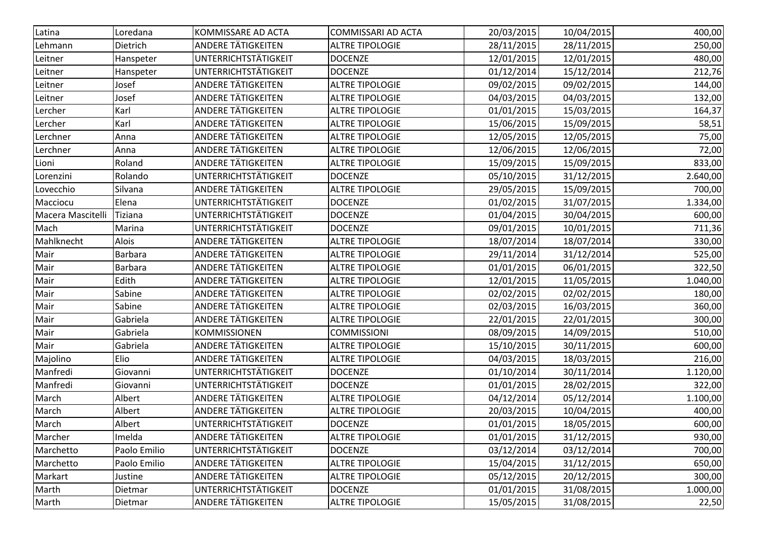| Latina            | Loredana       | KOMMISSARE AD ACTA          | <b>COMMISSARI AD ACTA</b> | 20/03/2015 | 10/04/2015 | 400,00   |
|-------------------|----------------|-----------------------------|---------------------------|------------|------------|----------|
| Lehmann           | Dietrich       | <b>ANDERE TÄTIGKEITEN</b>   | <b>ALTRE TIPOLOGIE</b>    | 28/11/2015 | 28/11/2015 | 250,00   |
| Leitner           | Hanspeter      | UNTERRICHTSTÄTIGKEIT        | <b>DOCENZE</b>            | 12/01/2015 | 12/01/2015 | 480,00   |
| Leitner           | Hanspeter      | UNTERRICHTSTÄTIGKEIT        | <b>DOCENZE</b>            | 01/12/2014 | 15/12/2014 | 212,76   |
| Leitner           | Josef          | ANDERE TÄTIGKEITEN          | <b>ALTRE TIPOLOGIE</b>    | 09/02/2015 | 09/02/2015 | 144,00   |
| Leitner           | Josef          | ANDERE TÄTIGKEITEN          | <b>ALTRE TIPOLOGIE</b>    | 04/03/2015 | 04/03/2015 | 132,00   |
| Lercher           | Karl           | <b>ANDERE TÄTIGKEITEN</b>   | <b>ALTRE TIPOLOGIE</b>    | 01/01/2015 | 15/03/2015 | 164,37   |
| Lercher           | Karl           | <b>ANDERE TÄTIGKEITEN</b>   | <b>ALTRE TIPOLOGIE</b>    | 15/06/2015 | 15/09/2015 | 58,51    |
| Lerchner          | Anna           | <b>ANDERE TÄTIGKEITEN</b>   | <b>ALTRE TIPOLOGIE</b>    | 12/05/2015 | 12/05/2015 | 75,00    |
| Lerchner          | Anna           | ANDERE TÄTIGKEITEN          | <b>ALTRE TIPOLOGIE</b>    | 12/06/2015 | 12/06/2015 | 72,00    |
| Lioni             | Roland         | ANDERE TÄTIGKEITEN          | <b>ALTRE TIPOLOGIE</b>    | 15/09/2015 | 15/09/2015 | 833,00   |
| Lorenzini         | Rolando        | UNTERRICHTSTÄTIGKEIT        | <b>DOCENZE</b>            | 05/10/2015 | 31/12/2015 | 2.640,00 |
| Lovecchio         | Silvana        | ANDERE TÄTIGKEITEN          | <b>ALTRE TIPOLOGIE</b>    | 29/05/2015 | 15/09/2015 | 700,00   |
| Macciocu          | Elena          | UNTERRICHTSTÄTIGKEIT        | <b>DOCENZE</b>            | 01/02/2015 | 31/07/2015 | 1.334,00 |
| Macera Mascitelli | <b>Tiziana</b> | UNTERRICHTSTÄTIGKEIT        | <b>DOCENZE</b>            | 01/04/2015 | 30/04/2015 | 600,00   |
| Mach              | Marina         | UNTERRICHTSTÄTIGKEIT        | <b>DOCENZE</b>            | 09/01/2015 | 10/01/2015 | 711,36   |
| Mahlknecht        | Alois          | <b>ANDERE TÄTIGKEITEN</b>   | <b>ALTRE TIPOLOGIE</b>    | 18/07/2014 | 18/07/2014 | 330,00   |
| Mair              | <b>Barbara</b> | ANDERE TÄTIGKEITEN          | <b>ALTRE TIPOLOGIE</b>    | 29/11/2014 | 31/12/2014 | 525,00   |
| Mair              | <b>Barbara</b> | <b>ANDERE TÄTIGKEITEN</b>   | <b>ALTRE TIPOLOGIE</b>    | 01/01/2015 | 06/01/2015 | 322,50   |
| Mair              | Edith          | <b>ANDERE TÄTIGKEITEN</b>   | <b>ALTRE TIPOLOGIE</b>    | 12/01/2015 | 11/05/2015 | 1.040,00 |
| Mair              | Sabine         | <b>ANDERE TÄTIGKEITEN</b>   | <b>ALTRE TIPOLOGIE</b>    | 02/02/2015 | 02/02/2015 | 180,00   |
| Mair              | Sabine         | <b>ANDERE TÄTIGKEITEN</b>   | <b>ALTRE TIPOLOGIE</b>    | 02/03/2015 | 16/03/2015 | 360,00   |
| Mair              | Gabriela       | ANDERE TÄTIGKEITEN          | <b>ALTRE TIPOLOGIE</b>    | 22/01/2015 | 22/01/2015 | 300,00   |
| Mair              | Gabriela       | <b>KOMMISSIONEN</b>         | <b>COMMISSIONI</b>        | 08/09/2015 | 14/09/2015 | 510,00   |
| Mair              | Gabriela       | ANDERE TÄTIGKEITEN          | <b>ALTRE TIPOLOGIE</b>    | 15/10/2015 | 30/11/2015 | 600,00   |
| Majolino          | Elio           | <b>ANDERE TÄTIGKEITEN</b>   | <b>ALTRE TIPOLOGIE</b>    | 04/03/2015 | 18/03/2015 | 216,00   |
| Manfredi          | Giovanni       | UNTERRICHTSTÄTIGKEIT        | <b>DOCENZE</b>            | 01/10/2014 | 30/11/2014 | 1.120,00 |
| Manfredi          | Giovanni       | UNTERRICHTSTÄTIGKEIT        | <b>DOCENZE</b>            | 01/01/2015 | 28/02/2015 | 322,00   |
| March             | Albert         | <b>ANDERE TÄTIGKEITEN</b>   | <b>ALTRE TIPOLOGIE</b>    | 04/12/2014 | 05/12/2014 | 1.100,00 |
| March             | Albert         | ANDERE TÄTIGKEITEN          | <b>ALTRE TIPOLOGIE</b>    | 20/03/2015 | 10/04/2015 | 400,00   |
| March             | Albert         | <b>UNTERRICHTSTÄTIGKEIT</b> | <b>DOCENZE</b>            | 01/01/2015 | 18/05/2015 | 600,00   |
| Marcher           | Imelda         | <b>ANDERE TÄTIGKEITEN</b>   | <b>ALTRE TIPOLOGIE</b>    | 01/01/2015 | 31/12/2015 | 930,00   |
| Marchetto         | Paolo Emilio   | <b>UNTERRICHTSTÄTIGKEIT</b> | <b>DOCENZE</b>            | 03/12/2014 | 03/12/2014 | 700,00   |
| Marchetto         | Paolo Emilio   | <b>ANDERE TÄTIGKEITEN</b>   | <b>ALTRE TIPOLOGIE</b>    | 15/04/2015 | 31/12/2015 | 650,00   |
| Markart           | Justine        | ANDERE TÄTIGKEITEN          | <b>ALTRE TIPOLOGIE</b>    | 05/12/2015 | 20/12/2015 | 300,00   |
| Marth             | Dietmar        | UNTERRICHTSTÄTIGKEIT        | <b>DOCENZE</b>            | 01/01/2015 | 31/08/2015 | 1.000,00 |
| Marth             | Dietmar        | <b>ANDERE TÄTIGKEITEN</b>   | <b>ALTRE TIPOLOGIE</b>    | 15/05/2015 | 31/08/2015 | 22,50    |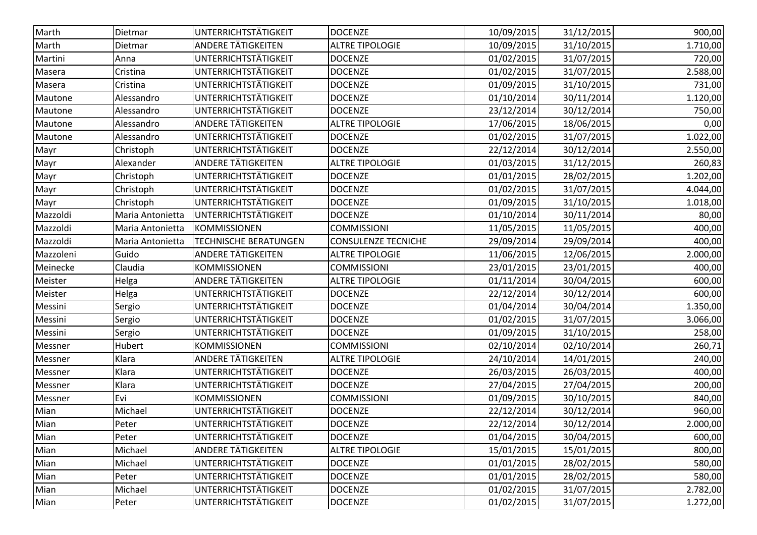| Marth<br>UNTERRICHTSTÄTIGKEIT<br>Dietmar<br><b>DOCENZE</b><br>10/09/2015<br>31/12/2015<br><b>ANDERE TÄTIGKEITEN</b><br>10/09/2015<br>31/10/2015<br>Marth<br><b>ALTRE TIPOLOGIE</b><br>Dietmar<br>UNTERRICHTSTÄTIGKEIT<br>Martini<br>31/07/2015<br><b>DOCENZE</b><br>01/02/2015<br>Anna<br>UNTERRICHTSTÄTIGKEIT<br>Cristina<br><b>DOCENZE</b><br>01/02/2015<br>31/07/2015<br>Masera<br>UNTERRICHTSTÄTIGKEIT<br><b>DOCENZE</b><br>01/09/2015<br>31/10/2015<br>Cristina<br>Masera<br>UNTERRICHTSTÄTIGKEIT<br><b>DOCENZE</b><br>Alessandro<br>01/10/2014<br>30/11/2014<br>Mautone<br>UNTERRICHTSTÄTIGKEIT<br>23/12/2014<br><b>DOCENZE</b><br>30/12/2014<br>Mautone<br>Alessandro<br><b>ANDERE TÄTIGKEITEN</b><br><b>ALTRE TIPOLOGIE</b><br>17/06/2015<br>18/06/2015<br>Mautone<br>Alessandro<br>UNTERRICHTSTÄTIGKEIT<br><b>DOCENZE</b><br>01/02/2015<br>31/07/2015<br>Mautone<br>Alessandro<br>UNTERRICHTSTÄTIGKEIT<br><b>DOCENZE</b><br>22/12/2014<br>30/12/2014<br>Mayr<br>Christoph<br><b>ANDERE TÄTIGKEITEN</b><br><b>ALTRE TIPOLOGIE</b><br>01/03/2015<br>Alexander<br>31/12/2015<br>Mayr<br>UNTERRICHTSTÄTIGKEIT<br>Christoph<br><b>DOCENZE</b><br>01/01/2015<br>28/02/2015<br>Mayr<br>UNTERRICHTSTÄTIGKEIT<br>Christoph<br><b>DOCENZE</b><br>01/02/2015<br>31/07/2015<br>Mayr<br>UNTERRICHTSTÄTIGKEIT<br>01/09/2015<br>31/10/2015<br>Christoph<br><b>DOCENZE</b><br>Mayr<br>UNTERRICHTSTÄTIGKEIT<br>Mazzoldi<br><b>DOCENZE</b><br>01/10/2014<br>30/11/2014<br>Maria Antonietta<br><b>COMMISSIONI</b><br>Mazzoldi<br><b>KOMMISSIONEN</b><br>11/05/2015<br>11/05/2015<br>Maria Antonietta<br>TECHNISCHE BERATUNGEN<br>CONSULENZE TECNICHE<br>29/09/2014<br>29/09/2014<br>Mazzoldi<br>Maria Antonietta<br>Guido<br><b>ANDERE TÄTIGKEITEN</b><br><b>ALTRE TIPOLOGIE</b><br>11/06/2015<br>12/06/2015<br>Mazzoleni<br>Meinecke<br>Claudia<br><b>KOMMISSIONEN</b><br><b>COMMISSIONI</b><br>23/01/2015<br>23/01/2015<br>ANDERE TÄTIGKEITEN<br><b>ALTRE TIPOLOGIE</b><br>01/11/2014<br>Meister<br>Helga<br>30/04/2015<br>UNTERRICHTSTÄTIGKEIT<br>22/12/2014<br>Helga<br><b>DOCENZE</b><br>30/12/2014<br>Meister<br>UNTERRICHTSTÄTIGKEIT<br><b>DOCENZE</b><br>01/04/2014<br>30/04/2014<br>Messini<br>Sergio | 900,00<br>1.710,00<br>720,00<br>2.588,00<br>731,00<br>1.120,00<br>750,00<br>0,00<br>1.022,00<br>2.550,00<br>260,83<br>1.202,00 |
|------------------------------------------------------------------------------------------------------------------------------------------------------------------------------------------------------------------------------------------------------------------------------------------------------------------------------------------------------------------------------------------------------------------------------------------------------------------------------------------------------------------------------------------------------------------------------------------------------------------------------------------------------------------------------------------------------------------------------------------------------------------------------------------------------------------------------------------------------------------------------------------------------------------------------------------------------------------------------------------------------------------------------------------------------------------------------------------------------------------------------------------------------------------------------------------------------------------------------------------------------------------------------------------------------------------------------------------------------------------------------------------------------------------------------------------------------------------------------------------------------------------------------------------------------------------------------------------------------------------------------------------------------------------------------------------------------------------------------------------------------------------------------------------------------------------------------------------------------------------------------------------------------------------------------------------------------------------------------------------------------------------------------------------------------------------------------------------------------------------------------------------------------------------------------------------------------|--------------------------------------------------------------------------------------------------------------------------------|
|                                                                                                                                                                                                                                                                                                                                                                                                                                                                                                                                                                                                                                                                                                                                                                                                                                                                                                                                                                                                                                                                                                                                                                                                                                                                                                                                                                                                                                                                                                                                                                                                                                                                                                                                                                                                                                                                                                                                                                                                                                                                                                                                                                                                      |                                                                                                                                |
|                                                                                                                                                                                                                                                                                                                                                                                                                                                                                                                                                                                                                                                                                                                                                                                                                                                                                                                                                                                                                                                                                                                                                                                                                                                                                                                                                                                                                                                                                                                                                                                                                                                                                                                                                                                                                                                                                                                                                                                                                                                                                                                                                                                                      |                                                                                                                                |
|                                                                                                                                                                                                                                                                                                                                                                                                                                                                                                                                                                                                                                                                                                                                                                                                                                                                                                                                                                                                                                                                                                                                                                                                                                                                                                                                                                                                                                                                                                                                                                                                                                                                                                                                                                                                                                                                                                                                                                                                                                                                                                                                                                                                      |                                                                                                                                |
|                                                                                                                                                                                                                                                                                                                                                                                                                                                                                                                                                                                                                                                                                                                                                                                                                                                                                                                                                                                                                                                                                                                                                                                                                                                                                                                                                                                                                                                                                                                                                                                                                                                                                                                                                                                                                                                                                                                                                                                                                                                                                                                                                                                                      |                                                                                                                                |
|                                                                                                                                                                                                                                                                                                                                                                                                                                                                                                                                                                                                                                                                                                                                                                                                                                                                                                                                                                                                                                                                                                                                                                                                                                                                                                                                                                                                                                                                                                                                                                                                                                                                                                                                                                                                                                                                                                                                                                                                                                                                                                                                                                                                      |                                                                                                                                |
|                                                                                                                                                                                                                                                                                                                                                                                                                                                                                                                                                                                                                                                                                                                                                                                                                                                                                                                                                                                                                                                                                                                                                                                                                                                                                                                                                                                                                                                                                                                                                                                                                                                                                                                                                                                                                                                                                                                                                                                                                                                                                                                                                                                                      |                                                                                                                                |
|                                                                                                                                                                                                                                                                                                                                                                                                                                                                                                                                                                                                                                                                                                                                                                                                                                                                                                                                                                                                                                                                                                                                                                                                                                                                                                                                                                                                                                                                                                                                                                                                                                                                                                                                                                                                                                                                                                                                                                                                                                                                                                                                                                                                      |                                                                                                                                |
|                                                                                                                                                                                                                                                                                                                                                                                                                                                                                                                                                                                                                                                                                                                                                                                                                                                                                                                                                                                                                                                                                                                                                                                                                                                                                                                                                                                                                                                                                                                                                                                                                                                                                                                                                                                                                                                                                                                                                                                                                                                                                                                                                                                                      |                                                                                                                                |
|                                                                                                                                                                                                                                                                                                                                                                                                                                                                                                                                                                                                                                                                                                                                                                                                                                                                                                                                                                                                                                                                                                                                                                                                                                                                                                                                                                                                                                                                                                                                                                                                                                                                                                                                                                                                                                                                                                                                                                                                                                                                                                                                                                                                      |                                                                                                                                |
|                                                                                                                                                                                                                                                                                                                                                                                                                                                                                                                                                                                                                                                                                                                                                                                                                                                                                                                                                                                                                                                                                                                                                                                                                                                                                                                                                                                                                                                                                                                                                                                                                                                                                                                                                                                                                                                                                                                                                                                                                                                                                                                                                                                                      |                                                                                                                                |
|                                                                                                                                                                                                                                                                                                                                                                                                                                                                                                                                                                                                                                                                                                                                                                                                                                                                                                                                                                                                                                                                                                                                                                                                                                                                                                                                                                                                                                                                                                                                                                                                                                                                                                                                                                                                                                                                                                                                                                                                                                                                                                                                                                                                      |                                                                                                                                |
|                                                                                                                                                                                                                                                                                                                                                                                                                                                                                                                                                                                                                                                                                                                                                                                                                                                                                                                                                                                                                                                                                                                                                                                                                                                                                                                                                                                                                                                                                                                                                                                                                                                                                                                                                                                                                                                                                                                                                                                                                                                                                                                                                                                                      |                                                                                                                                |
|                                                                                                                                                                                                                                                                                                                                                                                                                                                                                                                                                                                                                                                                                                                                                                                                                                                                                                                                                                                                                                                                                                                                                                                                                                                                                                                                                                                                                                                                                                                                                                                                                                                                                                                                                                                                                                                                                                                                                                                                                                                                                                                                                                                                      | 4.044,00                                                                                                                       |
|                                                                                                                                                                                                                                                                                                                                                                                                                                                                                                                                                                                                                                                                                                                                                                                                                                                                                                                                                                                                                                                                                                                                                                                                                                                                                                                                                                                                                                                                                                                                                                                                                                                                                                                                                                                                                                                                                                                                                                                                                                                                                                                                                                                                      | 1.018,00                                                                                                                       |
|                                                                                                                                                                                                                                                                                                                                                                                                                                                                                                                                                                                                                                                                                                                                                                                                                                                                                                                                                                                                                                                                                                                                                                                                                                                                                                                                                                                                                                                                                                                                                                                                                                                                                                                                                                                                                                                                                                                                                                                                                                                                                                                                                                                                      | 80,00                                                                                                                          |
|                                                                                                                                                                                                                                                                                                                                                                                                                                                                                                                                                                                                                                                                                                                                                                                                                                                                                                                                                                                                                                                                                                                                                                                                                                                                                                                                                                                                                                                                                                                                                                                                                                                                                                                                                                                                                                                                                                                                                                                                                                                                                                                                                                                                      | 400,00                                                                                                                         |
|                                                                                                                                                                                                                                                                                                                                                                                                                                                                                                                                                                                                                                                                                                                                                                                                                                                                                                                                                                                                                                                                                                                                                                                                                                                                                                                                                                                                                                                                                                                                                                                                                                                                                                                                                                                                                                                                                                                                                                                                                                                                                                                                                                                                      | 400,00                                                                                                                         |
|                                                                                                                                                                                                                                                                                                                                                                                                                                                                                                                                                                                                                                                                                                                                                                                                                                                                                                                                                                                                                                                                                                                                                                                                                                                                                                                                                                                                                                                                                                                                                                                                                                                                                                                                                                                                                                                                                                                                                                                                                                                                                                                                                                                                      | 2.000,00                                                                                                                       |
|                                                                                                                                                                                                                                                                                                                                                                                                                                                                                                                                                                                                                                                                                                                                                                                                                                                                                                                                                                                                                                                                                                                                                                                                                                                                                                                                                                                                                                                                                                                                                                                                                                                                                                                                                                                                                                                                                                                                                                                                                                                                                                                                                                                                      | 400,00                                                                                                                         |
|                                                                                                                                                                                                                                                                                                                                                                                                                                                                                                                                                                                                                                                                                                                                                                                                                                                                                                                                                                                                                                                                                                                                                                                                                                                                                                                                                                                                                                                                                                                                                                                                                                                                                                                                                                                                                                                                                                                                                                                                                                                                                                                                                                                                      | 600,00                                                                                                                         |
|                                                                                                                                                                                                                                                                                                                                                                                                                                                                                                                                                                                                                                                                                                                                                                                                                                                                                                                                                                                                                                                                                                                                                                                                                                                                                                                                                                                                                                                                                                                                                                                                                                                                                                                                                                                                                                                                                                                                                                                                                                                                                                                                                                                                      | 600,00                                                                                                                         |
|                                                                                                                                                                                                                                                                                                                                                                                                                                                                                                                                                                                                                                                                                                                                                                                                                                                                                                                                                                                                                                                                                                                                                                                                                                                                                                                                                                                                                                                                                                                                                                                                                                                                                                                                                                                                                                                                                                                                                                                                                                                                                                                                                                                                      | 1.350,00                                                                                                                       |
| UNTERRICHTSTÄTIGKEIT<br><b>DOCENZE</b><br>01/02/2015<br>31/07/2015<br>Messini<br>Sergio                                                                                                                                                                                                                                                                                                                                                                                                                                                                                                                                                                                                                                                                                                                                                                                                                                                                                                                                                                                                                                                                                                                                                                                                                                                                                                                                                                                                                                                                                                                                                                                                                                                                                                                                                                                                                                                                                                                                                                                                                                                                                                              | 3.066,00                                                                                                                       |
| UNTERRICHTSTÄTIGKEIT<br>01/09/2015<br><b>DOCENZE</b><br>31/10/2015<br>Messini<br>Sergio                                                                                                                                                                                                                                                                                                                                                                                                                                                                                                                                                                                                                                                                                                                                                                                                                                                                                                                                                                                                                                                                                                                                                                                                                                                                                                                                                                                                                                                                                                                                                                                                                                                                                                                                                                                                                                                                                                                                                                                                                                                                                                              | 258,00                                                                                                                         |
| <b>COMMISSIONI</b><br>Hubert<br><b>KOMMISSIONEN</b><br>02/10/2014<br>02/10/2014<br>Messner                                                                                                                                                                                                                                                                                                                                                                                                                                                                                                                                                                                                                                                                                                                                                                                                                                                                                                                                                                                                                                                                                                                                                                                                                                                                                                                                                                                                                                                                                                                                                                                                                                                                                                                                                                                                                                                                                                                                                                                                                                                                                                           | 260,71                                                                                                                         |
| Klara<br>ANDERE TÄTIGKEITEN<br><b>ALTRE TIPOLOGIE</b><br>24/10/2014<br>14/01/2015<br>Messner                                                                                                                                                                                                                                                                                                                                                                                                                                                                                                                                                                                                                                                                                                                                                                                                                                                                                                                                                                                                                                                                                                                                                                                                                                                                                                                                                                                                                                                                                                                                                                                                                                                                                                                                                                                                                                                                                                                                                                                                                                                                                                         | 240,00                                                                                                                         |
| UNTERRICHTSTÄTIGKEIT<br>Klara<br><b>DOCENZE</b><br>26/03/2015<br>26/03/2015<br>Messner                                                                                                                                                                                                                                                                                                                                                                                                                                                                                                                                                                                                                                                                                                                                                                                                                                                                                                                                                                                                                                                                                                                                                                                                                                                                                                                                                                                                                                                                                                                                                                                                                                                                                                                                                                                                                                                                                                                                                                                                                                                                                                               | 400,00                                                                                                                         |
| UNTERRICHTSTÄTIGKEIT<br>27/04/2015<br>Klara<br><b>DOCENZE</b><br>27/04/2015<br>Messner                                                                                                                                                                                                                                                                                                                                                                                                                                                                                                                                                                                                                                                                                                                                                                                                                                                                                                                                                                                                                                                                                                                                                                                                                                                                                                                                                                                                                                                                                                                                                                                                                                                                                                                                                                                                                                                                                                                                                                                                                                                                                                               | 200,00                                                                                                                         |
| Evi<br><b>KOMMISSIONEN</b><br><b>COMMISSIONI</b><br>01/09/2015<br>30/10/2015<br>Messner                                                                                                                                                                                                                                                                                                                                                                                                                                                                                                                                                                                                                                                                                                                                                                                                                                                                                                                                                                                                                                                                                                                                                                                                                                                                                                                                                                                                                                                                                                                                                                                                                                                                                                                                                                                                                                                                                                                                                                                                                                                                                                              | 840,00                                                                                                                         |
| UNTERRICHTSTÄTIGKEIT<br>Michael<br><b>DOCENZE</b><br>22/12/2014<br>30/12/2014<br>Mian                                                                                                                                                                                                                                                                                                                                                                                                                                                                                                                                                                                                                                                                                                                                                                                                                                                                                                                                                                                                                                                                                                                                                                                                                                                                                                                                                                                                                                                                                                                                                                                                                                                                                                                                                                                                                                                                                                                                                                                                                                                                                                                | 960,00                                                                                                                         |
| Mian<br>Peter<br>UNTERRICHTSTÄTIGKEIT<br>22/12/2014<br>30/12/2014<br><b>DOCENZE</b>                                                                                                                                                                                                                                                                                                                                                                                                                                                                                                                                                                                                                                                                                                                                                                                                                                                                                                                                                                                                                                                                                                                                                                                                                                                                                                                                                                                                                                                                                                                                                                                                                                                                                                                                                                                                                                                                                                                                                                                                                                                                                                                  | 2.000,00                                                                                                                       |
| <b>UNTERRICHTSTÄTIGKEIT</b><br>01/04/2015<br>Mian<br>Peter<br><b>DOCENZE</b><br>30/04/2015                                                                                                                                                                                                                                                                                                                                                                                                                                                                                                                                                                                                                                                                                                                                                                                                                                                                                                                                                                                                                                                                                                                                                                                                                                                                                                                                                                                                                                                                                                                                                                                                                                                                                                                                                                                                                                                                                                                                                                                                                                                                                                           | 600,00                                                                                                                         |
| Mian<br>Michael<br>ANDERE TÄTIGKEITEN<br><b>ALTRE TIPOLOGIE</b><br>15/01/2015<br>15/01/2015                                                                                                                                                                                                                                                                                                                                                                                                                                                                                                                                                                                                                                                                                                                                                                                                                                                                                                                                                                                                                                                                                                                                                                                                                                                                                                                                                                                                                                                                                                                                                                                                                                                                                                                                                                                                                                                                                                                                                                                                                                                                                                          | 800,00                                                                                                                         |
| UNTERRICHTSTÄTIGKEIT<br>01/01/2015<br>Mian<br>Michael<br><b>DOCENZE</b><br>28/02/2015                                                                                                                                                                                                                                                                                                                                                                                                                                                                                                                                                                                                                                                                                                                                                                                                                                                                                                                                                                                                                                                                                                                                                                                                                                                                                                                                                                                                                                                                                                                                                                                                                                                                                                                                                                                                                                                                                                                                                                                                                                                                                                                | 580,00                                                                                                                         |
| <b>UNTERRICHTSTÄTIGKEIT</b><br><b>DOCENZE</b><br>01/01/2015<br>28/02/2015<br>Mian<br>Peter                                                                                                                                                                                                                                                                                                                                                                                                                                                                                                                                                                                                                                                                                                                                                                                                                                                                                                                                                                                                                                                                                                                                                                                                                                                                                                                                                                                                                                                                                                                                                                                                                                                                                                                                                                                                                                                                                                                                                                                                                                                                                                           | 580,00                                                                                                                         |
| UNTERRICHTSTÄTIGKEIT<br>Mian<br>01/02/2015<br>31/07/2015<br>Michael<br><b>DOCENZE</b>                                                                                                                                                                                                                                                                                                                                                                                                                                                                                                                                                                                                                                                                                                                                                                                                                                                                                                                                                                                                                                                                                                                                                                                                                                                                                                                                                                                                                                                                                                                                                                                                                                                                                                                                                                                                                                                                                                                                                                                                                                                                                                                | 2.782,00                                                                                                                       |
| <b>UNTERRICHTSTÄTIGKEIT</b><br><b>DOCENZE</b><br>01/02/2015<br>31/07/2015<br>1.272,00<br>Mian<br>Peter                                                                                                                                                                                                                                                                                                                                                                                                                                                                                                                                                                                                                                                                                                                                                                                                                                                                                                                                                                                                                                                                                                                                                                                                                                                                                                                                                                                                                                                                                                                                                                                                                                                                                                                                                                                                                                                                                                                                                                                                                                                                                               |                                                                                                                                |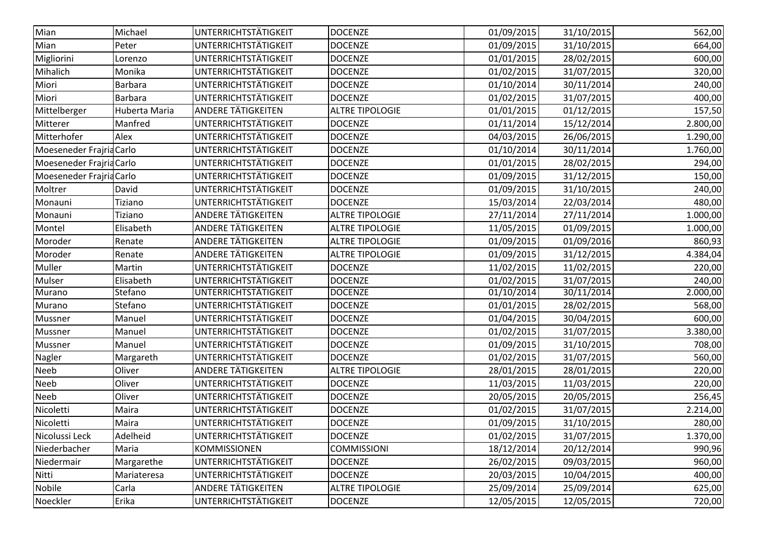| Michael<br>UNTERRICHTSTÄTIGKEIT<br><b>DOCENZE</b><br>01/09/2015<br>31/10/2015<br>UNTERRICHTSTÄTIGKEIT<br><b>DOCENZE</b><br>01/09/2015<br>31/10/2015<br>Peter<br>UNTERRICHTSTÄTIGKEIT<br>Migliorini<br><b>DOCENZE</b><br>01/01/2015<br>28/02/2015<br>Lorenzo<br>UNTERRICHTSTÄTIGKEIT<br>Monika<br><b>DOCENZE</b><br>01/02/2015<br>31/07/2015<br>UNTERRICHTSTÄTIGKEIT<br>Miori<br>01/10/2014<br>30/11/2014<br><b>Barbara</b><br><b>DOCENZE</b><br>UNTERRICHTSTÄTIGKEIT<br><b>DOCENZE</b><br><b>Barbara</b><br>01/02/2015<br>31/07/2015<br>Huberta Maria<br>ANDERE TÄTIGKEITEN<br>01/01/2015<br><b>ALTRE TIPOLOGIE</b><br>01/12/2015<br><b>UNTERRICHTSTÄTIGKEIT</b><br>Manfred<br><b>DOCENZE</b><br>01/11/2014<br>15/12/2014<br>Mitterer<br>Alex<br><b>UNTERRICHTSTÄTIGKEIT</b><br><b>DOCENZE</b><br>04/03/2015<br>26/06/2015<br>UNTERRICHTSTÄTIGKEIT<br>30/11/2014<br>Moeseneder Frajria Carlo<br><b>DOCENZE</b><br>01/10/2014<br>UNTERRICHTSTÄTIGKEIT<br><b>DOCENZE</b><br>01/01/2015<br>28/02/2015<br>Moeseneder Frajria Carlo<br><b>UNTERRICHTSTÄTIGKEIT</b><br>Moeseneder Frajria Carlo<br><b>DOCENZE</b><br>01/09/2015<br>31/12/2015<br>UNTERRICHTSTÄTIGKEIT<br><b>DOCENZE</b><br>01/09/2015<br>31/10/2015<br>David<br>UNTERRICHTSTÄTIGKEIT<br>15/03/2014<br>22/03/2014<br>Tiziano<br><b>DOCENZE</b><br>ANDERE TÄTIGKEITEN<br><b>ALTRE TIPOLOGIE</b><br>27/11/2014<br>27/11/2014<br>Monauni<br>Tiziano<br><b>ANDERE TÄTIGKEITEN</b><br>Elisabeth<br><b>ALTRE TIPOLOGIE</b><br>11/05/2015<br>01/09/2015<br><b>ANDERE TÄTIGKEITEN</b><br><b>ALTRE TIPOLOGIE</b><br>01/09/2016<br>Moroder<br>01/09/2015<br>Renate<br><b>ANDERE TÄTIGKEITEN</b><br><b>ALTRE TIPOLOGIE</b><br>01/09/2015<br>31/12/2015<br>Renate<br>UNTERRICHTSTÄTIGKEIT<br><b>DOCENZE</b><br>11/02/2015<br>11/02/2015<br>Martin<br>UNTERRICHTSTÄTIGKEIT<br><b>DOCENZE</b><br>01/02/2015<br>31/07/2015<br>Elisabeth<br><b>UNTERRICHTSTÄTIGKEIT</b><br><b>DOCENZE</b><br>01/10/2014<br>30/11/2014<br>Stefano<br>UNTERRICHTSTÄTIGKEIT<br><b>DOCENZE</b><br>01/01/2015<br>Stefano<br>28/02/2015<br>UNTERRICHTSTÄTIGKEIT<br>01/04/2015<br>Manuel<br><b>DOCENZE</b><br>30/04/2015<br>UNTERRICHTSTÄTIGKEIT<br>01/02/2015<br>31/07/2015<br>Manuel<br><b>DOCENZE</b><br><b>UNTERRICHTSTÄTIGKEIT</b><br>Manuel<br><b>DOCENZE</b><br>01/09/2015<br>31/10/2015<br>UNTERRICHTSTÄTIGKEIT<br><b>DOCENZE</b><br>01/02/2015<br>31/07/2015<br>Margareth<br><b>ANDERE TÄTIGKEITEN</b><br>Oliver<br>28/01/2015<br><b>ALTRE TIPOLOGIE</b><br>28/01/2015<br>UNTERRICHTSTÄTIGKEIT<br>Neeb<br>Oliver<br><b>DOCENZE</b><br>11/03/2015<br>11/03/2015<br>UNTERRICHTSTÄTIGKEIT<br>Oliver<br>20/05/2015<br>20/05/2015<br><b>DOCENZE</b><br>Nicoletti<br>UNTERRICHTSTÄTIGKEIT<br>Maira<br><b>DOCENZE</b><br>01/02/2015<br>31/07/2015<br>UNTERRICHTSTÄTIGKEIT<br><b>DOCENZE</b><br>01/09/2015<br>31/10/2015<br>Maira<br><b>UNTERRICHTSTÄTIGKEIT</b><br>31/07/2015<br>Adelheid<br><b>DOCENZE</b><br>01/02/2015<br><b>COMMISSIONI</b><br>20/12/2014<br>Maria<br><b>KOMMISSIONEN</b><br>18/12/2014<br>UNTERRICHTSTÄTIGKEIT<br>26/02/2015<br>09/03/2015<br>Margarethe<br><b>DOCENZE</b><br>UNTERRICHTSTÄTIGKEIT<br><b>DOCENZE</b><br>20/03/2015<br>10/04/2015<br>Mariateresa<br><b>ANDERE TÄTIGKEITEN</b><br>25/09/2014<br>25/09/2014<br>Carla<br><b>ALTRE TIPOLOGIE</b><br><b>UNTERRICHTSTÄTIGKEIT</b><br>Erika<br><b>DOCENZE</b><br>12/05/2015<br>12/05/2015 |                |  |  |          |
|--------------------------------------------------------------------------------------------------------------------------------------------------------------------------------------------------------------------------------------------------------------------------------------------------------------------------------------------------------------------------------------------------------------------------------------------------------------------------------------------------------------------------------------------------------------------------------------------------------------------------------------------------------------------------------------------------------------------------------------------------------------------------------------------------------------------------------------------------------------------------------------------------------------------------------------------------------------------------------------------------------------------------------------------------------------------------------------------------------------------------------------------------------------------------------------------------------------------------------------------------------------------------------------------------------------------------------------------------------------------------------------------------------------------------------------------------------------------------------------------------------------------------------------------------------------------------------------------------------------------------------------------------------------------------------------------------------------------------------------------------------------------------------------------------------------------------------------------------------------------------------------------------------------------------------------------------------------------------------------------------------------------------------------------------------------------------------------------------------------------------------------------------------------------------------------------------------------------------------------------------------------------------------------------------------------------------------------------------------------------------------------------------------------------------------------------------------------------------------------------------------------------------------------------------------------------------------------------------------------------------------------------------------------------------------------------------------------------------------------------------------------------------------------------------------------------------------------------------------------------------------------------------------------------------------------------------------------------------------------------------------------------------------------------------------------------------------------------------------------------------------------------------------------------------------------------------------------------------------------------------------------------------------------------------------------------------------------------------------------------------------------------|----------------|--|--|----------|
|                                                                                                                                                                                                                                                                                                                                                                                                                                                                                                                                                                                                                                                                                                                                                                                                                                                                                                                                                                                                                                                                                                                                                                                                                                                                                                                                                                                                                                                                                                                                                                                                                                                                                                                                                                                                                                                                                                                                                                                                                                                                                                                                                                                                                                                                                                                                                                                                                                                                                                                                                                                                                                                                                                                                                                                                                                                                                                                                                                                                                                                                                                                                                                                                                                                                                                                                                                                            | Mian           |  |  | 562,00   |
|                                                                                                                                                                                                                                                                                                                                                                                                                                                                                                                                                                                                                                                                                                                                                                                                                                                                                                                                                                                                                                                                                                                                                                                                                                                                                                                                                                                                                                                                                                                                                                                                                                                                                                                                                                                                                                                                                                                                                                                                                                                                                                                                                                                                                                                                                                                                                                                                                                                                                                                                                                                                                                                                                                                                                                                                                                                                                                                                                                                                                                                                                                                                                                                                                                                                                                                                                                                            | Mian           |  |  | 664,00   |
|                                                                                                                                                                                                                                                                                                                                                                                                                                                                                                                                                                                                                                                                                                                                                                                                                                                                                                                                                                                                                                                                                                                                                                                                                                                                                                                                                                                                                                                                                                                                                                                                                                                                                                                                                                                                                                                                                                                                                                                                                                                                                                                                                                                                                                                                                                                                                                                                                                                                                                                                                                                                                                                                                                                                                                                                                                                                                                                                                                                                                                                                                                                                                                                                                                                                                                                                                                                            |                |  |  | 600,00   |
|                                                                                                                                                                                                                                                                                                                                                                                                                                                                                                                                                                                                                                                                                                                                                                                                                                                                                                                                                                                                                                                                                                                                                                                                                                                                                                                                                                                                                                                                                                                                                                                                                                                                                                                                                                                                                                                                                                                                                                                                                                                                                                                                                                                                                                                                                                                                                                                                                                                                                                                                                                                                                                                                                                                                                                                                                                                                                                                                                                                                                                                                                                                                                                                                                                                                                                                                                                                            | Mihalich       |  |  | 320,00   |
|                                                                                                                                                                                                                                                                                                                                                                                                                                                                                                                                                                                                                                                                                                                                                                                                                                                                                                                                                                                                                                                                                                                                                                                                                                                                                                                                                                                                                                                                                                                                                                                                                                                                                                                                                                                                                                                                                                                                                                                                                                                                                                                                                                                                                                                                                                                                                                                                                                                                                                                                                                                                                                                                                                                                                                                                                                                                                                                                                                                                                                                                                                                                                                                                                                                                                                                                                                                            |                |  |  | 240,00   |
|                                                                                                                                                                                                                                                                                                                                                                                                                                                                                                                                                                                                                                                                                                                                                                                                                                                                                                                                                                                                                                                                                                                                                                                                                                                                                                                                                                                                                                                                                                                                                                                                                                                                                                                                                                                                                                                                                                                                                                                                                                                                                                                                                                                                                                                                                                                                                                                                                                                                                                                                                                                                                                                                                                                                                                                                                                                                                                                                                                                                                                                                                                                                                                                                                                                                                                                                                                                            | Miori          |  |  | 400,00   |
|                                                                                                                                                                                                                                                                                                                                                                                                                                                                                                                                                                                                                                                                                                                                                                                                                                                                                                                                                                                                                                                                                                                                                                                                                                                                                                                                                                                                                                                                                                                                                                                                                                                                                                                                                                                                                                                                                                                                                                                                                                                                                                                                                                                                                                                                                                                                                                                                                                                                                                                                                                                                                                                                                                                                                                                                                                                                                                                                                                                                                                                                                                                                                                                                                                                                                                                                                                                            | Mittelberger   |  |  | 157,50   |
|                                                                                                                                                                                                                                                                                                                                                                                                                                                                                                                                                                                                                                                                                                                                                                                                                                                                                                                                                                                                                                                                                                                                                                                                                                                                                                                                                                                                                                                                                                                                                                                                                                                                                                                                                                                                                                                                                                                                                                                                                                                                                                                                                                                                                                                                                                                                                                                                                                                                                                                                                                                                                                                                                                                                                                                                                                                                                                                                                                                                                                                                                                                                                                                                                                                                                                                                                                                            |                |  |  | 2.800,00 |
|                                                                                                                                                                                                                                                                                                                                                                                                                                                                                                                                                                                                                                                                                                                                                                                                                                                                                                                                                                                                                                                                                                                                                                                                                                                                                                                                                                                                                                                                                                                                                                                                                                                                                                                                                                                                                                                                                                                                                                                                                                                                                                                                                                                                                                                                                                                                                                                                                                                                                                                                                                                                                                                                                                                                                                                                                                                                                                                                                                                                                                                                                                                                                                                                                                                                                                                                                                                            | Mitterhofer    |  |  | 1.290,00 |
|                                                                                                                                                                                                                                                                                                                                                                                                                                                                                                                                                                                                                                                                                                                                                                                                                                                                                                                                                                                                                                                                                                                                                                                                                                                                                                                                                                                                                                                                                                                                                                                                                                                                                                                                                                                                                                                                                                                                                                                                                                                                                                                                                                                                                                                                                                                                                                                                                                                                                                                                                                                                                                                                                                                                                                                                                                                                                                                                                                                                                                                                                                                                                                                                                                                                                                                                                                                            |                |  |  | 1.760,00 |
|                                                                                                                                                                                                                                                                                                                                                                                                                                                                                                                                                                                                                                                                                                                                                                                                                                                                                                                                                                                                                                                                                                                                                                                                                                                                                                                                                                                                                                                                                                                                                                                                                                                                                                                                                                                                                                                                                                                                                                                                                                                                                                                                                                                                                                                                                                                                                                                                                                                                                                                                                                                                                                                                                                                                                                                                                                                                                                                                                                                                                                                                                                                                                                                                                                                                                                                                                                                            |                |  |  | 294,00   |
|                                                                                                                                                                                                                                                                                                                                                                                                                                                                                                                                                                                                                                                                                                                                                                                                                                                                                                                                                                                                                                                                                                                                                                                                                                                                                                                                                                                                                                                                                                                                                                                                                                                                                                                                                                                                                                                                                                                                                                                                                                                                                                                                                                                                                                                                                                                                                                                                                                                                                                                                                                                                                                                                                                                                                                                                                                                                                                                                                                                                                                                                                                                                                                                                                                                                                                                                                                                            |                |  |  | 150,00   |
|                                                                                                                                                                                                                                                                                                                                                                                                                                                                                                                                                                                                                                                                                                                                                                                                                                                                                                                                                                                                                                                                                                                                                                                                                                                                                                                                                                                                                                                                                                                                                                                                                                                                                                                                                                                                                                                                                                                                                                                                                                                                                                                                                                                                                                                                                                                                                                                                                                                                                                                                                                                                                                                                                                                                                                                                                                                                                                                                                                                                                                                                                                                                                                                                                                                                                                                                                                                            | Moltrer        |  |  | 240,00   |
|                                                                                                                                                                                                                                                                                                                                                                                                                                                                                                                                                                                                                                                                                                                                                                                                                                                                                                                                                                                                                                                                                                                                                                                                                                                                                                                                                                                                                                                                                                                                                                                                                                                                                                                                                                                                                                                                                                                                                                                                                                                                                                                                                                                                                                                                                                                                                                                                                                                                                                                                                                                                                                                                                                                                                                                                                                                                                                                                                                                                                                                                                                                                                                                                                                                                                                                                                                                            | Monauni        |  |  | 480,00   |
|                                                                                                                                                                                                                                                                                                                                                                                                                                                                                                                                                                                                                                                                                                                                                                                                                                                                                                                                                                                                                                                                                                                                                                                                                                                                                                                                                                                                                                                                                                                                                                                                                                                                                                                                                                                                                                                                                                                                                                                                                                                                                                                                                                                                                                                                                                                                                                                                                                                                                                                                                                                                                                                                                                                                                                                                                                                                                                                                                                                                                                                                                                                                                                                                                                                                                                                                                                                            |                |  |  | 1.000,00 |
|                                                                                                                                                                                                                                                                                                                                                                                                                                                                                                                                                                                                                                                                                                                                                                                                                                                                                                                                                                                                                                                                                                                                                                                                                                                                                                                                                                                                                                                                                                                                                                                                                                                                                                                                                                                                                                                                                                                                                                                                                                                                                                                                                                                                                                                                                                                                                                                                                                                                                                                                                                                                                                                                                                                                                                                                                                                                                                                                                                                                                                                                                                                                                                                                                                                                                                                                                                                            | Montel         |  |  | 1.000,00 |
|                                                                                                                                                                                                                                                                                                                                                                                                                                                                                                                                                                                                                                                                                                                                                                                                                                                                                                                                                                                                                                                                                                                                                                                                                                                                                                                                                                                                                                                                                                                                                                                                                                                                                                                                                                                                                                                                                                                                                                                                                                                                                                                                                                                                                                                                                                                                                                                                                                                                                                                                                                                                                                                                                                                                                                                                                                                                                                                                                                                                                                                                                                                                                                                                                                                                                                                                                                                            |                |  |  | 860,93   |
|                                                                                                                                                                                                                                                                                                                                                                                                                                                                                                                                                                                                                                                                                                                                                                                                                                                                                                                                                                                                                                                                                                                                                                                                                                                                                                                                                                                                                                                                                                                                                                                                                                                                                                                                                                                                                                                                                                                                                                                                                                                                                                                                                                                                                                                                                                                                                                                                                                                                                                                                                                                                                                                                                                                                                                                                                                                                                                                                                                                                                                                                                                                                                                                                                                                                                                                                                                                            | Moroder        |  |  | 4.384,04 |
|                                                                                                                                                                                                                                                                                                                                                                                                                                                                                                                                                                                                                                                                                                                                                                                                                                                                                                                                                                                                                                                                                                                                                                                                                                                                                                                                                                                                                                                                                                                                                                                                                                                                                                                                                                                                                                                                                                                                                                                                                                                                                                                                                                                                                                                                                                                                                                                                                                                                                                                                                                                                                                                                                                                                                                                                                                                                                                                                                                                                                                                                                                                                                                                                                                                                                                                                                                                            | Muller         |  |  | 220,00   |
|                                                                                                                                                                                                                                                                                                                                                                                                                                                                                                                                                                                                                                                                                                                                                                                                                                                                                                                                                                                                                                                                                                                                                                                                                                                                                                                                                                                                                                                                                                                                                                                                                                                                                                                                                                                                                                                                                                                                                                                                                                                                                                                                                                                                                                                                                                                                                                                                                                                                                                                                                                                                                                                                                                                                                                                                                                                                                                                                                                                                                                                                                                                                                                                                                                                                                                                                                                                            | Mulser         |  |  | 240,00   |
|                                                                                                                                                                                                                                                                                                                                                                                                                                                                                                                                                                                                                                                                                                                                                                                                                                                                                                                                                                                                                                                                                                                                                                                                                                                                                                                                                                                                                                                                                                                                                                                                                                                                                                                                                                                                                                                                                                                                                                                                                                                                                                                                                                                                                                                                                                                                                                                                                                                                                                                                                                                                                                                                                                                                                                                                                                                                                                                                                                                                                                                                                                                                                                                                                                                                                                                                                                                            | Murano         |  |  | 2.000,00 |
|                                                                                                                                                                                                                                                                                                                                                                                                                                                                                                                                                                                                                                                                                                                                                                                                                                                                                                                                                                                                                                                                                                                                                                                                                                                                                                                                                                                                                                                                                                                                                                                                                                                                                                                                                                                                                                                                                                                                                                                                                                                                                                                                                                                                                                                                                                                                                                                                                                                                                                                                                                                                                                                                                                                                                                                                                                                                                                                                                                                                                                                                                                                                                                                                                                                                                                                                                                                            | Murano         |  |  | 568,00   |
|                                                                                                                                                                                                                                                                                                                                                                                                                                                                                                                                                                                                                                                                                                                                                                                                                                                                                                                                                                                                                                                                                                                                                                                                                                                                                                                                                                                                                                                                                                                                                                                                                                                                                                                                                                                                                                                                                                                                                                                                                                                                                                                                                                                                                                                                                                                                                                                                                                                                                                                                                                                                                                                                                                                                                                                                                                                                                                                                                                                                                                                                                                                                                                                                                                                                                                                                                                                            | Mussner        |  |  | 600,00   |
|                                                                                                                                                                                                                                                                                                                                                                                                                                                                                                                                                                                                                                                                                                                                                                                                                                                                                                                                                                                                                                                                                                                                                                                                                                                                                                                                                                                                                                                                                                                                                                                                                                                                                                                                                                                                                                                                                                                                                                                                                                                                                                                                                                                                                                                                                                                                                                                                                                                                                                                                                                                                                                                                                                                                                                                                                                                                                                                                                                                                                                                                                                                                                                                                                                                                                                                                                                                            | Mussner        |  |  | 3.380,00 |
|                                                                                                                                                                                                                                                                                                                                                                                                                                                                                                                                                                                                                                                                                                                                                                                                                                                                                                                                                                                                                                                                                                                                                                                                                                                                                                                                                                                                                                                                                                                                                                                                                                                                                                                                                                                                                                                                                                                                                                                                                                                                                                                                                                                                                                                                                                                                                                                                                                                                                                                                                                                                                                                                                                                                                                                                                                                                                                                                                                                                                                                                                                                                                                                                                                                                                                                                                                                            | Mussner        |  |  | 708,00   |
|                                                                                                                                                                                                                                                                                                                                                                                                                                                                                                                                                                                                                                                                                                                                                                                                                                                                                                                                                                                                                                                                                                                                                                                                                                                                                                                                                                                                                                                                                                                                                                                                                                                                                                                                                                                                                                                                                                                                                                                                                                                                                                                                                                                                                                                                                                                                                                                                                                                                                                                                                                                                                                                                                                                                                                                                                                                                                                                                                                                                                                                                                                                                                                                                                                                                                                                                                                                            | Nagler         |  |  | 560,00   |
|                                                                                                                                                                                                                                                                                                                                                                                                                                                                                                                                                                                                                                                                                                                                                                                                                                                                                                                                                                                                                                                                                                                                                                                                                                                                                                                                                                                                                                                                                                                                                                                                                                                                                                                                                                                                                                                                                                                                                                                                                                                                                                                                                                                                                                                                                                                                                                                                                                                                                                                                                                                                                                                                                                                                                                                                                                                                                                                                                                                                                                                                                                                                                                                                                                                                                                                                                                                            | Neeb           |  |  | 220,00   |
|                                                                                                                                                                                                                                                                                                                                                                                                                                                                                                                                                                                                                                                                                                                                                                                                                                                                                                                                                                                                                                                                                                                                                                                                                                                                                                                                                                                                                                                                                                                                                                                                                                                                                                                                                                                                                                                                                                                                                                                                                                                                                                                                                                                                                                                                                                                                                                                                                                                                                                                                                                                                                                                                                                                                                                                                                                                                                                                                                                                                                                                                                                                                                                                                                                                                                                                                                                                            |                |  |  | 220,00   |
|                                                                                                                                                                                                                                                                                                                                                                                                                                                                                                                                                                                                                                                                                                                                                                                                                                                                                                                                                                                                                                                                                                                                                                                                                                                                                                                                                                                                                                                                                                                                                                                                                                                                                                                                                                                                                                                                                                                                                                                                                                                                                                                                                                                                                                                                                                                                                                                                                                                                                                                                                                                                                                                                                                                                                                                                                                                                                                                                                                                                                                                                                                                                                                                                                                                                                                                                                                                            | Neeb           |  |  | 256,45   |
|                                                                                                                                                                                                                                                                                                                                                                                                                                                                                                                                                                                                                                                                                                                                                                                                                                                                                                                                                                                                                                                                                                                                                                                                                                                                                                                                                                                                                                                                                                                                                                                                                                                                                                                                                                                                                                                                                                                                                                                                                                                                                                                                                                                                                                                                                                                                                                                                                                                                                                                                                                                                                                                                                                                                                                                                                                                                                                                                                                                                                                                                                                                                                                                                                                                                                                                                                                                            |                |  |  | 2.214,00 |
|                                                                                                                                                                                                                                                                                                                                                                                                                                                                                                                                                                                                                                                                                                                                                                                                                                                                                                                                                                                                                                                                                                                                                                                                                                                                                                                                                                                                                                                                                                                                                                                                                                                                                                                                                                                                                                                                                                                                                                                                                                                                                                                                                                                                                                                                                                                                                                                                                                                                                                                                                                                                                                                                                                                                                                                                                                                                                                                                                                                                                                                                                                                                                                                                                                                                                                                                                                                            | Nicoletti      |  |  | 280,00   |
|                                                                                                                                                                                                                                                                                                                                                                                                                                                                                                                                                                                                                                                                                                                                                                                                                                                                                                                                                                                                                                                                                                                                                                                                                                                                                                                                                                                                                                                                                                                                                                                                                                                                                                                                                                                                                                                                                                                                                                                                                                                                                                                                                                                                                                                                                                                                                                                                                                                                                                                                                                                                                                                                                                                                                                                                                                                                                                                                                                                                                                                                                                                                                                                                                                                                                                                                                                                            | Nicolussi Leck |  |  | 1.370,00 |
|                                                                                                                                                                                                                                                                                                                                                                                                                                                                                                                                                                                                                                                                                                                                                                                                                                                                                                                                                                                                                                                                                                                                                                                                                                                                                                                                                                                                                                                                                                                                                                                                                                                                                                                                                                                                                                                                                                                                                                                                                                                                                                                                                                                                                                                                                                                                                                                                                                                                                                                                                                                                                                                                                                                                                                                                                                                                                                                                                                                                                                                                                                                                                                                                                                                                                                                                                                                            | Niederbacher   |  |  | 990,96   |
|                                                                                                                                                                                                                                                                                                                                                                                                                                                                                                                                                                                                                                                                                                                                                                                                                                                                                                                                                                                                                                                                                                                                                                                                                                                                                                                                                                                                                                                                                                                                                                                                                                                                                                                                                                                                                                                                                                                                                                                                                                                                                                                                                                                                                                                                                                                                                                                                                                                                                                                                                                                                                                                                                                                                                                                                                                                                                                                                                                                                                                                                                                                                                                                                                                                                                                                                                                                            | Niedermair     |  |  | 960,00   |
|                                                                                                                                                                                                                                                                                                                                                                                                                                                                                                                                                                                                                                                                                                                                                                                                                                                                                                                                                                                                                                                                                                                                                                                                                                                                                                                                                                                                                                                                                                                                                                                                                                                                                                                                                                                                                                                                                                                                                                                                                                                                                                                                                                                                                                                                                                                                                                                                                                                                                                                                                                                                                                                                                                                                                                                                                                                                                                                                                                                                                                                                                                                                                                                                                                                                                                                                                                                            | Nitti          |  |  | 400,00   |
|                                                                                                                                                                                                                                                                                                                                                                                                                                                                                                                                                                                                                                                                                                                                                                                                                                                                                                                                                                                                                                                                                                                                                                                                                                                                                                                                                                                                                                                                                                                                                                                                                                                                                                                                                                                                                                                                                                                                                                                                                                                                                                                                                                                                                                                                                                                                                                                                                                                                                                                                                                                                                                                                                                                                                                                                                                                                                                                                                                                                                                                                                                                                                                                                                                                                                                                                                                                            | Nobile         |  |  | 625,00   |
|                                                                                                                                                                                                                                                                                                                                                                                                                                                                                                                                                                                                                                                                                                                                                                                                                                                                                                                                                                                                                                                                                                                                                                                                                                                                                                                                                                                                                                                                                                                                                                                                                                                                                                                                                                                                                                                                                                                                                                                                                                                                                                                                                                                                                                                                                                                                                                                                                                                                                                                                                                                                                                                                                                                                                                                                                                                                                                                                                                                                                                                                                                                                                                                                                                                                                                                                                                                            | Noeckler       |  |  | 720,00   |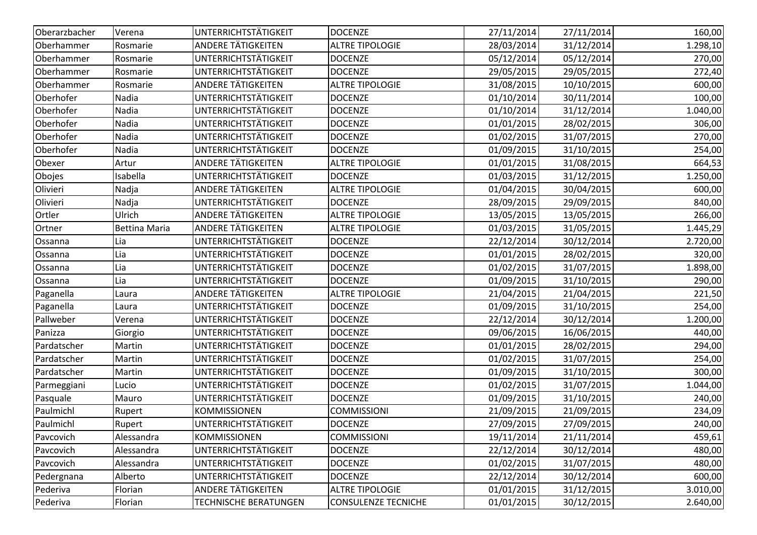| Oberarzbacher | Verena               | UNTERRICHTSTÄTIGKEIT         | <b>DOCENZE</b>             | 27/11/2014 | 27/11/2014 | 160,00   |
|---------------|----------------------|------------------------------|----------------------------|------------|------------|----------|
| Oberhammer    | Rosmarie             | <b>ANDERE TÄTIGKEITEN</b>    | <b>ALTRE TIPOLOGIE</b>     | 28/03/2014 | 31/12/2014 | 1.298,10 |
| Oberhammer    | Rosmarie             | <b>UNTERRICHTSTÄTIGKEIT</b>  | <b>DOCENZE</b>             | 05/12/2014 | 05/12/2014 | 270,00   |
| Oberhammer    | Rosmarie             | UNTERRICHTSTÄTIGKEIT         | <b>DOCENZE</b>             | 29/05/2015 | 29/05/2015 | 272,40   |
| Oberhammer    | Rosmarie             | <b>ANDERE TÄTIGKEITEN</b>    | <b>ALTRE TIPOLOGIE</b>     | 31/08/2015 | 10/10/2015 | 600,00   |
| Oberhofer     | Nadia                | <b>UNTERRICHTSTÄTIGKEIT</b>  | <b>DOCENZE</b>             | 01/10/2014 | 30/11/2014 | 100,00   |
| Oberhofer     | Nadia                | UNTERRICHTSTÄTIGKEIT         | <b>DOCENZE</b>             | 01/10/2014 | 31/12/2014 | 1.040,00 |
| Oberhofer     | Nadia                | UNTERRICHTSTÄTIGKEIT         | <b>DOCENZE</b>             | 01/01/2015 | 28/02/2015 | 306,00   |
| Oberhofer     | Nadia                | <b>UNTERRICHTSTÄTIGKEIT</b>  | <b>DOCENZE</b>             | 01/02/2015 | 31/07/2015 | 270,00   |
| Oberhofer     | Nadia                | UNTERRICHTSTÄTIGKEIT         | <b>DOCENZE</b>             | 01/09/2015 | 31/10/2015 | 254,00   |
| Obexer        | Artur                | ANDERE TÄTIGKEITEN           | <b>ALTRE TIPOLOGIE</b>     | 01/01/2015 | 31/08/2015 | 664,53   |
| Obojes        | Isabella             | UNTERRICHTSTÄTIGKEIT         | <b>DOCENZE</b>             | 01/03/2015 | 31/12/2015 | 1.250,00 |
| Olivieri      | Nadja                | <b>ANDERE TÄTIGKEITEN</b>    | <b>ALTRE TIPOLOGIE</b>     | 01/04/2015 | 30/04/2015 | 600,00   |
| Olivieri      | Nadja                | UNTERRICHTSTÄTIGKEIT         | <b>DOCENZE</b>             | 28/09/2015 | 29/09/2015 | 840,00   |
| Ortler        | Ulrich               | ANDERE TÄTIGKEITEN           | <b>ALTRE TIPOLOGIE</b>     | 13/05/2015 | 13/05/2015 | 266,00   |
| Ortner        | <b>Bettina Maria</b> | <b>ANDERE TÄTIGKEITEN</b>    | <b>ALTRE TIPOLOGIE</b>     | 01/03/2015 | 31/05/2015 | 1.445,29 |
| Ossanna       | Lia                  | UNTERRICHTSTÄTIGKEIT         | <b>DOCENZE</b>             | 22/12/2014 | 30/12/2014 | 2.720,00 |
| Ossanna       | Lia                  | UNTERRICHTSTÄTIGKEIT         | <b>DOCENZE</b>             | 01/01/2015 | 28/02/2015 | 320,00   |
| Ossanna       | Lia                  | UNTERRICHTSTÄTIGKEIT         | <b>DOCENZE</b>             | 01/02/2015 | 31/07/2015 | 1.898,00 |
| Ossanna       | Lia                  | UNTERRICHTSTÄTIGKEIT         | <b>DOCENZE</b>             | 01/09/2015 | 31/10/2015 | 290,00   |
| Paganella     | Laura                | <b>ANDERE TÄTIGKEITEN</b>    | <b>ALTRE TIPOLOGIE</b>     | 21/04/2015 | 21/04/2015 | 221,50   |
| Paganella     | Laura                | UNTERRICHTSTÄTIGKEIT         | <b>DOCENZE</b>             | 01/09/2015 | 31/10/2015 | 254,00   |
| Pallweber     | Verena               | UNTERRICHTSTÄTIGKEIT         | <b>DOCENZE</b>             | 22/12/2014 | 30/12/2014 | 1.200,00 |
| Panizza       | Giorgio              | UNTERRICHTSTÄTIGKEIT         | <b>DOCENZE</b>             | 09/06/2015 | 16/06/2015 | 440,00   |
| Pardatscher   | Martin               | UNTERRICHTSTÄTIGKEIT         | <b>DOCENZE</b>             | 01/01/2015 | 28/02/2015 | 294,00   |
| Pardatscher   | Martin               | UNTERRICHTSTÄTIGKEIT         | <b>DOCENZE</b>             | 01/02/2015 | 31/07/2015 | 254,00   |
| Pardatscher   | Martin               | UNTERRICHTSTÄTIGKEIT         | <b>DOCENZE</b>             | 01/09/2015 | 31/10/2015 | 300,00   |
| Parmeggiani   | Lucio                | UNTERRICHTSTÄTIGKEIT         | <b>DOCENZE</b>             | 01/02/2015 | 31/07/2015 | 1.044,00 |
| Pasquale      | Mauro                | UNTERRICHTSTÄTIGKEIT         | <b>DOCENZE</b>             | 01/09/2015 | 31/10/2015 | 240,00   |
| Paulmichl     | Rupert               | <b>KOMMISSIONEN</b>          | <b>COMMISSIONI</b>         | 21/09/2015 | 21/09/2015 | 234,09   |
| Paulmichl     | Rupert               | UNTERRICHTSTÄTIGKEIT         | <b>DOCENZE</b>             | 27/09/2015 | 27/09/2015 | 240,00   |
| Pavcovich     | Alessandra           | KOMMISSIONEN                 | <b>COMMISSIONI</b>         | 19/11/2014 | 21/11/2014 | 459,61   |
| Pavcovich     | Alessandra           | <b>UNTERRICHTSTÄTIGKEIT</b>  | <b>DOCENZE</b>             | 22/12/2014 | 30/12/2014 | 480,00   |
| Pavcovich     | Alessandra           | <b>UNTERRICHTSTÄTIGKEIT</b>  | <b>DOCENZE</b>             | 01/02/2015 | 31/07/2015 | 480,00   |
| Pedergnana    | Alberto              | <b>UNTERRICHTSTÄTIGKEIT</b>  | <b>DOCENZE</b>             | 22/12/2014 | 30/12/2014 | 600,00   |
| Pederiva      | Florian              | ANDERE TÄTIGKEITEN           | <b>ALTRE TIPOLOGIE</b>     | 01/01/2015 | 31/12/2015 | 3.010,00 |
| Pederiva      | Florian              | <b>TECHNISCHE BERATUNGEN</b> | <b>CONSULENZE TECNICHE</b> | 01/01/2015 | 30/12/2015 | 2.640,00 |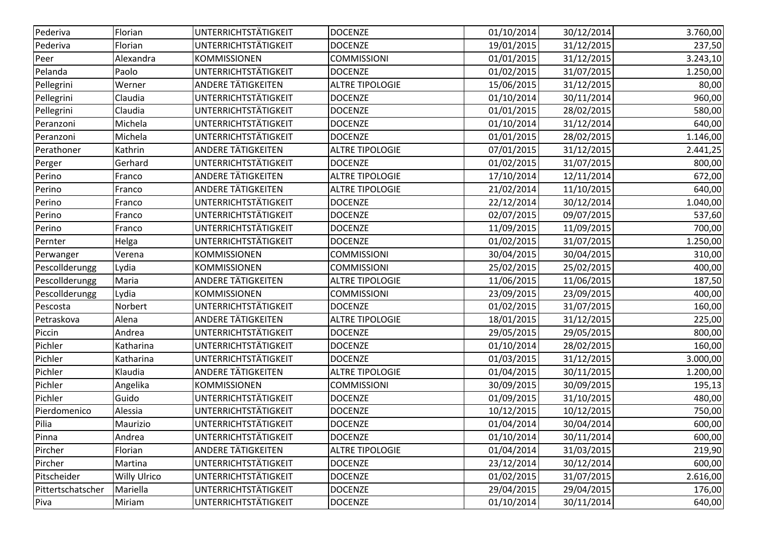| Pederiva          | Florian      | UNTERRICHTSTÄTIGKEIT        | <b>DOCENZE</b>         | 01/10/2014 | 30/12/2014 | 3.760,00 |
|-------------------|--------------|-----------------------------|------------------------|------------|------------|----------|
| Pederiva          | Florian      | UNTERRICHTSTÄTIGKEIT        | <b>DOCENZE</b>         | 19/01/2015 | 31/12/2015 | 237,50   |
| Peer              | Alexandra    | <b>KOMMISSIONEN</b>         | <b>COMMISSIONI</b>     | 01/01/2015 | 31/12/2015 | 3.243,10 |
| Pelanda           | Paolo        | UNTERRICHTSTÄTIGKEIT        | <b>DOCENZE</b>         | 01/02/2015 | 31/07/2015 | 1.250,00 |
| Pellegrini        | Werner       | ANDERE TÄTIGKEITEN          | <b>ALTRE TIPOLOGIE</b> | 15/06/2015 | 31/12/2015 | 80,00    |
| Pellegrini        | Claudia      | UNTERRICHTSTÄTIGKEIT        | <b>DOCENZE</b>         | 01/10/2014 | 30/11/2014 | 960,00   |
| Pellegrini        | Claudia      | UNTERRICHTSTÄTIGKEIT        | <b>DOCENZE</b>         | 01/01/2015 | 28/02/2015 | 580,00   |
| Peranzoni         | Michela      | UNTERRICHTSTÄTIGKEIT        | <b>DOCENZE</b>         | 01/10/2014 | 31/12/2014 | 640,00   |
| Peranzoni         | Michela      | UNTERRICHTSTÄTIGKEIT        | <b>DOCENZE</b>         | 01/01/2015 | 28/02/2015 | 1.146,00 |
| Perathoner        | Kathrin      | ANDERE TÄTIGKEITEN          | <b>ALTRE TIPOLOGIE</b> | 07/01/2015 | 31/12/2015 | 2.441,25 |
| Perger            | Gerhard      | UNTERRICHTSTÄTIGKEIT        | <b>DOCENZE</b>         | 01/02/2015 | 31/07/2015 | 800,00   |
| Perino            | Franco       | <b>ANDERE TÄTIGKEITEN</b>   | <b>ALTRE TIPOLOGIE</b> | 17/10/2014 | 12/11/2014 | 672,00   |
| Perino            | Franco       | <b>ANDERE TÄTIGKEITEN</b>   | <b>ALTRE TIPOLOGIE</b> | 21/02/2014 | 11/10/2015 | 640,00   |
| Perino            | Franco       | UNTERRICHTSTÄTIGKEIT        | <b>DOCENZE</b>         | 22/12/2014 | 30/12/2014 | 1.040,00 |
| Perino            | Franco       | UNTERRICHTSTÄTIGKEIT        | <b>DOCENZE</b>         | 02/07/2015 | 09/07/2015 | 537,60   |
| Perino            | Franco       | <b>UNTERRICHTSTÄTIGKEIT</b> | <b>DOCENZE</b>         | 11/09/2015 | 11/09/2015 | 700,00   |
| Pernter           | Helga        | UNTERRICHTSTÄTIGKEIT        | <b>DOCENZE</b>         | 01/02/2015 | 31/07/2015 | 1.250,00 |
| Perwanger         | Verena       | <b>KOMMISSIONEN</b>         | <b>COMMISSIONI</b>     | 30/04/2015 | 30/04/2015 | 310,00   |
| Pescollderungg    | Lydia        | <b>KOMMISSIONEN</b>         | <b>COMMISSIONI</b>     | 25/02/2015 | 25/02/2015 | 400,00   |
| Pescollderungg    | Maria        | ANDERE TÄTIGKEITEN          | <b>ALTRE TIPOLOGIE</b> | 11/06/2015 | 11/06/2015 | 187,50   |
| Pescollderungg    | Lydia        | KOMMISSIONEN                | <b>COMMISSIONI</b>     | 23/09/2015 | 23/09/2015 | 400,00   |
| Pescosta          | Norbert      | UNTERRICHTSTÄTIGKEIT        | <b>DOCENZE</b>         | 01/02/2015 | 31/07/2015 | 160,00   |
| Petraskova        | Alena        | <b>ANDERE TÄTIGKEITEN</b>   | <b>ALTRE TIPOLOGIE</b> | 18/01/2015 | 31/12/2015 | 225,00   |
| Piccin            | Andrea       | UNTERRICHTSTÄTIGKEIT        | <b>DOCENZE</b>         | 29/05/2015 | 29/05/2015 | 800,00   |
| Pichler           | Katharina    | UNTERRICHTSTÄTIGKEIT        | <b>DOCENZE</b>         | 01/10/2014 | 28/02/2015 | 160,00   |
| Pichler           | Katharina    | UNTERRICHTSTÄTIGKEIT        | <b>DOCENZE</b>         | 01/03/2015 | 31/12/2015 | 3.000,00 |
| Pichler           | Klaudia      | <b>ANDERE TÄTIGKEITEN</b>   | <b>ALTRE TIPOLOGIE</b> | 01/04/2015 | 30/11/2015 | 1.200,00 |
| Pichler           | Angelika     | <b>KOMMISSIONEN</b>         | <b>COMMISSIONI</b>     | 30/09/2015 | 30/09/2015 | 195,13   |
| Pichler           | Guido        | UNTERRICHTSTÄTIGKEIT        | <b>DOCENZE</b>         | 01/09/2015 | 31/10/2015 | 480,00   |
| Pierdomenico      | Alessia      | UNTERRICHTSTÄTIGKEIT        | <b>DOCENZE</b>         | 10/12/2015 | 10/12/2015 | 750,00   |
| Pilia             | Maurizio     | UNTERRICHTSTÄTIGKEIT        | <b>DOCENZE</b>         | 01/04/2014 | 30/04/2014 | 600,00   |
| Pinna             | Andrea       | <b>UNTERRICHTSTÄTIGKEIT</b> | <b>DOCENZE</b>         | 01/10/2014 | 30/11/2014 | 600,00   |
| Pircher           | Florian      | <b>ANDERE TÄTIGKEITEN</b>   | <b>ALTRE TIPOLOGIE</b> | 01/04/2014 | 31/03/2015 | 219,90   |
| Pircher           | Martina      | <b>UNTERRICHTSTÄTIGKEIT</b> | <b>DOCENZE</b>         | 23/12/2014 | 30/12/2014 | 600,00   |
| Pitscheider       | Willy Ulrico | <b>UNTERRICHTSTÄTIGKEIT</b> | <b>DOCENZE</b>         | 01/02/2015 | 31/07/2015 | 2.616,00 |
| Pittertschatscher | Mariella     | UNTERRICHTSTÄTIGKEIT        | <b>DOCENZE</b>         | 29/04/2015 | 29/04/2015 | 176,00   |
| Piva              | Miriam       | <b>UNTERRICHTSTÄTIGKEIT</b> | <b>DOCENZE</b>         | 01/10/2014 | 30/11/2014 | 640,00   |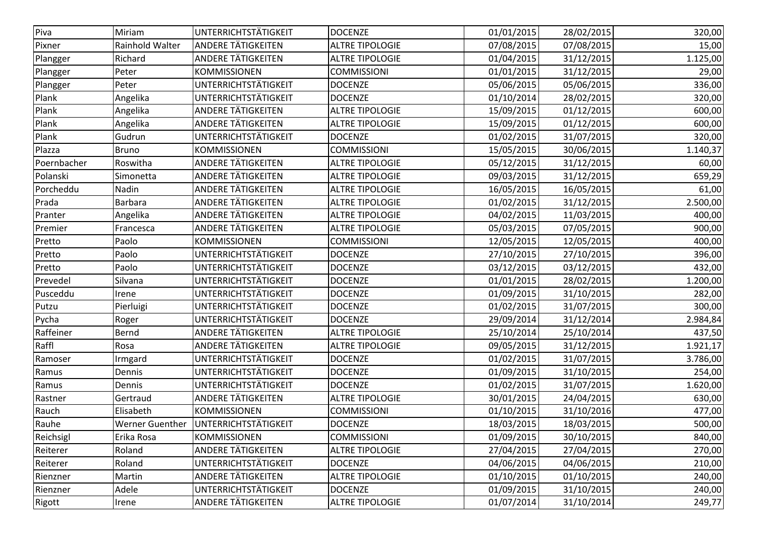| Piva        | Miriam          | UNTERRICHTSTÄTIGKEIT      | <b>DOCENZE</b>         | 01/01/2015 | 28/02/2015 | 320,00   |
|-------------|-----------------|---------------------------|------------------------|------------|------------|----------|
| Pixner      | Rainhold Walter | <b>ANDERE TÄTIGKEITEN</b> | <b>ALTRE TIPOLOGIE</b> | 07/08/2015 | 07/08/2015 | 15,00    |
| Plangger    | Richard         | <b>ANDERE TÄTIGKEITEN</b> | <b>ALTRE TIPOLOGIE</b> | 01/04/2015 | 31/12/2015 | 1.125,00 |
| Plangger    | Peter           | <b>KOMMISSIONEN</b>       | <b>COMMISSIONI</b>     | 01/01/2015 | 31/12/2015 | 29,00    |
| Plangger    | Peter           | UNTERRICHTSTÄTIGKEIT      | <b>DOCENZE</b>         | 05/06/2015 | 05/06/2015 | 336,00   |
| Plank       | Angelika        | UNTERRICHTSTÄTIGKEIT      | <b>DOCENZE</b>         | 01/10/2014 | 28/02/2015 | 320,00   |
| Plank       | Angelika        | ANDERE TÄTIGKEITEN        | <b>ALTRE TIPOLOGIE</b> | 15/09/2015 | 01/12/2015 | 600,00   |
| Plank       | Angelika        | <b>ANDERE TÄTIGKEITEN</b> | <b>ALTRE TIPOLOGIE</b> | 15/09/2015 | 01/12/2015 | 600,00   |
| Plank       | Gudrun          | UNTERRICHTSTÄTIGKEIT      | <b>DOCENZE</b>         | 01/02/2015 | 31/07/2015 | 320,00   |
| Plazza      | Bruno           | <b>KOMMISSIONEN</b>       | <b>COMMISSIONI</b>     | 15/05/2015 | 30/06/2015 | 1.140,37 |
| Poernbacher | Roswitha        | <b>ANDERE TÄTIGKEITEN</b> | <b>ALTRE TIPOLOGIE</b> | 05/12/2015 | 31/12/2015 | 60,00    |
| Polanski    | Simonetta       | ANDERE TÄTIGKEITEN        | <b>ALTRE TIPOLOGIE</b> | 09/03/2015 | 31/12/2015 | 659,29   |
| Porcheddu   | Nadin           | <b>ANDERE TÄTIGKEITEN</b> | <b>ALTRE TIPOLOGIE</b> | 16/05/2015 | 16/05/2015 | 61,00    |
| Prada       | Barbara         | <b>ANDERE TÄTIGKEITEN</b> | <b>ALTRE TIPOLOGIE</b> | 01/02/2015 | 31/12/2015 | 2.500,00 |
| Pranter     | Angelika        | <b>ANDERE TÄTIGKEITEN</b> | <b>ALTRE TIPOLOGIE</b> | 04/02/2015 | 11/03/2015 | 400,00   |
| Premier     | Francesca       | <b>ANDERE TÄTIGKEITEN</b> | <b>ALTRE TIPOLOGIE</b> | 05/03/2015 | 07/05/2015 | 900,00   |
| Pretto      | Paolo           | <b>KOMMISSIONEN</b>       | <b>COMMISSIONI</b>     | 12/05/2015 | 12/05/2015 | 400,00   |
| Pretto      | Paolo           | UNTERRICHTSTÄTIGKEIT      | <b>DOCENZE</b>         | 27/10/2015 | 27/10/2015 | 396,00   |
| Pretto      | Paolo           | UNTERRICHTSTÄTIGKEIT      | <b>DOCENZE</b>         | 03/12/2015 | 03/12/2015 | 432,00   |
| Prevedel    | Silvana         | UNTERRICHTSTÄTIGKEIT      | <b>DOCENZE</b>         | 01/01/2015 | 28/02/2015 | 1.200,00 |
| Pusceddu    | Irene           | UNTERRICHTSTÄTIGKEIT      | <b>DOCENZE</b>         | 01/09/2015 | 31/10/2015 | 282,00   |
| Putzu       | Pierluigi       | UNTERRICHTSTÄTIGKEIT      | <b>DOCENZE</b>         | 01/02/2015 | 31/07/2015 | 300,00   |
| Pycha       | Roger           | UNTERRICHTSTÄTIGKEIT      | <b>DOCENZE</b>         | 29/09/2014 | 31/12/2014 | 2.984,84 |
| Raffeiner   | Bernd           | <b>ANDERE TÄTIGKEITEN</b> | <b>ALTRE TIPOLOGIE</b> | 25/10/2014 | 25/10/2014 | 437,50   |
| Raffl       | Rosa            | ANDERE TÄTIGKEITEN        | <b>ALTRE TIPOLOGIE</b> | 09/05/2015 | 31/12/2015 | 1.921,17 |
| Ramoser     | Irmgard         | UNTERRICHTSTÄTIGKEIT      | <b>DOCENZE</b>         | 01/02/2015 | 31/07/2015 | 3.786,00 |
| Ramus       | Dennis          | UNTERRICHTSTÄTIGKEIT      | <b>DOCENZE</b>         | 01/09/2015 | 31/10/2015 | 254,00   |
| Ramus       | Dennis          | UNTERRICHTSTÄTIGKEIT      | <b>DOCENZE</b>         | 01/02/2015 | 31/07/2015 | 1.620,00 |
| Rastner     | Gertraud        | ANDERE TÄTIGKEITEN        | <b>ALTRE TIPOLOGIE</b> | 30/01/2015 | 24/04/2015 | 630,00   |
| Rauch       | Elisabeth       | <b>KOMMISSIONEN</b>       | <b>COMMISSIONI</b>     | 01/10/2015 | 31/10/2016 | 477,00   |
| Rauhe       | Werner Guenther | UNTERRICHTSTÄTIGKEIT      | <b>DOCENZE</b>         | 18/03/2015 | 18/03/2015 | 500,00   |
| Reichsigl   | Erika Rosa      | <b>KOMMISSIONEN</b>       | <b>COMMISSIONI</b>     | 01/09/2015 | 30/10/2015 | 840,00   |
| Reiterer    | Roland          | ANDERE TÄTIGKEITEN        | <b>ALTRE TIPOLOGIE</b> | 27/04/2015 | 27/04/2015 | 270,00   |
| Reiterer    | Roland          | UNTERRICHTSTÄTIGKEIT      | <b>DOCENZE</b>         | 04/06/2015 | 04/06/2015 | 210,00   |
| Rienzner    | Martin          | <b>ANDERE TÄTIGKEITEN</b> | <b>ALTRE TIPOLOGIE</b> | 01/10/2015 | 01/10/2015 | 240,00   |
| Rienzner    | Adele           | UNTERRICHTSTÄTIGKEIT      | <b>DOCENZE</b>         | 01/09/2015 | 31/10/2015 | 240,00   |
| Rigott      | Irene           | <b>ANDERE TÄTIGKEITEN</b> | <b>ALTRE TIPOLOGIE</b> | 01/07/2014 | 31/10/2014 | 249,77   |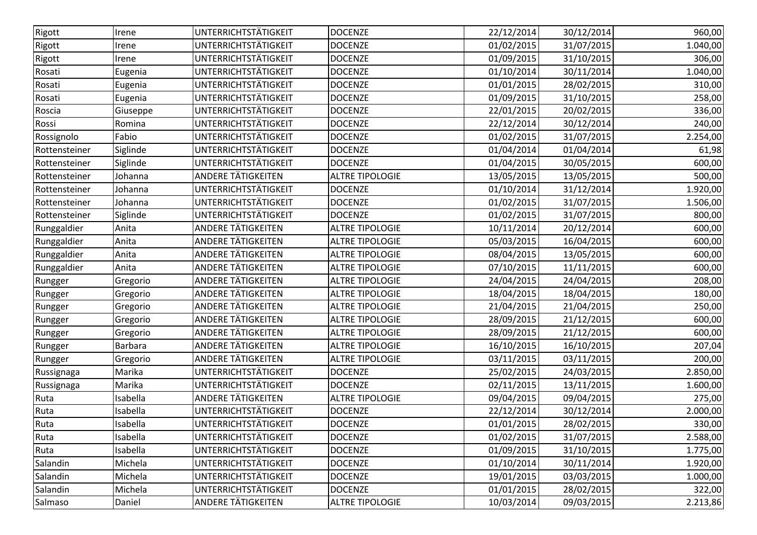| Rigott<br>UNTERRICHTSTÄTIGKEIT<br><b>DOCENZE</b><br>22/12/2014<br>30/12/2014<br>Irene<br>UNTERRICHTSTÄTIGKEIT<br><b>DOCENZE</b><br>01/02/2015<br>31/07/2015<br>Rigott<br>Irene<br>UNTERRICHTSTÄTIGKEIT<br><b>DOCENZE</b><br>01/09/2015<br>31/10/2015<br>Irene<br>UNTERRICHTSTÄTIGKEIT<br><b>DOCENZE</b><br>01/10/2014<br>30/11/2014<br>Rosati<br>Eugenia<br>UNTERRICHTSTÄTIGKEIT<br>01/01/2015<br>28/02/2015<br>Rosati<br><b>DOCENZE</b><br>Eugenia<br>UNTERRICHTSTÄTIGKEIT<br><b>DOCENZE</b><br>01/09/2015<br>31/10/2015<br>Rosati<br>Eugenia<br>UNTERRICHTSTÄTIGKEIT<br>22/01/2015<br>Roscia<br><b>DOCENZE</b><br>20/02/2015<br>Giuseppe<br>UNTERRICHTSTÄTIGKEIT<br>Romina<br><b>DOCENZE</b><br>22/12/2014<br>30/12/2014<br>Rossi<br>UNTERRICHTSTÄTIGKEIT<br>Fabio<br>01/02/2015<br>31/07/2015<br><b>DOCENZE</b><br>Rossignolo<br>UNTERRICHTSTÄTIGKEIT<br>01/04/2014<br><b>DOCENZE</b><br>01/04/2014<br>Siglinde<br>Rottensteiner<br>UNTERRICHTSTÄTIGKEIT<br><b>DOCENZE</b><br>01/04/2015<br>30/05/2015<br>Siglinde<br>Rottensteiner<br>ANDERE TÄTIGKEITEN<br>13/05/2015<br>13/05/2015<br><b>ALTRE TIPOLOGIE</b><br>Rottensteiner<br>Johanna<br>UNTERRICHTSTÄTIGKEIT<br><b>DOCENZE</b><br>01/10/2014<br>31/12/2014<br>Johanna<br>Rottensteiner<br>UNTERRICHTSTÄTIGKEIT<br>01/02/2015<br>31/07/2015<br><b>DOCENZE</b><br>Johanna<br>Rottensteiner<br>UNTERRICHTSTÄTIGKEIT<br>Siglinde<br><b>DOCENZE</b><br>01/02/2015<br>31/07/2015<br>Rottensteiner<br>ANDERE TÄTIGKEITEN<br><b>ALTRE TIPOLOGIE</b><br>10/11/2014<br>20/12/2014<br>Runggaldier<br>Anita<br><b>ANDERE TÄTIGKEITEN</b><br><b>ALTRE TIPOLOGIE</b><br>05/03/2015<br>Runggaldier<br>Anita<br>16/04/2015<br>ANDERE TÄTIGKEITEN<br>Anita<br><b>ALTRE TIPOLOGIE</b><br>08/04/2015<br>13/05/2015<br>Runggaldier<br>ANDERE TÄTIGKEITEN<br>07/10/2015<br>Runggaldier<br>Anita<br><b>ALTRE TIPOLOGIE</b><br>11/11/2015<br><b>ANDERE TÄTIGKEITEN</b><br><b>ALTRE TIPOLOGIE</b><br>24/04/2015<br>24/04/2015<br>Gregorio<br>Rungger<br><b>ANDERE TÄTIGKEITEN</b><br>18/04/2015<br><b>ALTRE TIPOLOGIE</b><br>18/04/2015<br>Gregorio<br>Rungger<br>ANDERE TÄTIGKEITEN<br><b>ALTRE TIPOLOGIE</b><br>21/04/2015<br>21/04/2015<br>Gregorio<br>Rungger<br><b>ANDERE TÄTIGKEITEN</b><br><b>ALTRE TIPOLOGIE</b><br>28/09/2015<br>21/12/2015<br>Gregorio<br>ANDERE TÄTIGKEITEN<br><b>ALTRE TIPOLOGIE</b><br>28/09/2015<br>21/12/2015<br>Gregorio<br>ANDERE TÄTIGKEITEN<br><b>Barbara</b><br><b>ALTRE TIPOLOGIE</b><br>16/10/2015<br>16/10/2015<br>Rungger<br><b>ANDERE TÄTIGKEITEN</b><br>03/11/2015<br>03/11/2015<br><b>ALTRE TIPOLOGIE</b><br>Gregorio<br>Rungger<br>Marika<br>UNTERRICHTSTÄTIGKEIT<br><b>DOCENZE</b><br>25/02/2015<br>24/03/2015<br>Russignaga<br>UNTERRICHTSTÄTIGKEIT<br>Marika<br><b>DOCENZE</b><br>02/11/2015<br>13/11/2015<br>Russignaga<br><b>ANDERE TÄTIGKEITEN</b><br>Isabella<br><b>ALTRE TIPOLOGIE</b><br>09/04/2015<br>09/04/2015<br>Ruta<br>Isabella<br>UNTERRICHTSTÄTIGKEIT<br><b>DOCENZE</b><br>Ruta<br>22/12/2014<br>30/12/2014<br>UNTERRICHTSTÄTIGKEIT<br>01/01/2015<br>28/02/2015<br>Isabella<br><b>DOCENZE</b><br>Ruta<br>UNTERRICHTSTÄTIGKEIT<br>Isabella<br><b>DOCENZE</b><br>01/02/2015<br>31/07/2015<br>Isabella<br>UNTERRICHTSTÄTIGKEIT<br><b>DOCENZE</b><br>01/09/2015<br>31/10/2015<br>Salandin<br>Michela<br>UNTERRICHTSTÄTIGKEIT<br><b>DOCENZE</b><br>01/10/2014<br>30/11/2014<br>UNTERRICHTSTÄTIGKEIT<br>03/03/2015<br>Salandin<br>Michela<br><b>DOCENZE</b><br>19/01/2015<br>UNTERRICHTSTÄTIGKEIT<br>01/01/2015<br>28/02/2015<br>Salandin<br>Michela<br><b>DOCENZE</b><br>Salmaso<br>09/03/2015<br><b>ANDERE TÄTIGKEITEN</b><br><b>ALTRE TIPOLOGIE</b><br>10/03/2014<br>Daniel |         |  |  |          |
|-------------------------------------------------------------------------------------------------------------------------------------------------------------------------------------------------------------------------------------------------------------------------------------------------------------------------------------------------------------------------------------------------------------------------------------------------------------------------------------------------------------------------------------------------------------------------------------------------------------------------------------------------------------------------------------------------------------------------------------------------------------------------------------------------------------------------------------------------------------------------------------------------------------------------------------------------------------------------------------------------------------------------------------------------------------------------------------------------------------------------------------------------------------------------------------------------------------------------------------------------------------------------------------------------------------------------------------------------------------------------------------------------------------------------------------------------------------------------------------------------------------------------------------------------------------------------------------------------------------------------------------------------------------------------------------------------------------------------------------------------------------------------------------------------------------------------------------------------------------------------------------------------------------------------------------------------------------------------------------------------------------------------------------------------------------------------------------------------------------------------------------------------------------------------------------------------------------------------------------------------------------------------------------------------------------------------------------------------------------------------------------------------------------------------------------------------------------------------------------------------------------------------------------------------------------------------------------------------------------------------------------------------------------------------------------------------------------------------------------------------------------------------------------------------------------------------------------------------------------------------------------------------------------------------------------------------------------------------------------------------------------------------------------------------------------------------------------------------------------------------------------------------------------------------------------------------------------------------------------------------------------------------------------------------------------------------------------------------------------------------------------------------------------------------------------------------------------------------------------------------------------------------------------------------------------------------------------------------------------------------------------------------------------------------|---------|--|--|----------|
|                                                                                                                                                                                                                                                                                                                                                                                                                                                                                                                                                                                                                                                                                                                                                                                                                                                                                                                                                                                                                                                                                                                                                                                                                                                                                                                                                                                                                                                                                                                                                                                                                                                                                                                                                                                                                                                                                                                                                                                                                                                                                                                                                                                                                                                                                                                                                                                                                                                                                                                                                                                                                                                                                                                                                                                                                                                                                                                                                                                                                                                                                                                                                                                                                                                                                                                                                                                                                                                                                                                                                                                                                                                                         |         |  |  | 960,00   |
|                                                                                                                                                                                                                                                                                                                                                                                                                                                                                                                                                                                                                                                                                                                                                                                                                                                                                                                                                                                                                                                                                                                                                                                                                                                                                                                                                                                                                                                                                                                                                                                                                                                                                                                                                                                                                                                                                                                                                                                                                                                                                                                                                                                                                                                                                                                                                                                                                                                                                                                                                                                                                                                                                                                                                                                                                                                                                                                                                                                                                                                                                                                                                                                                                                                                                                                                                                                                                                                                                                                                                                                                                                                                         |         |  |  | 1.040,00 |
|                                                                                                                                                                                                                                                                                                                                                                                                                                                                                                                                                                                                                                                                                                                                                                                                                                                                                                                                                                                                                                                                                                                                                                                                                                                                                                                                                                                                                                                                                                                                                                                                                                                                                                                                                                                                                                                                                                                                                                                                                                                                                                                                                                                                                                                                                                                                                                                                                                                                                                                                                                                                                                                                                                                                                                                                                                                                                                                                                                                                                                                                                                                                                                                                                                                                                                                                                                                                                                                                                                                                                                                                                                                                         | Rigott  |  |  | 306,00   |
|                                                                                                                                                                                                                                                                                                                                                                                                                                                                                                                                                                                                                                                                                                                                                                                                                                                                                                                                                                                                                                                                                                                                                                                                                                                                                                                                                                                                                                                                                                                                                                                                                                                                                                                                                                                                                                                                                                                                                                                                                                                                                                                                                                                                                                                                                                                                                                                                                                                                                                                                                                                                                                                                                                                                                                                                                                                                                                                                                                                                                                                                                                                                                                                                                                                                                                                                                                                                                                                                                                                                                                                                                                                                         |         |  |  | 1.040,00 |
|                                                                                                                                                                                                                                                                                                                                                                                                                                                                                                                                                                                                                                                                                                                                                                                                                                                                                                                                                                                                                                                                                                                                                                                                                                                                                                                                                                                                                                                                                                                                                                                                                                                                                                                                                                                                                                                                                                                                                                                                                                                                                                                                                                                                                                                                                                                                                                                                                                                                                                                                                                                                                                                                                                                                                                                                                                                                                                                                                                                                                                                                                                                                                                                                                                                                                                                                                                                                                                                                                                                                                                                                                                                                         |         |  |  | 310,00   |
|                                                                                                                                                                                                                                                                                                                                                                                                                                                                                                                                                                                                                                                                                                                                                                                                                                                                                                                                                                                                                                                                                                                                                                                                                                                                                                                                                                                                                                                                                                                                                                                                                                                                                                                                                                                                                                                                                                                                                                                                                                                                                                                                                                                                                                                                                                                                                                                                                                                                                                                                                                                                                                                                                                                                                                                                                                                                                                                                                                                                                                                                                                                                                                                                                                                                                                                                                                                                                                                                                                                                                                                                                                                                         |         |  |  | 258,00   |
|                                                                                                                                                                                                                                                                                                                                                                                                                                                                                                                                                                                                                                                                                                                                                                                                                                                                                                                                                                                                                                                                                                                                                                                                                                                                                                                                                                                                                                                                                                                                                                                                                                                                                                                                                                                                                                                                                                                                                                                                                                                                                                                                                                                                                                                                                                                                                                                                                                                                                                                                                                                                                                                                                                                                                                                                                                                                                                                                                                                                                                                                                                                                                                                                                                                                                                                                                                                                                                                                                                                                                                                                                                                                         |         |  |  | 336,00   |
|                                                                                                                                                                                                                                                                                                                                                                                                                                                                                                                                                                                                                                                                                                                                                                                                                                                                                                                                                                                                                                                                                                                                                                                                                                                                                                                                                                                                                                                                                                                                                                                                                                                                                                                                                                                                                                                                                                                                                                                                                                                                                                                                                                                                                                                                                                                                                                                                                                                                                                                                                                                                                                                                                                                                                                                                                                                                                                                                                                                                                                                                                                                                                                                                                                                                                                                                                                                                                                                                                                                                                                                                                                                                         |         |  |  | 240,00   |
|                                                                                                                                                                                                                                                                                                                                                                                                                                                                                                                                                                                                                                                                                                                                                                                                                                                                                                                                                                                                                                                                                                                                                                                                                                                                                                                                                                                                                                                                                                                                                                                                                                                                                                                                                                                                                                                                                                                                                                                                                                                                                                                                                                                                                                                                                                                                                                                                                                                                                                                                                                                                                                                                                                                                                                                                                                                                                                                                                                                                                                                                                                                                                                                                                                                                                                                                                                                                                                                                                                                                                                                                                                                                         |         |  |  | 2.254,00 |
|                                                                                                                                                                                                                                                                                                                                                                                                                                                                                                                                                                                                                                                                                                                                                                                                                                                                                                                                                                                                                                                                                                                                                                                                                                                                                                                                                                                                                                                                                                                                                                                                                                                                                                                                                                                                                                                                                                                                                                                                                                                                                                                                                                                                                                                                                                                                                                                                                                                                                                                                                                                                                                                                                                                                                                                                                                                                                                                                                                                                                                                                                                                                                                                                                                                                                                                                                                                                                                                                                                                                                                                                                                                                         |         |  |  | 61,98    |
|                                                                                                                                                                                                                                                                                                                                                                                                                                                                                                                                                                                                                                                                                                                                                                                                                                                                                                                                                                                                                                                                                                                                                                                                                                                                                                                                                                                                                                                                                                                                                                                                                                                                                                                                                                                                                                                                                                                                                                                                                                                                                                                                                                                                                                                                                                                                                                                                                                                                                                                                                                                                                                                                                                                                                                                                                                                                                                                                                                                                                                                                                                                                                                                                                                                                                                                                                                                                                                                                                                                                                                                                                                                                         |         |  |  | 600,00   |
|                                                                                                                                                                                                                                                                                                                                                                                                                                                                                                                                                                                                                                                                                                                                                                                                                                                                                                                                                                                                                                                                                                                                                                                                                                                                                                                                                                                                                                                                                                                                                                                                                                                                                                                                                                                                                                                                                                                                                                                                                                                                                                                                                                                                                                                                                                                                                                                                                                                                                                                                                                                                                                                                                                                                                                                                                                                                                                                                                                                                                                                                                                                                                                                                                                                                                                                                                                                                                                                                                                                                                                                                                                                                         |         |  |  | 500,00   |
|                                                                                                                                                                                                                                                                                                                                                                                                                                                                                                                                                                                                                                                                                                                                                                                                                                                                                                                                                                                                                                                                                                                                                                                                                                                                                                                                                                                                                                                                                                                                                                                                                                                                                                                                                                                                                                                                                                                                                                                                                                                                                                                                                                                                                                                                                                                                                                                                                                                                                                                                                                                                                                                                                                                                                                                                                                                                                                                                                                                                                                                                                                                                                                                                                                                                                                                                                                                                                                                                                                                                                                                                                                                                         |         |  |  | 1.920,00 |
|                                                                                                                                                                                                                                                                                                                                                                                                                                                                                                                                                                                                                                                                                                                                                                                                                                                                                                                                                                                                                                                                                                                                                                                                                                                                                                                                                                                                                                                                                                                                                                                                                                                                                                                                                                                                                                                                                                                                                                                                                                                                                                                                                                                                                                                                                                                                                                                                                                                                                                                                                                                                                                                                                                                                                                                                                                                                                                                                                                                                                                                                                                                                                                                                                                                                                                                                                                                                                                                                                                                                                                                                                                                                         |         |  |  | 1.506,00 |
|                                                                                                                                                                                                                                                                                                                                                                                                                                                                                                                                                                                                                                                                                                                                                                                                                                                                                                                                                                                                                                                                                                                                                                                                                                                                                                                                                                                                                                                                                                                                                                                                                                                                                                                                                                                                                                                                                                                                                                                                                                                                                                                                                                                                                                                                                                                                                                                                                                                                                                                                                                                                                                                                                                                                                                                                                                                                                                                                                                                                                                                                                                                                                                                                                                                                                                                                                                                                                                                                                                                                                                                                                                                                         |         |  |  | 800,00   |
|                                                                                                                                                                                                                                                                                                                                                                                                                                                                                                                                                                                                                                                                                                                                                                                                                                                                                                                                                                                                                                                                                                                                                                                                                                                                                                                                                                                                                                                                                                                                                                                                                                                                                                                                                                                                                                                                                                                                                                                                                                                                                                                                                                                                                                                                                                                                                                                                                                                                                                                                                                                                                                                                                                                                                                                                                                                                                                                                                                                                                                                                                                                                                                                                                                                                                                                                                                                                                                                                                                                                                                                                                                                                         |         |  |  | 600,00   |
|                                                                                                                                                                                                                                                                                                                                                                                                                                                                                                                                                                                                                                                                                                                                                                                                                                                                                                                                                                                                                                                                                                                                                                                                                                                                                                                                                                                                                                                                                                                                                                                                                                                                                                                                                                                                                                                                                                                                                                                                                                                                                                                                                                                                                                                                                                                                                                                                                                                                                                                                                                                                                                                                                                                                                                                                                                                                                                                                                                                                                                                                                                                                                                                                                                                                                                                                                                                                                                                                                                                                                                                                                                                                         |         |  |  | 600,00   |
|                                                                                                                                                                                                                                                                                                                                                                                                                                                                                                                                                                                                                                                                                                                                                                                                                                                                                                                                                                                                                                                                                                                                                                                                                                                                                                                                                                                                                                                                                                                                                                                                                                                                                                                                                                                                                                                                                                                                                                                                                                                                                                                                                                                                                                                                                                                                                                                                                                                                                                                                                                                                                                                                                                                                                                                                                                                                                                                                                                                                                                                                                                                                                                                                                                                                                                                                                                                                                                                                                                                                                                                                                                                                         |         |  |  | 600,00   |
|                                                                                                                                                                                                                                                                                                                                                                                                                                                                                                                                                                                                                                                                                                                                                                                                                                                                                                                                                                                                                                                                                                                                                                                                                                                                                                                                                                                                                                                                                                                                                                                                                                                                                                                                                                                                                                                                                                                                                                                                                                                                                                                                                                                                                                                                                                                                                                                                                                                                                                                                                                                                                                                                                                                                                                                                                                                                                                                                                                                                                                                                                                                                                                                                                                                                                                                                                                                                                                                                                                                                                                                                                                                                         |         |  |  | 600,00   |
|                                                                                                                                                                                                                                                                                                                                                                                                                                                                                                                                                                                                                                                                                                                                                                                                                                                                                                                                                                                                                                                                                                                                                                                                                                                                                                                                                                                                                                                                                                                                                                                                                                                                                                                                                                                                                                                                                                                                                                                                                                                                                                                                                                                                                                                                                                                                                                                                                                                                                                                                                                                                                                                                                                                                                                                                                                                                                                                                                                                                                                                                                                                                                                                                                                                                                                                                                                                                                                                                                                                                                                                                                                                                         |         |  |  | 208,00   |
|                                                                                                                                                                                                                                                                                                                                                                                                                                                                                                                                                                                                                                                                                                                                                                                                                                                                                                                                                                                                                                                                                                                                                                                                                                                                                                                                                                                                                                                                                                                                                                                                                                                                                                                                                                                                                                                                                                                                                                                                                                                                                                                                                                                                                                                                                                                                                                                                                                                                                                                                                                                                                                                                                                                                                                                                                                                                                                                                                                                                                                                                                                                                                                                                                                                                                                                                                                                                                                                                                                                                                                                                                                                                         |         |  |  | 180,00   |
|                                                                                                                                                                                                                                                                                                                                                                                                                                                                                                                                                                                                                                                                                                                                                                                                                                                                                                                                                                                                                                                                                                                                                                                                                                                                                                                                                                                                                                                                                                                                                                                                                                                                                                                                                                                                                                                                                                                                                                                                                                                                                                                                                                                                                                                                                                                                                                                                                                                                                                                                                                                                                                                                                                                                                                                                                                                                                                                                                                                                                                                                                                                                                                                                                                                                                                                                                                                                                                                                                                                                                                                                                                                                         |         |  |  | 250,00   |
|                                                                                                                                                                                                                                                                                                                                                                                                                                                                                                                                                                                                                                                                                                                                                                                                                                                                                                                                                                                                                                                                                                                                                                                                                                                                                                                                                                                                                                                                                                                                                                                                                                                                                                                                                                                                                                                                                                                                                                                                                                                                                                                                                                                                                                                                                                                                                                                                                                                                                                                                                                                                                                                                                                                                                                                                                                                                                                                                                                                                                                                                                                                                                                                                                                                                                                                                                                                                                                                                                                                                                                                                                                                                         | Rungger |  |  | 600,00   |
|                                                                                                                                                                                                                                                                                                                                                                                                                                                                                                                                                                                                                                                                                                                                                                                                                                                                                                                                                                                                                                                                                                                                                                                                                                                                                                                                                                                                                                                                                                                                                                                                                                                                                                                                                                                                                                                                                                                                                                                                                                                                                                                                                                                                                                                                                                                                                                                                                                                                                                                                                                                                                                                                                                                                                                                                                                                                                                                                                                                                                                                                                                                                                                                                                                                                                                                                                                                                                                                                                                                                                                                                                                                                         | Rungger |  |  | 600,00   |
|                                                                                                                                                                                                                                                                                                                                                                                                                                                                                                                                                                                                                                                                                                                                                                                                                                                                                                                                                                                                                                                                                                                                                                                                                                                                                                                                                                                                                                                                                                                                                                                                                                                                                                                                                                                                                                                                                                                                                                                                                                                                                                                                                                                                                                                                                                                                                                                                                                                                                                                                                                                                                                                                                                                                                                                                                                                                                                                                                                                                                                                                                                                                                                                                                                                                                                                                                                                                                                                                                                                                                                                                                                                                         |         |  |  | 207,04   |
|                                                                                                                                                                                                                                                                                                                                                                                                                                                                                                                                                                                                                                                                                                                                                                                                                                                                                                                                                                                                                                                                                                                                                                                                                                                                                                                                                                                                                                                                                                                                                                                                                                                                                                                                                                                                                                                                                                                                                                                                                                                                                                                                                                                                                                                                                                                                                                                                                                                                                                                                                                                                                                                                                                                                                                                                                                                                                                                                                                                                                                                                                                                                                                                                                                                                                                                                                                                                                                                                                                                                                                                                                                                                         |         |  |  | 200,00   |
|                                                                                                                                                                                                                                                                                                                                                                                                                                                                                                                                                                                                                                                                                                                                                                                                                                                                                                                                                                                                                                                                                                                                                                                                                                                                                                                                                                                                                                                                                                                                                                                                                                                                                                                                                                                                                                                                                                                                                                                                                                                                                                                                                                                                                                                                                                                                                                                                                                                                                                                                                                                                                                                                                                                                                                                                                                                                                                                                                                                                                                                                                                                                                                                                                                                                                                                                                                                                                                                                                                                                                                                                                                                                         |         |  |  | 2.850,00 |
|                                                                                                                                                                                                                                                                                                                                                                                                                                                                                                                                                                                                                                                                                                                                                                                                                                                                                                                                                                                                                                                                                                                                                                                                                                                                                                                                                                                                                                                                                                                                                                                                                                                                                                                                                                                                                                                                                                                                                                                                                                                                                                                                                                                                                                                                                                                                                                                                                                                                                                                                                                                                                                                                                                                                                                                                                                                                                                                                                                                                                                                                                                                                                                                                                                                                                                                                                                                                                                                                                                                                                                                                                                                                         |         |  |  | 1.600,00 |
|                                                                                                                                                                                                                                                                                                                                                                                                                                                                                                                                                                                                                                                                                                                                                                                                                                                                                                                                                                                                                                                                                                                                                                                                                                                                                                                                                                                                                                                                                                                                                                                                                                                                                                                                                                                                                                                                                                                                                                                                                                                                                                                                                                                                                                                                                                                                                                                                                                                                                                                                                                                                                                                                                                                                                                                                                                                                                                                                                                                                                                                                                                                                                                                                                                                                                                                                                                                                                                                                                                                                                                                                                                                                         |         |  |  | 275,00   |
|                                                                                                                                                                                                                                                                                                                                                                                                                                                                                                                                                                                                                                                                                                                                                                                                                                                                                                                                                                                                                                                                                                                                                                                                                                                                                                                                                                                                                                                                                                                                                                                                                                                                                                                                                                                                                                                                                                                                                                                                                                                                                                                                                                                                                                                                                                                                                                                                                                                                                                                                                                                                                                                                                                                                                                                                                                                                                                                                                                                                                                                                                                                                                                                                                                                                                                                                                                                                                                                                                                                                                                                                                                                                         |         |  |  | 2.000,00 |
|                                                                                                                                                                                                                                                                                                                                                                                                                                                                                                                                                                                                                                                                                                                                                                                                                                                                                                                                                                                                                                                                                                                                                                                                                                                                                                                                                                                                                                                                                                                                                                                                                                                                                                                                                                                                                                                                                                                                                                                                                                                                                                                                                                                                                                                                                                                                                                                                                                                                                                                                                                                                                                                                                                                                                                                                                                                                                                                                                                                                                                                                                                                                                                                                                                                                                                                                                                                                                                                                                                                                                                                                                                                                         | Ruta    |  |  | 330,00   |
|                                                                                                                                                                                                                                                                                                                                                                                                                                                                                                                                                                                                                                                                                                                                                                                                                                                                                                                                                                                                                                                                                                                                                                                                                                                                                                                                                                                                                                                                                                                                                                                                                                                                                                                                                                                                                                                                                                                                                                                                                                                                                                                                                                                                                                                                                                                                                                                                                                                                                                                                                                                                                                                                                                                                                                                                                                                                                                                                                                                                                                                                                                                                                                                                                                                                                                                                                                                                                                                                                                                                                                                                                                                                         |         |  |  | 2.588,00 |
|                                                                                                                                                                                                                                                                                                                                                                                                                                                                                                                                                                                                                                                                                                                                                                                                                                                                                                                                                                                                                                                                                                                                                                                                                                                                                                                                                                                                                                                                                                                                                                                                                                                                                                                                                                                                                                                                                                                                                                                                                                                                                                                                                                                                                                                                                                                                                                                                                                                                                                                                                                                                                                                                                                                                                                                                                                                                                                                                                                                                                                                                                                                                                                                                                                                                                                                                                                                                                                                                                                                                                                                                                                                                         | Ruta    |  |  | 1.775,00 |
|                                                                                                                                                                                                                                                                                                                                                                                                                                                                                                                                                                                                                                                                                                                                                                                                                                                                                                                                                                                                                                                                                                                                                                                                                                                                                                                                                                                                                                                                                                                                                                                                                                                                                                                                                                                                                                                                                                                                                                                                                                                                                                                                                                                                                                                                                                                                                                                                                                                                                                                                                                                                                                                                                                                                                                                                                                                                                                                                                                                                                                                                                                                                                                                                                                                                                                                                                                                                                                                                                                                                                                                                                                                                         |         |  |  | 1.920,00 |
|                                                                                                                                                                                                                                                                                                                                                                                                                                                                                                                                                                                                                                                                                                                                                                                                                                                                                                                                                                                                                                                                                                                                                                                                                                                                                                                                                                                                                                                                                                                                                                                                                                                                                                                                                                                                                                                                                                                                                                                                                                                                                                                                                                                                                                                                                                                                                                                                                                                                                                                                                                                                                                                                                                                                                                                                                                                                                                                                                                                                                                                                                                                                                                                                                                                                                                                                                                                                                                                                                                                                                                                                                                                                         |         |  |  | 1.000,00 |
|                                                                                                                                                                                                                                                                                                                                                                                                                                                                                                                                                                                                                                                                                                                                                                                                                                                                                                                                                                                                                                                                                                                                                                                                                                                                                                                                                                                                                                                                                                                                                                                                                                                                                                                                                                                                                                                                                                                                                                                                                                                                                                                                                                                                                                                                                                                                                                                                                                                                                                                                                                                                                                                                                                                                                                                                                                                                                                                                                                                                                                                                                                                                                                                                                                                                                                                                                                                                                                                                                                                                                                                                                                                                         |         |  |  | 322,00   |
|                                                                                                                                                                                                                                                                                                                                                                                                                                                                                                                                                                                                                                                                                                                                                                                                                                                                                                                                                                                                                                                                                                                                                                                                                                                                                                                                                                                                                                                                                                                                                                                                                                                                                                                                                                                                                                                                                                                                                                                                                                                                                                                                                                                                                                                                                                                                                                                                                                                                                                                                                                                                                                                                                                                                                                                                                                                                                                                                                                                                                                                                                                                                                                                                                                                                                                                                                                                                                                                                                                                                                                                                                                                                         |         |  |  | 2.213,86 |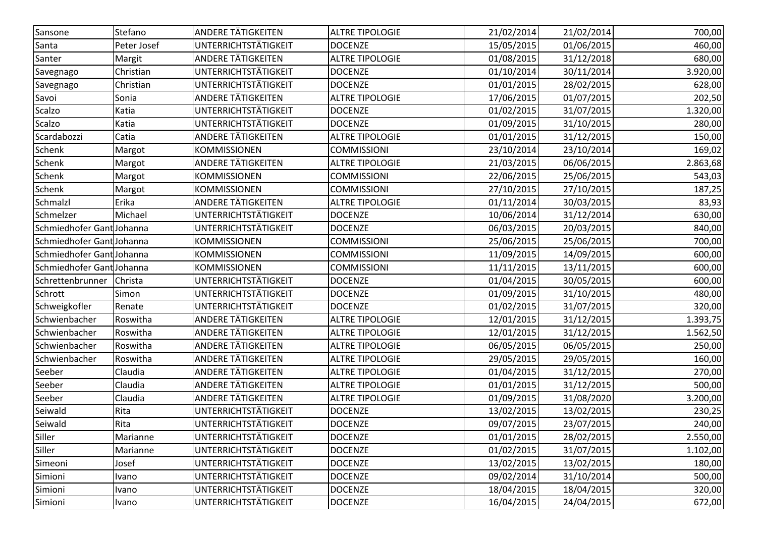| Sansone                   | Stefano     | <b>ANDERE TÄTIGKEITEN</b>   | <b>ALTRE TIPOLOGIE</b> | 21/02/2014 | 21/02/2014 | 700,00   |
|---------------------------|-------------|-----------------------------|------------------------|------------|------------|----------|
| Santa                     | Peter Josef | UNTERRICHTSTÄTIGKEIT        | <b>DOCENZE</b>         | 15/05/2015 | 01/06/2015 | 460,00   |
| Santer                    | Margit      | <b>ANDERE TÄTIGKEITEN</b>   | <b>ALTRE TIPOLOGIE</b> | 01/08/2015 | 31/12/2018 | 680,00   |
| Savegnago                 | Christian   | <b>UNTERRICHTSTÄTIGKEIT</b> | <b>DOCENZE</b>         | 01/10/2014 | 30/11/2014 | 3.920,00 |
| Savegnago                 | Christian   | UNTERRICHTSTÄTIGKEIT        | <b>DOCENZE</b>         | 01/01/2015 | 28/02/2015 | 628,00   |
| Savoi                     | Sonia       | ANDERE TÄTIGKEITEN          | <b>ALTRE TIPOLOGIE</b> | 17/06/2015 | 01/07/2015 | 202,50   |
| <b>Scalzo</b>             | Katia       | UNTERRICHTSTÄTIGKEIT        | <b>DOCENZE</b>         | 01/02/2015 | 31/07/2015 | 1.320,00 |
| <b>Scalzo</b>             | Katia       | <b>UNTERRICHTSTÄTIGKEIT</b> | <b>DOCENZE</b>         | 01/09/2015 | 31/10/2015 | 280,00   |
| Scardabozzi               | Catia       | <b>ANDERE TÄTIGKEITEN</b>   | <b>ALTRE TIPOLOGIE</b> | 01/01/2015 | 31/12/2015 | 150,00   |
| <b>Schenk</b>             | Margot      | <b>KOMMISSIONEN</b>         | <b>COMMISSIONI</b>     | 23/10/2014 | 23/10/2014 | 169,02   |
| Schenk                    | Margot      | ANDERE TÄTIGKEITEN          | <b>ALTRE TIPOLOGIE</b> | 21/03/2015 | 06/06/2015 | 2.863,68 |
| <b>Schenk</b>             | Margot      | <b>KOMMISSIONEN</b>         | <b>COMMISSIONI</b>     | 22/06/2015 | 25/06/2015 | 543,03   |
| <b>Schenk</b>             | Margot      | KOMMISSIONEN                | <b>COMMISSIONI</b>     | 27/10/2015 | 27/10/2015 | 187,25   |
| Schmalzl                  | Erika       | <b>ANDERE TÄTIGKEITEN</b>   | <b>ALTRE TIPOLOGIE</b> | 01/11/2014 | 30/03/2015 | 83,93    |
| Schmelzer                 | Michael     | UNTERRICHTSTÄTIGKEIT        | <b>DOCENZE</b>         | 10/06/2014 | 31/12/2014 | 630,00   |
| Schmiedhofer Gant Johanna |             | <b>UNTERRICHTSTÄTIGKEIT</b> | <b>DOCENZE</b>         | 06/03/2015 | 20/03/2015 | 840,00   |
| Schmiedhofer Gant Johanna |             | <b>KOMMISSIONEN</b>         | <b>COMMISSIONI</b>     | 25/06/2015 | 25/06/2015 | 700,00   |
| Schmiedhofer Gant Johanna |             | <b>KOMMISSIONEN</b>         | <b>COMMISSIONI</b>     | 11/09/2015 | 14/09/2015 | 600,00   |
| Schmiedhofer Gant Johanna |             | KOMMISSIONEN                | <b>COMMISSIONI</b>     | 11/11/2015 | 13/11/2015 | 600,00   |
| Schrettenbrunner          | Christa     | UNTERRICHTSTÄTIGKEIT        | <b>DOCENZE</b>         | 01/04/2015 | 30/05/2015 | 600,00   |
| Schrott                   | Simon       | UNTERRICHTSTÄTIGKEIT        | <b>DOCENZE</b>         | 01/09/2015 | 31/10/2015 | 480,00   |
| Schweigkofler             | Renate      | UNTERRICHTSTÄTIGKEIT        | <b>DOCENZE</b>         | 01/02/2015 | 31/07/2015 | 320,00   |
| Schwienbacher             | Roswitha    | ANDERE TÄTIGKEITEN          | <b>ALTRE TIPOLOGIE</b> | 12/01/2015 | 31/12/2015 | 1.393,75 |
| Schwienbacher             | Roswitha    | ANDERE TÄTIGKEITEN          | <b>ALTRE TIPOLOGIE</b> | 12/01/2015 | 31/12/2015 | 1.562,50 |
| Schwienbacher             | Roswitha    | <b>ANDERE TÄTIGKEITEN</b>   | <b>ALTRE TIPOLOGIE</b> | 06/05/2015 | 06/05/2015 | 250,00   |
| Schwienbacher             | Roswitha    | <b>ANDERE TÄTIGKEITEN</b>   | <b>ALTRE TIPOLOGIE</b> | 29/05/2015 | 29/05/2015 | 160,00   |
| Seeber                    | Claudia     | <b>ANDERE TÄTIGKEITEN</b>   | <b>ALTRE TIPOLOGIE</b> | 01/04/2015 | 31/12/2015 | 270,00   |
| Seeber                    | Claudia     | <b>ANDERE TÄTIGKEITEN</b>   | <b>ALTRE TIPOLOGIE</b> | 01/01/2015 | 31/12/2015 | 500,00   |
| Seeber                    | Claudia     | ANDERE TÄTIGKEITEN          | <b>ALTRE TIPOLOGIE</b> | 01/09/2015 | 31/08/2020 | 3.200,00 |
| Seiwald                   | Rita        | UNTERRICHTSTÄTIGKEIT        | <b>DOCENZE</b>         | 13/02/2015 | 13/02/2015 | 230,25   |
| Seiwald                   | Rita        | UNTERRICHTSTÄTIGKEIT        | <b>DOCENZE</b>         | 09/07/2015 | 23/07/2015 | 240,00   |
| Siller                    | Marianne    | UNTERRICHTSTÄTIGKEIT        | <b>DOCENZE</b>         | 01/01/2015 | 28/02/2015 | 2.550,00 |
| Siller                    | Marianne    | <b>UNTERRICHTSTÄTIGKEIT</b> | <b>DOCENZE</b>         | 01/02/2015 | 31/07/2015 | 1.102,00 |
| Simeoni                   | Josef       | <b>UNTERRICHTSTÄTIGKEIT</b> | <b>DOCENZE</b>         | 13/02/2015 | 13/02/2015 | 180,00   |
| Simioni                   | Ivano       | UNTERRICHTSTÄTIGKEIT        | <b>DOCENZE</b>         | 09/02/2014 | 31/10/2014 | 500,00   |
| Simioni                   | Ivano       | <b>UNTERRICHTSTÄTIGKEIT</b> | <b>DOCENZE</b>         | 18/04/2015 | 18/04/2015 | 320,00   |
| Simioni                   | Ivano       | <b>UNTERRICHTSTÄTIGKEIT</b> | <b>DOCENZE</b>         | 16/04/2015 | 24/04/2015 | 672,00   |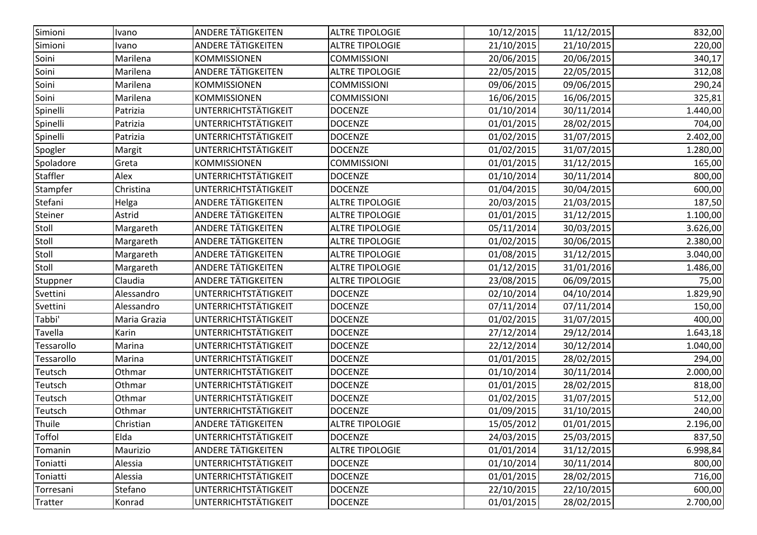| Simioni         | Ivano        | <b>ANDERE TÄTIGKEITEN</b>   | <b>ALTRE TIPOLOGIE</b> | 10/12/2015 | 11/12/2015 | 832,00   |
|-----------------|--------------|-----------------------------|------------------------|------------|------------|----------|
| Simioni         | Ivano        | <b>ANDERE TÄTIGKEITEN</b>   | <b>ALTRE TIPOLOGIE</b> | 21/10/2015 | 21/10/2015 | 220,00   |
| Soini           | Marilena     | KOMMISSIONEN                | <b>COMMISSIONI</b>     | 20/06/2015 | 20/06/2015 | 340,17   |
| Soini           | Marilena     | <b>ANDERE TÄTIGKEITEN</b>   | <b>ALTRE TIPOLOGIE</b> | 22/05/2015 | 22/05/2015 | 312,08   |
| Soini           | Marilena     | <b>KOMMISSIONEN</b>         | <b>COMMISSIONI</b>     | 09/06/2015 | 09/06/2015 | 290,24   |
| Soini           | Marilena     | <b>KOMMISSIONEN</b>         | <b>COMMISSIONI</b>     | 16/06/2015 | 16/06/2015 | 325,81   |
| Spinelli        | Patrizia     | UNTERRICHTSTÄTIGKEIT        | <b>DOCENZE</b>         | 01/10/2014 | 30/11/2014 | 1.440,00 |
| Spinelli        | Patrizia     | UNTERRICHTSTÄTIGKEIT        | <b>DOCENZE</b>         | 01/01/2015 | 28/02/2015 | 704,00   |
| Spinelli        | Patrizia     | UNTERRICHTSTÄTIGKEIT        | <b>DOCENZE</b>         | 01/02/2015 | 31/07/2015 | 2.402,00 |
| Spogler         | Margit       | UNTERRICHTSTÄTIGKEIT        | <b>DOCENZE</b>         | 01/02/2015 | 31/07/2015 | 1.280,00 |
| Spoladore       | Greta        | <b>KOMMISSIONEN</b>         | <b>COMMISSIONI</b>     | 01/01/2015 | 31/12/2015 | 165,00   |
| <b>Staffler</b> | Alex         | UNTERRICHTSTÄTIGKEIT        | <b>DOCENZE</b>         | 01/10/2014 | 30/11/2014 | 800,00   |
| Stampfer        | Christina    | UNTERRICHTSTÄTIGKEIT        | <b>DOCENZE</b>         | 01/04/2015 | 30/04/2015 | 600,00   |
| Stefani         | Helga        | <b>ANDERE TÄTIGKEITEN</b>   | <b>ALTRE TIPOLOGIE</b> | 20/03/2015 | 21/03/2015 | 187,50   |
| Steiner         | Astrid       | ANDERE TÄTIGKEITEN          | <b>ALTRE TIPOLOGIE</b> | 01/01/2015 | 31/12/2015 | 1.100,00 |
| Stoll           | Margareth    | ANDERE TÄTIGKEITEN          | <b>ALTRE TIPOLOGIE</b> | 05/11/2014 | 30/03/2015 | 3.626,00 |
| Stoll           | Margareth    | ANDERE TÄTIGKEITEN          | <b>ALTRE TIPOLOGIE</b> | 01/02/2015 | 30/06/2015 | 2.380,00 |
| Stoll           | Margareth    | <b>ANDERE TÄTIGKEITEN</b>   | <b>ALTRE TIPOLOGIE</b> | 01/08/2015 | 31/12/2015 | 3.040,00 |
| Stoll           | Margareth    | ANDERE TÄTIGKEITEN          | <b>ALTRE TIPOLOGIE</b> | 01/12/2015 | 31/01/2016 | 1.486,00 |
| Stuppner        | Claudia      | <b>ANDERE TÄTIGKEITEN</b>   | <b>ALTRE TIPOLOGIE</b> | 23/08/2015 | 06/09/2015 | 75,00    |
| Svettini        | Alessandro   | UNTERRICHTSTÄTIGKEIT        | <b>DOCENZE</b>         | 02/10/2014 | 04/10/2014 | 1.829,90 |
| Svettini        | Alessandro   | UNTERRICHTSTÄTIGKEIT        | <b>DOCENZE</b>         | 07/11/2014 | 07/11/2014 | 150,00   |
| Tabbi'          | Maria Grazia | UNTERRICHTSTÄTIGKEIT        | <b>DOCENZE</b>         | 01/02/2015 | 31/07/2015 | 400,00   |
| Tavella         | Karin        | UNTERRICHTSTÄTIGKEIT        | <b>DOCENZE</b>         | 27/12/2014 | 29/12/2014 | 1.643,18 |
| Tessarollo      | Marina       | UNTERRICHTSTÄTIGKEIT        | <b>DOCENZE</b>         | 22/12/2014 | 30/12/2014 | 1.040,00 |
| Tessarollo      | Marina       | UNTERRICHTSTÄTIGKEIT        | <b>DOCENZE</b>         | 01/01/2015 | 28/02/2015 | 294,00   |
| Teutsch         | Othmar       | UNTERRICHTSTÄTIGKEIT        | <b>DOCENZE</b>         | 01/10/2014 | 30/11/2014 | 2.000,00 |
| Teutsch         | Othmar       | UNTERRICHTSTÄTIGKEIT        | <b>DOCENZE</b>         | 01/01/2015 | 28/02/2015 | 818,00   |
| Teutsch         | Othmar       | UNTERRICHTSTÄTIGKEIT        | <b>DOCENZE</b>         | 01/02/2015 | 31/07/2015 | 512,00   |
| Teutsch         | Othmar       | UNTERRICHTSTÄTIGKEIT        | <b>DOCENZE</b>         | 01/09/2015 | 31/10/2015 | 240,00   |
| Thuile          | Christian    | <b>ANDERE TÄTIGKEITEN</b>   | <b>ALTRE TIPOLOGIE</b> | 15/05/2012 | 01/01/2015 | 2.196,00 |
| <b>Toffol</b>   | Elda         | <b>UNTERRICHTSTÄTIGKEIT</b> | <b>DOCENZE</b>         | 24/03/2015 | 25/03/2015 | 837,50   |
| Tomanin         | Maurizio     | <b>ANDERE TÄTIGKEITEN</b>   | <b>ALTRE TIPOLOGIE</b> | 01/01/2014 | 31/12/2015 | 6.998,84 |
| Toniatti        | Alessia      | UNTERRICHTSTÄTIGKEIT        | <b>DOCENZE</b>         | 01/10/2014 | 30/11/2014 | 800,00   |
| Toniatti        | Alessia      | UNTERRICHTSTÄTIGKEIT        | <b>DOCENZE</b>         | 01/01/2015 | 28/02/2015 | 716,00   |
| Torresani       | Stefano      | UNTERRICHTSTÄTIGKEIT        | <b>DOCENZE</b>         | 22/10/2015 | 22/10/2015 | 600,00   |
| Tratter         | Konrad       | UNTERRICHTSTÄTIGKEIT        | <b>DOCENZE</b>         | 01/01/2015 | 28/02/2015 | 2.700,00 |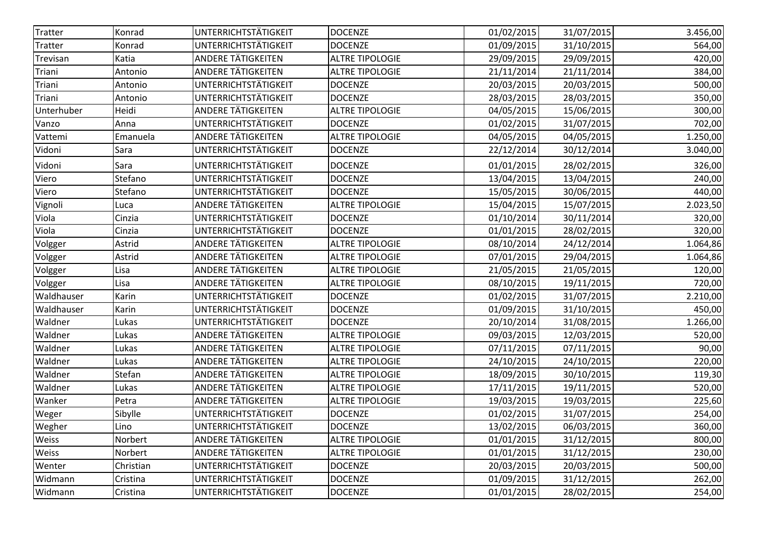| <b>Tratter</b> | Konrad    | UNTERRICHTSTÄTIGKEIT        | <b>DOCENZE</b>         | 01/02/2015 | 31/07/2015 | 3.456,00 |
|----------------|-----------|-----------------------------|------------------------|------------|------------|----------|
| <b>Tratter</b> | Konrad    | UNTERRICHTSTÄTIGKEIT        | <b>DOCENZE</b>         | 01/09/2015 | 31/10/2015 | 564,00   |
| Trevisan       | Katia     | <b>ANDERE TÄTIGKEITEN</b>   | <b>ALTRE TIPOLOGIE</b> | 29/09/2015 | 29/09/2015 | 420,00   |
| Triani         | Antonio   | ANDERE TÄTIGKEITEN          | <b>ALTRE TIPOLOGIE</b> | 21/11/2014 | 21/11/2014 | 384,00   |
| Triani         | Antonio   | UNTERRICHTSTÄTIGKEIT        | <b>DOCENZE</b>         | 20/03/2015 | 20/03/2015 | 500,00   |
| Triani         | Antonio   | UNTERRICHTSTÄTIGKEIT        | <b>DOCENZE</b>         | 28/03/2015 | 28/03/2015 | 350,00   |
| Unterhuber     | Heidi     | <b>ANDERE TÄTIGKEITEN</b>   | <b>ALTRE TIPOLOGIE</b> | 04/05/2015 | 15/06/2015 | 300,00   |
| Vanzo          | Anna      | UNTERRICHTSTÄTIGKEIT        | <b>DOCENZE</b>         | 01/02/2015 | 31/07/2015 | 702,00   |
| Vattemi        | Emanuela  | <b>ANDERE TÄTIGKEITEN</b>   | <b>ALTRE TIPOLOGIE</b> | 04/05/2015 | 04/05/2015 | 1.250,00 |
| Vidoni         | Sara      | UNTERRICHTSTÄTIGKEIT        | <b>DOCENZE</b>         | 22/12/2014 | 30/12/2014 | 3.040,00 |
| Vidoni         | Sara      | UNTERRICHTSTÄTIGKEIT        | <b>DOCENZE</b>         | 01/01/2015 | 28/02/2015 | 326,00   |
| Viero          | Stefano   | UNTERRICHTSTÄTIGKEIT        | <b>DOCENZE</b>         | 13/04/2015 | 13/04/2015 | 240,00   |
| Viero          | Stefano   | UNTERRICHTSTÄTIGKEIT        | <b>DOCENZE</b>         | 15/05/2015 | 30/06/2015 | 440,00   |
| Vignoli        | Luca      | <b>ANDERE TÄTIGKEITEN</b>   | <b>ALTRE TIPOLOGIE</b> | 15/04/2015 | 15/07/2015 | 2.023,50 |
| Viola          | Cinzia    | <b>UNTERRICHTSTÄTIGKEIT</b> | <b>DOCENZE</b>         | 01/10/2014 | 30/11/2014 | 320,00   |
| Viola          | Cinzia    | UNTERRICHTSTÄTIGKEIT        | <b>DOCENZE</b>         | 01/01/2015 | 28/02/2015 | 320,00   |
| Volgger        | Astrid    | <b>ANDERE TÄTIGKEITEN</b>   | <b>ALTRE TIPOLOGIE</b> | 08/10/2014 | 24/12/2014 | 1.064,86 |
| Volgger        | Astrid    | ANDERE TÄTIGKEITEN          | <b>ALTRE TIPOLOGIE</b> | 07/01/2015 | 29/04/2015 | 1.064,86 |
| Volgger        | Lisa      | <b>ANDERE TÄTIGKEITEN</b>   | <b>ALTRE TIPOLOGIE</b> | 21/05/2015 | 21/05/2015 | 120,00   |
| Volgger        | Lisa      | <b>ANDERE TÄTIGKEITEN</b>   | <b>ALTRE TIPOLOGIE</b> | 08/10/2015 | 19/11/2015 | 720,00   |
| Waldhauser     | Karin     | UNTERRICHTSTÄTIGKEIT        | <b>DOCENZE</b>         | 01/02/2015 | 31/07/2015 | 2.210,00 |
| Waldhauser     | Karin     | UNTERRICHTSTÄTIGKEIT        | <b>DOCENZE</b>         | 01/09/2015 | 31/10/2015 | 450,00   |
| Waldner        | Lukas     | UNTERRICHTSTÄTIGKEIT        | <b>DOCENZE</b>         | 20/10/2014 | 31/08/2015 | 1.266,00 |
| Waldner        | Lukas     | ANDERE TÄTIGKEITEN          | <b>ALTRE TIPOLOGIE</b> | 09/03/2015 | 12/03/2015 | 520,00   |
| Waldner        | Lukas     | <b>ANDERE TÄTIGKEITEN</b>   | <b>ALTRE TIPOLOGIE</b> | 07/11/2015 | 07/11/2015 | 90,00    |
| Waldner        | Lukas     | <b>ANDERE TÄTIGKEITEN</b>   | <b>ALTRE TIPOLOGIE</b> | 24/10/2015 | 24/10/2015 | 220,00   |
| Waldner        | Stefan    | <b>ANDERE TÄTIGKEITEN</b>   | <b>ALTRE TIPOLOGIE</b> | 18/09/2015 | 30/10/2015 | 119,30   |
| Waldner        | Lukas     | <b>ANDERE TÄTIGKEITEN</b>   | <b>ALTRE TIPOLOGIE</b> | 17/11/2015 | 19/11/2015 | 520,00   |
| Wanker         | Petra     | ANDERE TÄTIGKEITEN          | <b>ALTRE TIPOLOGIE</b> | 19/03/2015 | 19/03/2015 | 225,60   |
| Weger          | Sibylle   | UNTERRICHTSTÄTIGKEIT        | <b>DOCENZE</b>         | 01/02/2015 | 31/07/2015 | 254,00   |
| Wegher         | Lino      | UNTERRICHTSTÄTIGKEIT        | <b>DOCENZE</b>         | 13/02/2015 | 06/03/2015 | 360,00   |
| Weiss          | Norbert   | <b>ANDERE TÄTIGKEITEN</b>   | <b>ALTRE TIPOLOGIE</b> | 01/01/2015 | 31/12/2015 | 800,00   |
| Weiss          | Norbert   | <b>ANDERE TÄTIGKEITEN</b>   | <b>ALTRE TIPOLOGIE</b> | 01/01/2015 | 31/12/2015 | 230,00   |
| Wenter         | Christian | <b>UNTERRICHTSTÄTIGKEIT</b> | <b>DOCENZE</b>         | 20/03/2015 | 20/03/2015 | 500,00   |
| Widmann        | Cristina  | UNTERRICHTSTÄTIGKEIT        | <b>DOCENZE</b>         | 01/09/2015 | 31/12/2015 | 262,00   |
| Widmann        | Cristina  | <b>UNTERRICHTSTÄTIGKEIT</b> | <b>DOCENZE</b>         | 01/01/2015 | 28/02/2015 | 254,00   |